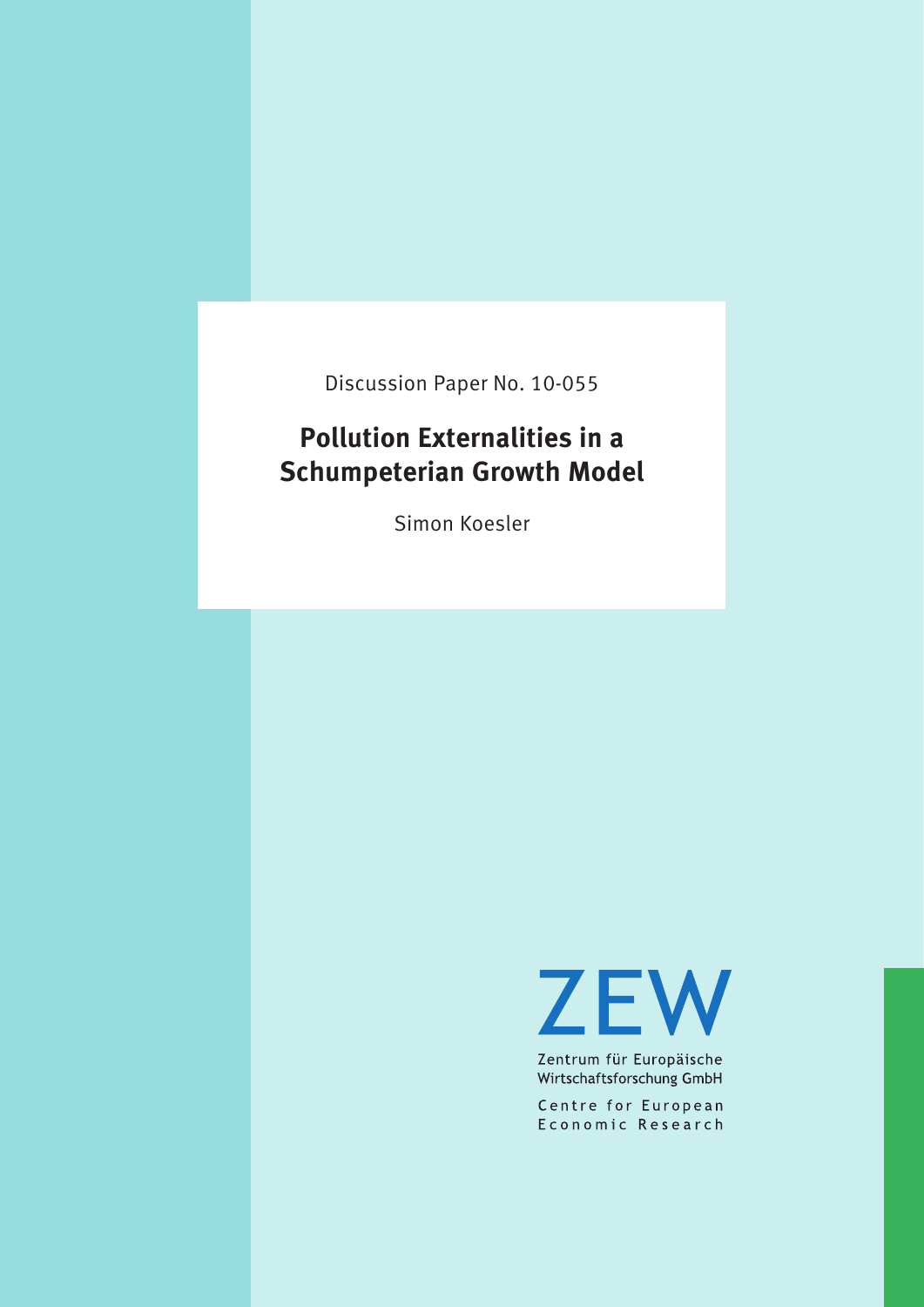Discussion Paper No. 10-055

# **Pollution Externalities in a Schumpeterian Growth Model**

Simon Koesler

**ZEW** 

Zentrum für Europäische Wirtschaftsforschung GmbH

Centre for European Economic Research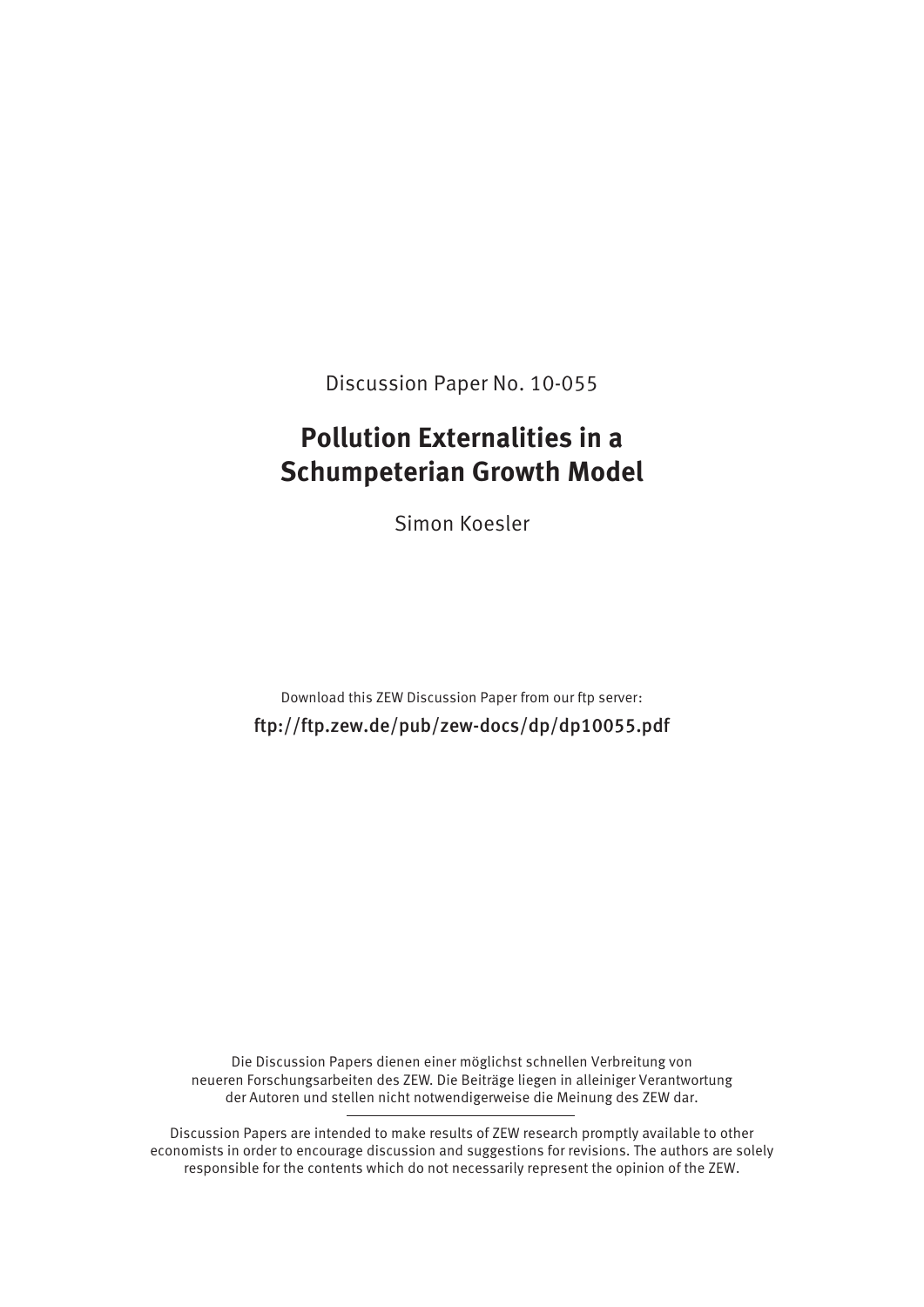Discussion Paper No. 10-055

# **Pollution Externalities in a Schumpeterian Growth Model**

Simon Koesler

Download this ZEW Discussion Paper from our ftp server: ftp://ftp.zew.de/pub/zew-docs/dp/dp10055.pdf

Die Discussion Papers dienen einer möglichst schnellen Verbreitung von neueren Forschungsarbeiten des ZEW. Die Beiträge liegen in alleiniger Verantwortung der Autoren und stellen nicht notwendigerweise die Meinung des ZEW dar.

Discussion Papers are intended to make results of ZEW research promptly available to other economists in order to encourage discussion and suggestions for revisions. The authors are solely responsible for the contents which do not necessarily represent the opinion of the ZEW.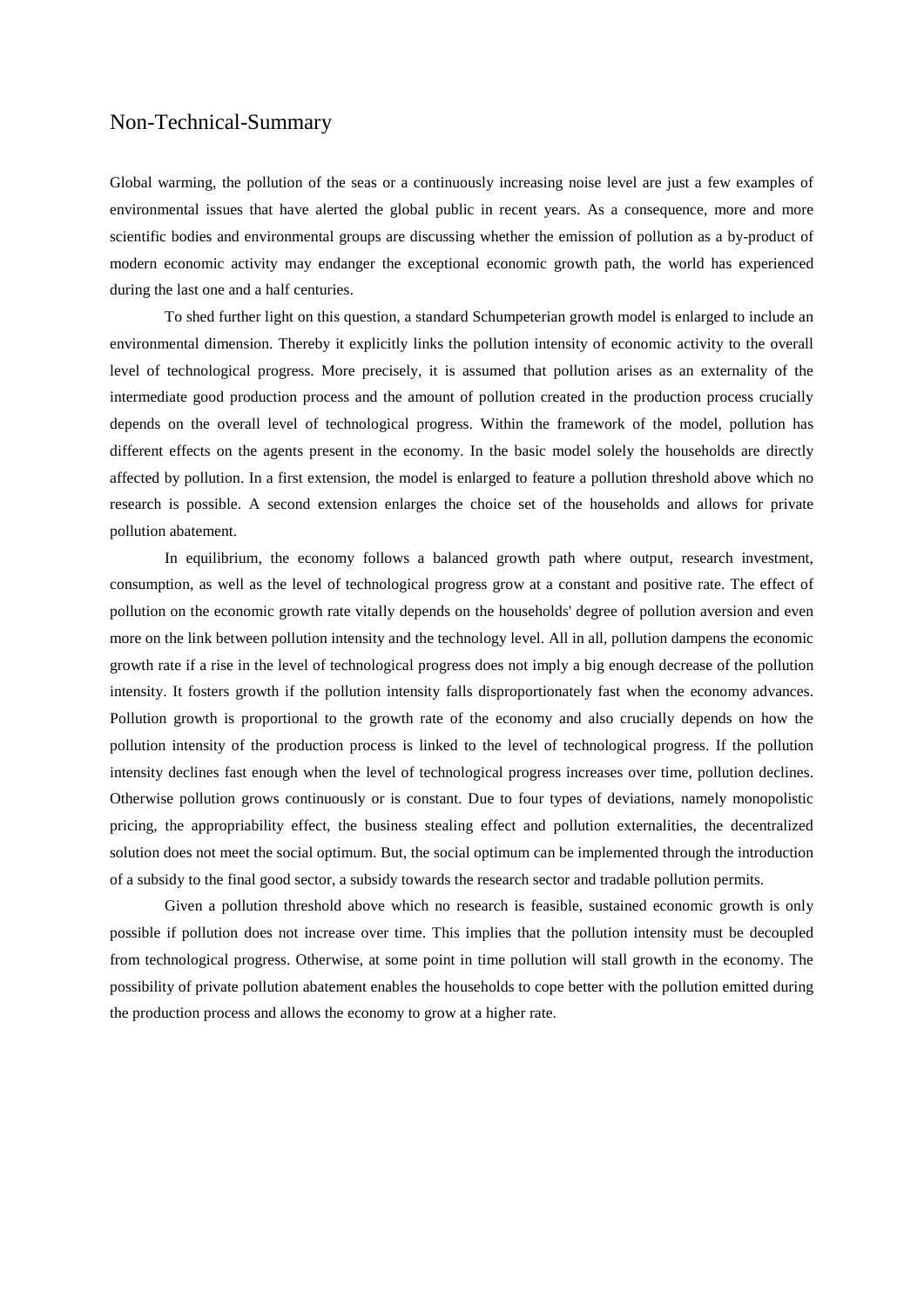#### Non-Technical-Summary

Global warming, the pollution of the seas or a continuously increasing noise level are just a few examples of environmental issues that have alerted the global public in recent years. As a consequence, more and more scientific bodies and environmental groups are discussing whether the emission of pollution as a by-product of modern economic activity may endanger the exceptional economic growth path, the world has experienced during the last one and a half centuries.

To shed further light on this question, a standard Schumpeterian growth model is enlarged to include an environmental dimension. Thereby it explicitly links the pollution intensity of economic activity to the overall level of technological progress. More precisely, it is assumed that pollution arises as an externality of the intermediate good production process and the amount of pollution created in the production process crucially depends on the overall level of technological progress. Within the framework of the model, pollution has different effects on the agents present in the economy. In the basic model solely the households are directly affected by pollution. In a first extension, the model is enlarged to feature a pollution threshold above which no research is possible. A second extension enlarges the choice set of the households and allows for private pollution abatement.

In equilibrium, the economy follows a balanced growth path where output, research investment, consumption, as well as the level of technological progress grow at a constant and positive rate. The effect of pollution on the economic growth rate vitally depends on the households' degree of pollution aversion and even more on the link between pollution intensity and the technology level. All in all, pollution dampens the economic growth rate if a rise in the level of technological progress does not imply a big enough decrease of the pollution intensity. It fosters growth if the pollution intensity falls disproportionately fast when the economy advances. Pollution growth is proportional to the growth rate of the economy and also crucially depends on how the pollution intensity of the production process is linked to the level of technological progress. If the pollution intensity declines fast enough when the level of technological progress increases over time, pollution declines. Otherwise pollution grows continuously or is constant. Due to four types of deviations, namely monopolistic pricing, the appropriability effect, the business stealing effect and pollution externalities, the decentralized solution does not meet the social optimum. But, the social optimum can be implemented through the introduction of a subsidy to the final good sector, a subsidy towards the research sector and tradable pollution permits.

Given a pollution threshold above which no research is feasible, sustained economic growth is only possible if pollution does not increase over time. This implies that the pollution intensity must be decoupled from technological progress. Otherwise, at some point in time pollution will stall growth in the economy. The possibility of private pollution abatement enables the households to cope better with the pollution emitted during the production process and allows the economy to grow at a higher rate.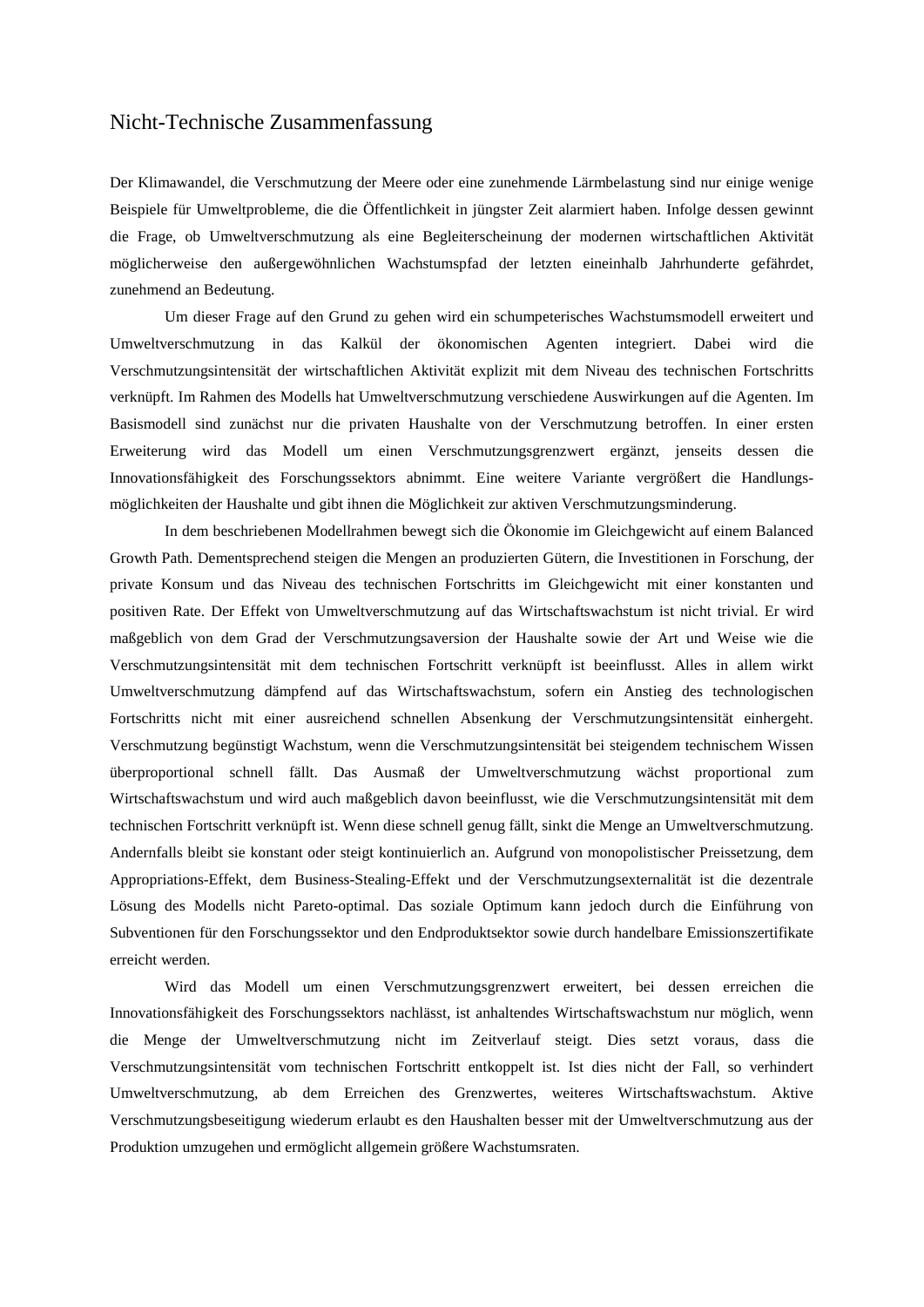#### Nicht-Technische Zusammenfassung

Der Klimawandel, die Verschmutzung der Meere oder eine zunehmende Lärmbelastung sind nur einige wenige Beispiele für Umweltprobleme, die die Öffentlichkeit in jüngster Zeit alarmiert haben. Infolge dessen gewinnt die Frage, ob Umweltverschmutzung als eine Begleiterscheinung der modernen wirtschaftlichen Aktivität möglicherweise den außergewöhnlichen Wachstumspfad der letzten eineinhalb Jahrhunderte gefährdet, zunehmend an Bedeutung.

Um dieser Frage auf den Grund zu gehen wird ein schumpeterisches Wachstumsmodell erweitert und Umweltverschmutzung in das Kalkül der ökonomischen Agenten integriert. Dabei wird die Verschmutzungsintensität der wirtschaftlichen Aktivität explizit mit dem Niveau des technischen Fortschritts verknüpft. Im Rahmen des Modells hat Umweltverschmutzung verschiedene Auswirkungen auf die Agenten. Im Basismodell sind zunächst nur die privaten Haushalte von der Verschmutzung betroffen. In einer ersten Erweiterung wird das Modell um einen Verschmutzungsgrenzwert ergänzt, jenseits dessen die Innovationsfähigkeit des Forschungssektors abnimmt. Eine weitere Variante vergrößert die Handlungsmöglichkeiten der Haushalte und gibt ihnen die Möglichkeit zur aktiven Verschmutzungsminderung.

In dem beschriebenen Modellrahmen bewegt sich die Ökonomie im Gleichgewicht auf einem Balanced Growth Path. Dementsprechend steigen die Mengen an produzierten Gütern, die Investitionen in Forschung, der private Konsum und das Niveau des technischen Fortschritts im Gleichgewicht mit einer konstanten und positiven Rate. Der Effekt von Umweltverschmutzung auf das Wirtschaftswachstum ist nicht trivial. Er wird maßgeblich von dem Grad der Verschmutzungsaversion der Haushalte sowie der Art und Weise wie die Verschmutzungsintensität mit dem technischen Fortschritt verknüpft ist beeinflusst. Alles in allem wirkt Umweltverschmutzung dämpfend auf das Wirtschaftswachstum, sofern ein Anstieg des technologischen Fortschritts nicht mit einer ausreichend schnellen Absenkung der Verschmutzungsintensität einhergeht. Verschmutzung begünstigt Wachstum, wenn die Verschmutzungsintensität bei steigendem technischem Wissen überproportional schnell fällt. Das Ausmaß der Umweltverschmutzung wächst proportional zum Wirtschaftswachstum und wird auch maßgeblich davon beeinflusst, wie die Verschmutzungsintensität mit dem technischen Fortschritt verknüpft ist. Wenn diese schnell genug fällt, sinkt die Menge an Umweltverschmutzung. Andernfalls bleibt sie konstant oder steigt kontinuierlich an. Aufgrund von monopolistischer Preissetzung, dem Appropriations-Effekt, dem Business-Stealing-Effekt und der Verschmutzungsexternalität ist die dezentrale Lösung des Modells nicht Pareto-optimal. Das soziale Optimum kann jedoch durch die Einführung von Subventionen für den Forschungssektor und den Endproduktsektor sowie durch handelbare Emissionszertifikate erreicht werden.

Wird das Modell um einen Verschmutzungsgrenzwert erweitert, bei dessen erreichen die Innovationsfähigkeit des Forschungssektors nachlässt, ist anhaltendes Wirtschaftswachstum nur möglich, wenn die Menge der Umweltverschmutzung nicht im Zeitverlauf steigt. Dies setzt voraus, dass die Verschmutzungsintensität vom technischen Fortschritt entkoppelt ist. Ist dies nicht der Fall, so verhindert Umweltverschmutzung, ab dem Erreichen des Grenzwertes, weiteres Wirtschaftswachstum. Aktive Verschmutzungsbeseitigung wiederum erlaubt es den Haushalten besser mit der Umweltverschmutzung aus der Produktion umzugehen und ermöglicht allgemein größere Wachstumsraten.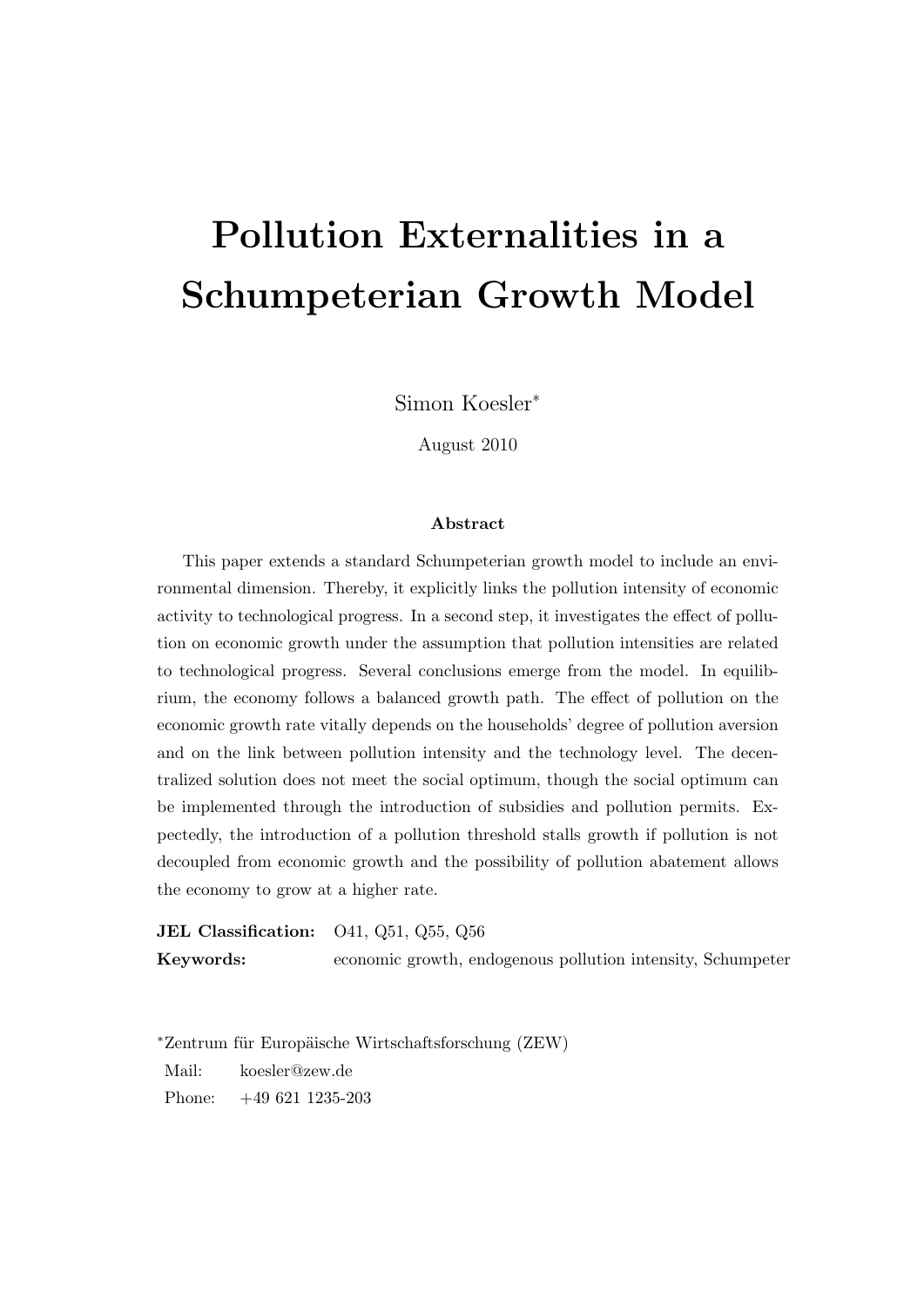# Pollution Externalities in a Schumpeterian Growth Model

Simon Koesler<sup>∗</sup>

August 2010

#### Abstract

This paper extends a standard Schumpeterian growth model to include an environmental dimension. Thereby, it explicitly links the pollution intensity of economic activity to technological progress. In a second step, it investigates the effect of pollution on economic growth under the assumption that pollution intensities are related to technological progress. Several conclusions emerge from the model. In equilibrium, the economy follows a balanced growth path. The effect of pollution on the economic growth rate vitally depends on the households' degree of pollution aversion and on the link between pollution intensity and the technology level. The decentralized solution does not meet the social optimum, though the social optimum can be implemented through the introduction of subsidies and pollution permits. Expectedly, the introduction of a pollution threshold stalls growth if pollution is not decoupled from economic growth and the possibility of pollution abatement allows the economy to grow at a higher rate.

JEL Classification: 041, Q51, Q55, Q56 Keywords: economic growth, endogenous pollution intensity, Schumpeter

<sup>∗</sup>Zentrum f¨ur Europ¨aische Wirtschaftsforschung (ZEW) <sup>∗</sup>Mail: koesler@zew.de <sup>∗</sup>Phone: +49 621 1235-203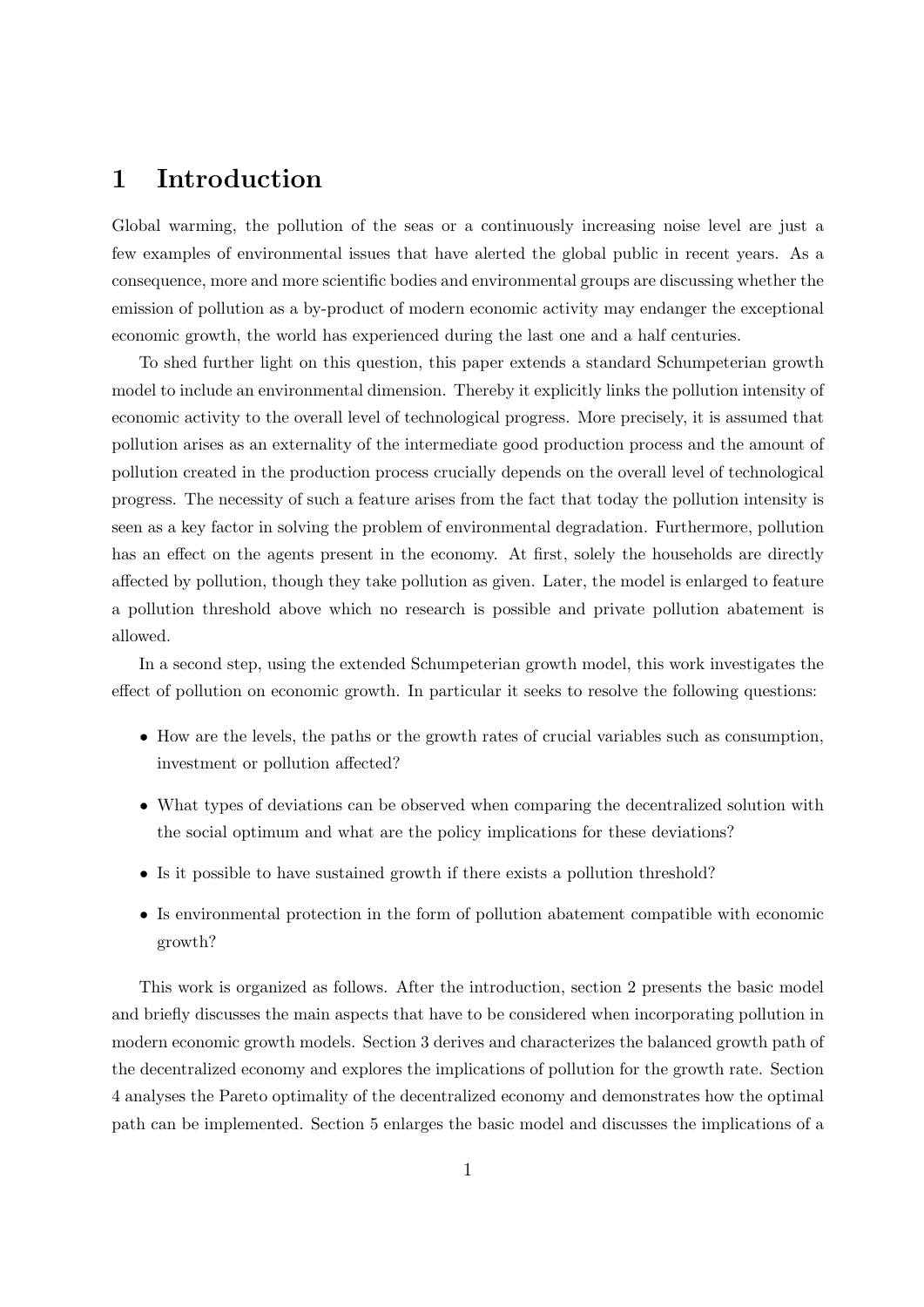## 1 Introduction

Global warming, the pollution of the seas or a continuously increasing noise level are just a few examples of environmental issues that have alerted the global public in recent years. As a consequence, more and more scientific bodies and environmental groups are discussing whether the emission of pollution as a by-product of modern economic activity may endanger the exceptional economic growth, the world has experienced during the last one and a half centuries.

To shed further light on this question, this paper extends a standard Schumpeterian growth model to include an environmental dimension. Thereby it explicitly links the pollution intensity of economic activity to the overall level of technological progress. More precisely, it is assumed that pollution arises as an externality of the intermediate good production process and the amount of pollution created in the production process crucially depends on the overall level of technological progress. The necessity of such a feature arises from the fact that today the pollution intensity is seen as a key factor in solving the problem of environmental degradation. Furthermore, pollution has an effect on the agents present in the economy. At first, solely the households are directly affected by pollution, though they take pollution as given. Later, the model is enlarged to feature a pollution threshold above which no research is possible and private pollution abatement is allowed.

In a second step, using the extended Schumpeterian growth model, this work investigates the effect of pollution on economic growth. In particular it seeks to resolve the following questions:

- How are the levels, the paths or the growth rates of crucial variables such as consumption, investment or pollution affected?
- What types of deviations can be observed when comparing the decentralized solution with the social optimum and what are the policy implications for these deviations?
- Is it possible to have sustained growth if there exists a pollution threshold?
- Is environmental protection in the form of pollution abatement compatible with economic growth?

This work is organized as follows. After the introduction, section 2 presents the basic model and briefly discusses the main aspects that have to be considered when incorporating pollution in modern economic growth models. Section 3 derives and characterizes the balanced growth path of the decentralized economy and explores the implications of pollution for the growth rate. Section 4 analyses the Pareto optimality of the decentralized economy and demonstrates how the optimal path can be implemented. Section 5 enlarges the basic model and discusses the implications of a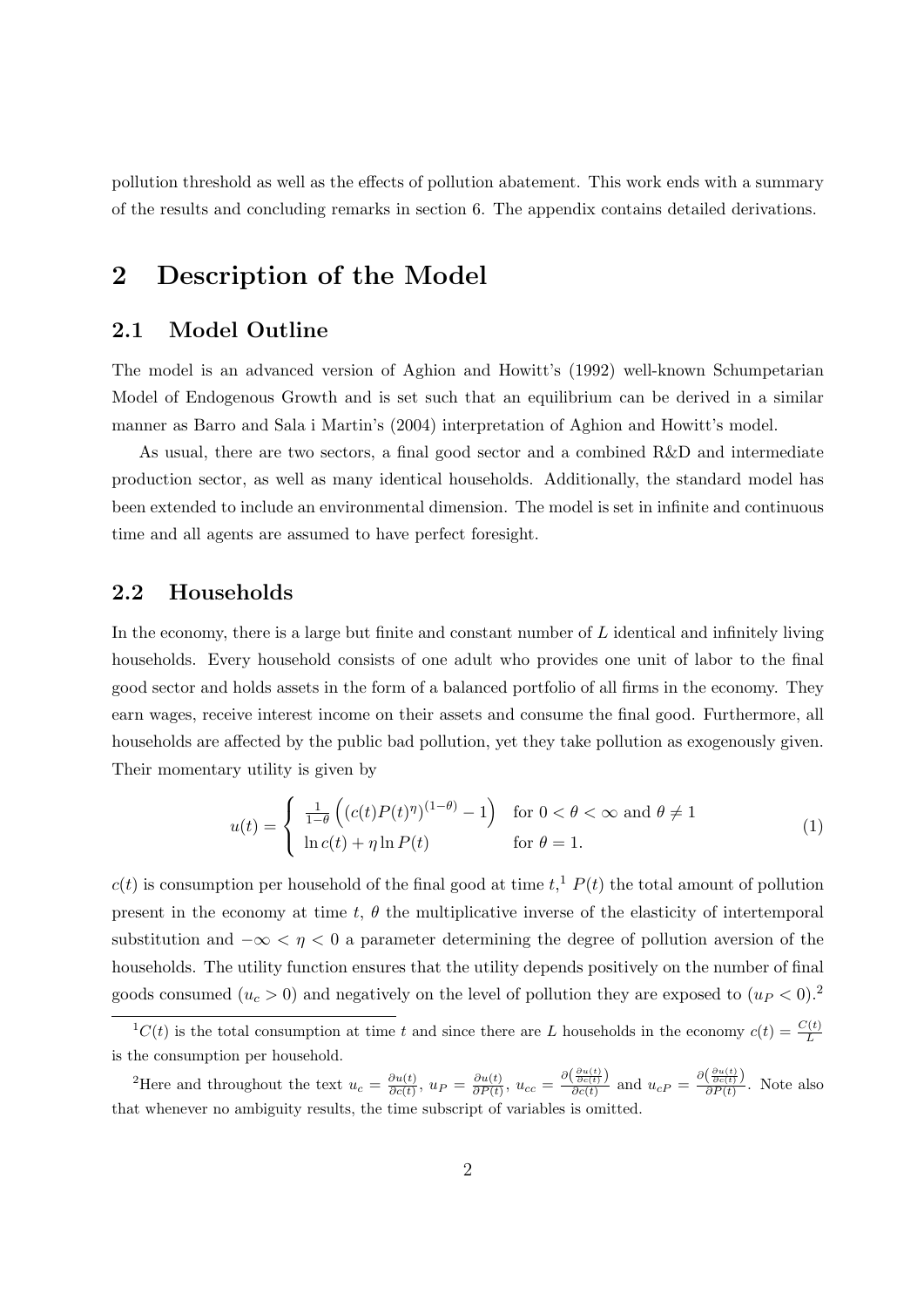pollution threshold as well as the effects of pollution abatement. This work ends with a summary of the results and concluding remarks in section 6. The appendix contains detailed derivations.

## 2 Description of the Model

#### 2.1 Model Outline

The model is an advanced version of Aghion and Howitt's (1992) well-known Schumpetarian Model of Endogenous Growth and is set such that an equilibrium can be derived in a similar manner as Barro and Sala i Martin's (2004) interpretation of Aghion and Howitt's model.

As usual, there are two sectors, a final good sector and a combined R&D and intermediate production sector, as well as many identical households. Additionally, the standard model has been extended to include an environmental dimension. The model is set in infinite and continuous time and all agents are assumed to have perfect foresight.

#### 2.2 Households

In the economy, there is a large but finite and constant number of  $L$  identical and infinitely living households. Every household consists of one adult who provides one unit of labor to the final good sector and holds assets in the form of a balanced portfolio of all firms in the economy. They earn wages, receive interest income on their assets and consume the final good. Furthermore, all households are affected by the public bad pollution, yet they take pollution as exogenously given. Their momentary utility is given by

$$
u(t) = \begin{cases} \frac{1}{1-\theta} \left( (c(t)P(t)^{\eta})^{(1-\theta)} - 1 \right) & \text{for } 0 < \theta < \infty \text{ and } \theta \neq 1\\ \ln c(t) + \eta \ln P(t) & \text{for } \theta = 1. \end{cases}
$$
(1)

 $c(t)$  is consumption per household of the final good at time  $t$ ,  $P(t)$  the total amount of pollution present in the economy at time t,  $\theta$  the multiplicative inverse of the elasticity of intertemporal substitution and  $-\infty < \eta < 0$  a parameter determining the degree of pollution aversion of the households. The utility function ensures that the utility depends positively on the number of final goods consumed  $(u_c > 0)$  and negatively on the level of pollution they are exposed to  $(u_P < 0)^2$ .

 ${}^{1}C(t)$  is the total consumption at time t and since there are L households in the economy  $c(t) = \frac{C(t)}{L}$ is the consumption per household.

<sup>&</sup>lt;sup>2</sup>Here and throughout the text  $u_c = \frac{\partial u(t)}{\partial c(t)}$  $\frac{\partial u(t)}{\partial c(t)}, u_P = \frac{\partial u(t)}{\partial P(t)}$  $\frac{\partial u(t)}{\partial P(t)}, u_{cc} = \frac{\partial \left(\frac{\partial u(t)}{\partial c(t)}\right)}{\partial c(t)}$  $\frac{\left(\frac{\partial u(t)}{\partial c(t)}\right)}{\partial c(t)}$  and  $u_{cP} = \frac{\partial \left(\frac{\partial u(t)}{\partial c(t)}\right)}{\partial P(t)}$  $\frac{\partial c(t)}{\partial P(t)}$ . Note also that whenever no ambiguity results, the time subscript of variables is omitted.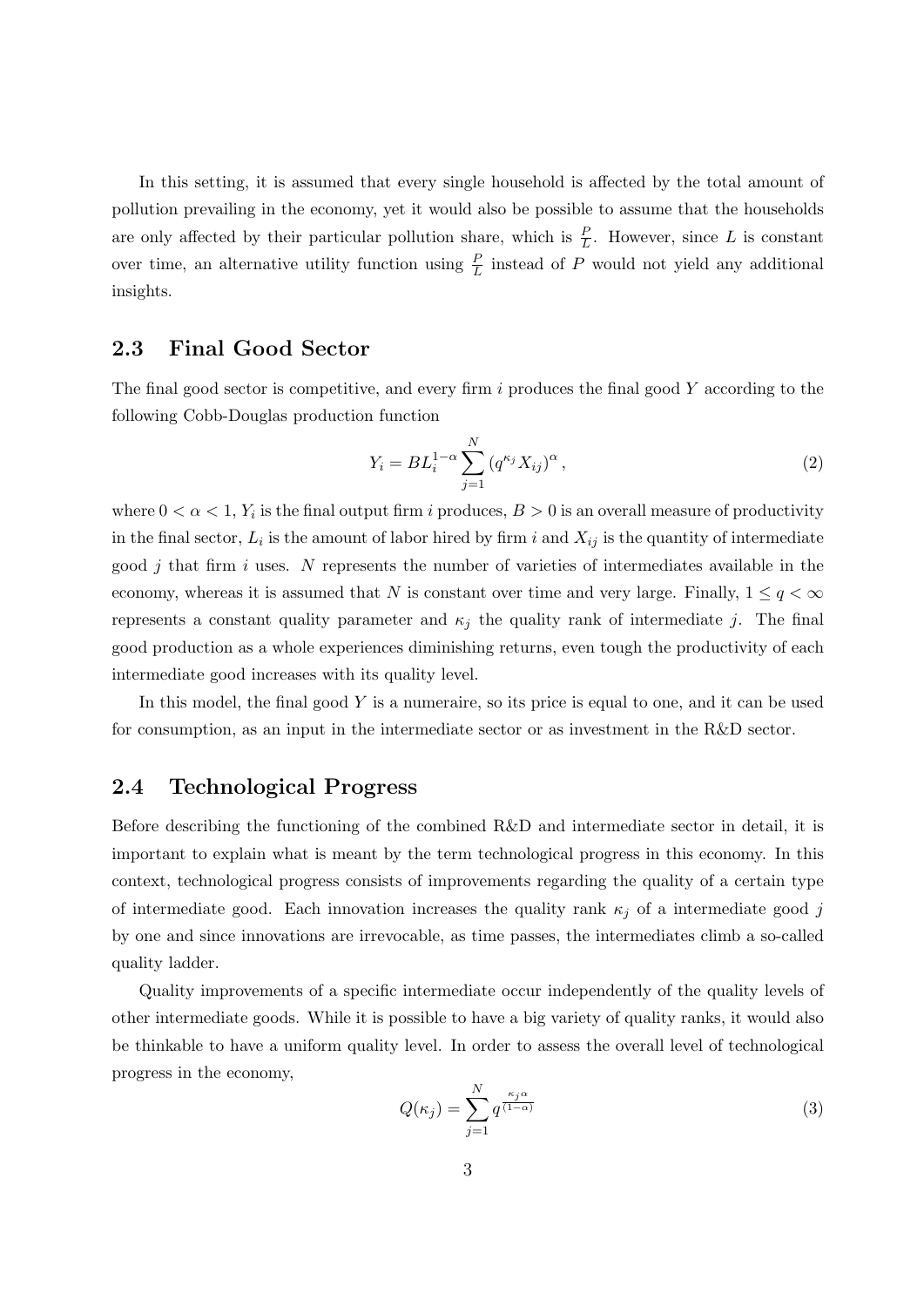In this setting, it is assumed that every single household is affected by the total amount of pollution prevailing in the economy, yet it would also be possible to assume that the households are only affected by their particular pollution share, which is  $\frac{P}{L}$ . However, since L is constant over time, an alternative utility function using  $\frac{P}{L}$  instead of P would not yield any additional insights.

#### 2.3 Final Good Sector

The final good sector is competitive, and every firm  $i$  produces the final good  $Y$  according to the following Cobb-Douglas production function

$$
Y_i = BL_i^{1-\alpha} \sum_{j=1}^{N} (q^{\kappa_j} X_{ij})^{\alpha}, \qquad (2)
$$

where  $0 < \alpha < 1$ ,  $Y_i$  is the final output firm i produces,  $B > 0$  is an overall measure of productivity in the final sector,  $L_i$  is the amount of labor hired by firm i and  $X_{ij}$  is the quantity of intermediate good j that firm i uses. N represents the number of varieties of intermediates available in the economy, whereas it is assumed that N is constant over time and very large. Finally,  $1 \leq q < \infty$ represents a constant quality parameter and  $\kappa_i$  the quality rank of intermediate j. The final good production as a whole experiences diminishing returns, even tough the productivity of each intermediate good increases with its quality level.

In this model, the final good  $Y$  is a numeraire, so its price is equal to one, and it can be used for consumption, as an input in the intermediate sector or as investment in the R&D sector.

#### 2.4 Technological Progress

Before describing the functioning of the combined R&D and intermediate sector in detail, it is important to explain what is meant by the term technological progress in this economy. In this context, technological progress consists of improvements regarding the quality of a certain type of intermediate good. Each innovation increases the quality rank  $\kappa_j$  of a intermediate good j by one and since innovations are irrevocable, as time passes, the intermediates climb a so-called quality ladder.

Quality improvements of a specific intermediate occur independently of the quality levels of other intermediate goods. While it is possible to have a big variety of quality ranks, it would also be thinkable to have a uniform quality level. In order to assess the overall level of technological progress in the economy,

$$
Q(\kappa_j) = \sum_{j=1}^{N} q^{\frac{\kappa_j \alpha}{(1-\alpha)}} \tag{3}
$$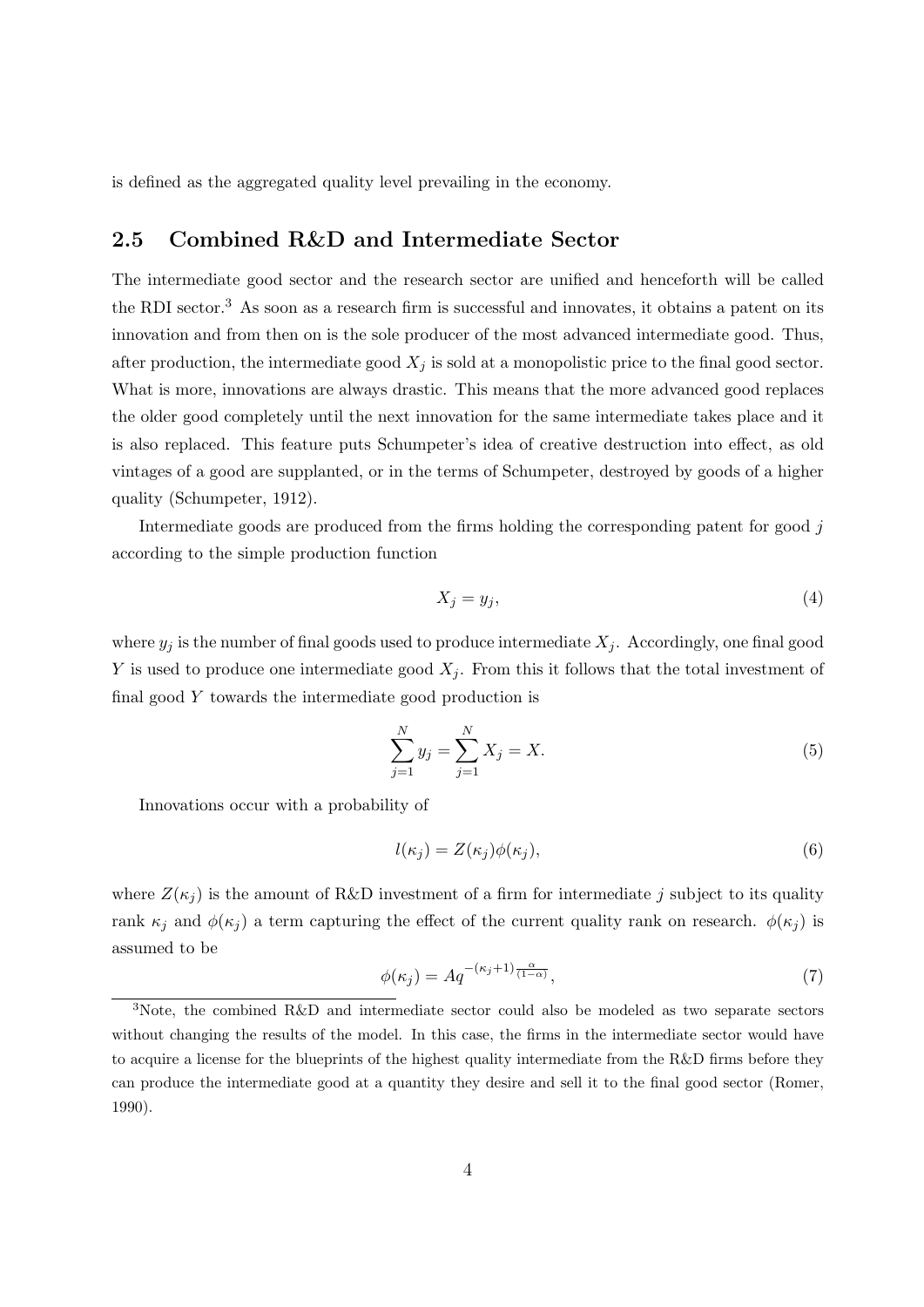is defined as the aggregated quality level prevailing in the economy.

#### 2.5 Combined R&D and Intermediate Sector

The intermediate good sector and the research sector are unified and henceforth will be called the RDI sector.<sup>3</sup> As soon as a research firm is successful and innovates, it obtains a patent on its innovation and from then on is the sole producer of the most advanced intermediate good. Thus, after production, the intermediate good  $X_j$  is sold at a monopolistic price to the final good sector. What is more, innovations are always drastic. This means that the more advanced good replaces the older good completely until the next innovation for the same intermediate takes place and it is also replaced. This feature puts Schumpeter's idea of creative destruction into effect, as old vintages of a good are supplanted, or in the terms of Schumpeter, destroyed by goods of a higher quality (Schumpeter, 1912).

Intermediate goods are produced from the firms holding the corresponding patent for good j according to the simple production function

$$
X_j = y_j,\tag{4}
$$

where  $y_j$  is the number of final goods used to produce intermediate  $X_j$ . Accordingly, one final good Y is used to produce one intermediate good  $X_i$ . From this it follows that the total investment of final good Y towards the intermediate good production is

$$
\sum_{j=1}^{N} y_j = \sum_{j=1}^{N} X_j = X.
$$
\n(5)

Innovations occur with a probability of

$$
l(\kappa_j) = Z(\kappa_j)\phi(\kappa_j),\tag{6}
$$

where  $Z(\kappa_i)$  is the amount of R&D investment of a firm for intermediate j subject to its quality rank  $\kappa_i$  and  $\phi(\kappa_i)$  a term capturing the effect of the current quality rank on research.  $\phi(\kappa_i)$  is assumed to be

$$
\phi(\kappa_j) = A q^{-(\kappa_j + 1)\frac{\alpha}{(1 - \alpha)}},\tag{7}
$$

<sup>3</sup>Note, the combined R&D and intermediate sector could also be modeled as two separate sectors without changing the results of the model. In this case, the firms in the intermediate sector would have to acquire a license for the blueprints of the highest quality intermediate from the R&D firms before they can produce the intermediate good at a quantity they desire and sell it to the final good sector (Romer, 1990).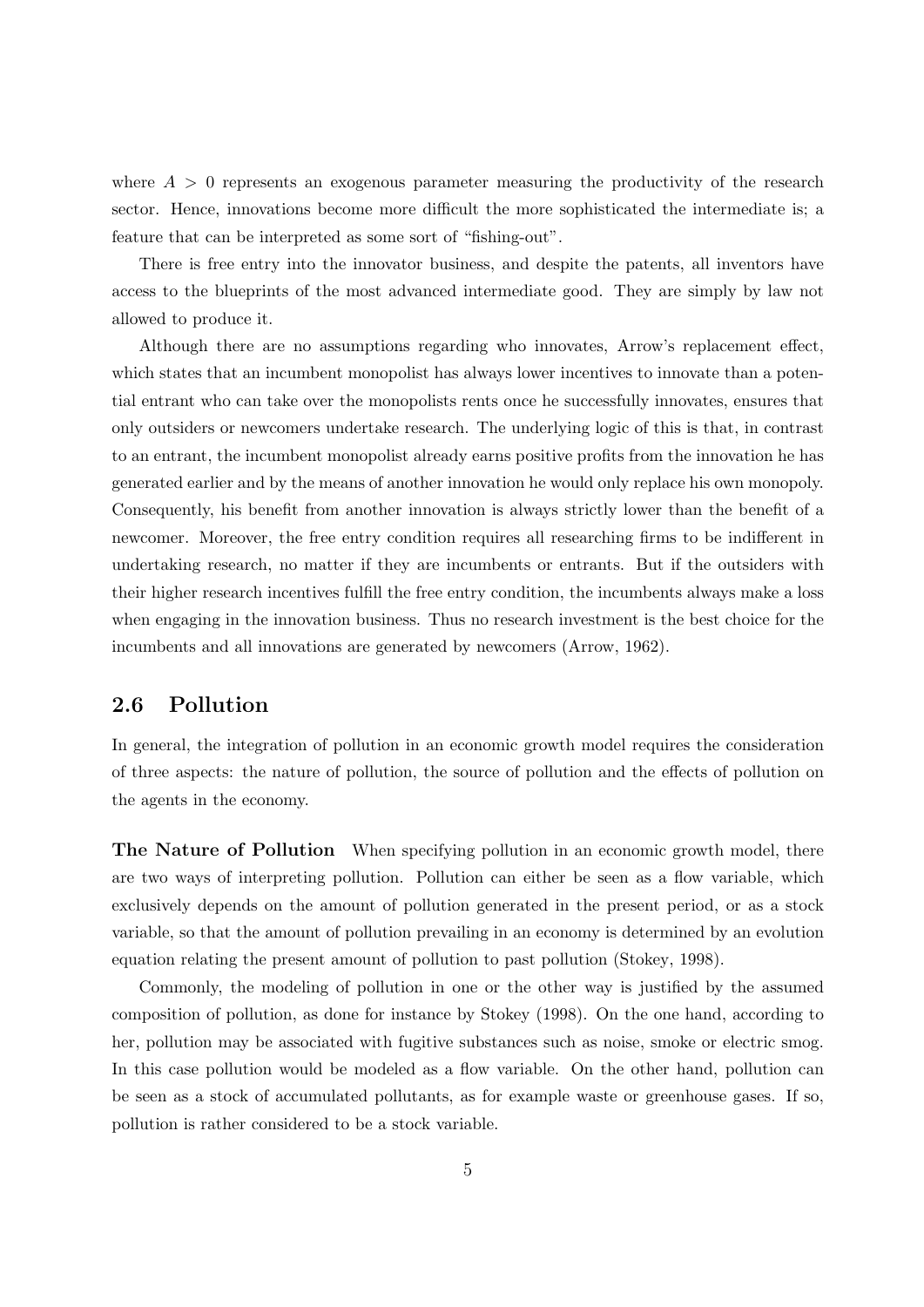where  $A > 0$  represents an exogenous parameter measuring the productivity of the research sector. Hence, innovations become more difficult the more sophisticated the intermediate is; a feature that can be interpreted as some sort of "fishing-out".

There is free entry into the innovator business, and despite the patents, all inventors have access to the blueprints of the most advanced intermediate good. They are simply by law not allowed to produce it.

Although there are no assumptions regarding who innovates, Arrow's replacement effect, which states that an incumbent monopolist has always lower incentives to innovate than a potential entrant who can take over the monopolists rents once he successfully innovates, ensures that only outsiders or newcomers undertake research. The underlying logic of this is that, in contrast to an entrant, the incumbent monopolist already earns positive profits from the innovation he has generated earlier and by the means of another innovation he would only replace his own monopoly. Consequently, his benefit from another innovation is always strictly lower than the benefit of a newcomer. Moreover, the free entry condition requires all researching firms to be indifferent in undertaking research, no matter if they are incumbents or entrants. But if the outsiders with their higher research incentives fulfill the free entry condition, the incumbents always make a loss when engaging in the innovation business. Thus no research investment is the best choice for the incumbents and all innovations are generated by newcomers (Arrow, 1962).

#### 2.6 Pollution

In general, the integration of pollution in an economic growth model requires the consideration of three aspects: the nature of pollution, the source of pollution and the effects of pollution on the agents in the economy.

The Nature of Pollution When specifying pollution in an economic growth model, there are two ways of interpreting pollution. Pollution can either be seen as a flow variable, which exclusively depends on the amount of pollution generated in the present period, or as a stock variable, so that the amount of pollution prevailing in an economy is determined by an evolution equation relating the present amount of pollution to past pollution (Stokey, 1998).

Commonly, the modeling of pollution in one or the other way is justified by the assumed composition of pollution, as done for instance by Stokey (1998). On the one hand, according to her, pollution may be associated with fugitive substances such as noise, smoke or electric smog. In this case pollution would be modeled as a flow variable. On the other hand, pollution can be seen as a stock of accumulated pollutants, as for example waste or greenhouse gases. If so, pollution is rather considered to be a stock variable.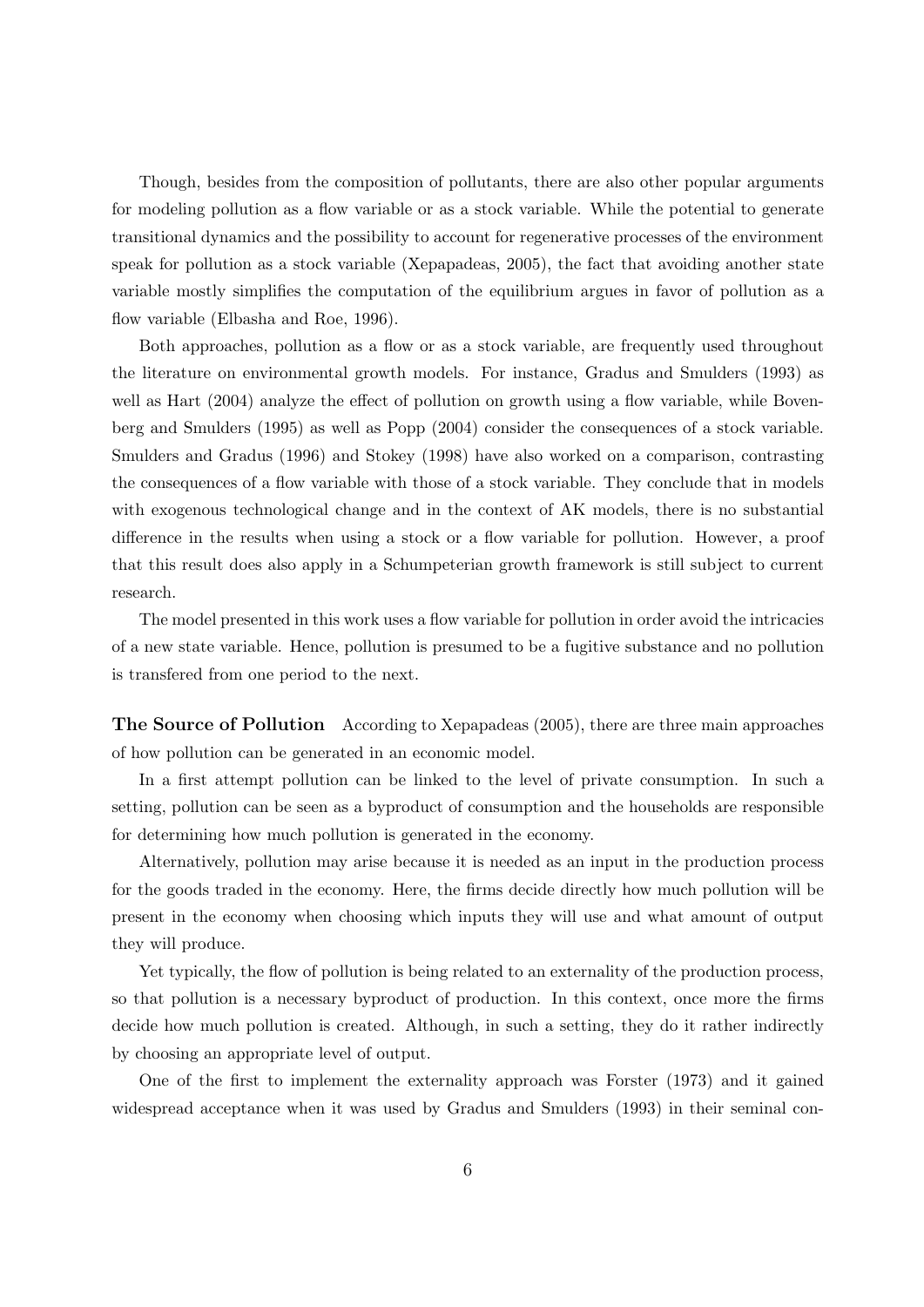Though, besides from the composition of pollutants, there are also other popular arguments for modeling pollution as a flow variable or as a stock variable. While the potential to generate transitional dynamics and the possibility to account for regenerative processes of the environment speak for pollution as a stock variable (Xepapadeas, 2005), the fact that avoiding another state variable mostly simplifies the computation of the equilibrium argues in favor of pollution as a flow variable (Elbasha and Roe, 1996).

Both approaches, pollution as a flow or as a stock variable, are frequently used throughout the literature on environmental growth models. For instance, Gradus and Smulders (1993) as well as Hart (2004) analyze the effect of pollution on growth using a flow variable, while Bovenberg and Smulders (1995) as well as Popp (2004) consider the consequences of a stock variable. Smulders and Gradus (1996) and Stokey (1998) have also worked on a comparison, contrasting the consequences of a flow variable with those of a stock variable. They conclude that in models with exogenous technological change and in the context of AK models, there is no substantial difference in the results when using a stock or a flow variable for pollution. However, a proof that this result does also apply in a Schumpeterian growth framework is still subject to current research.

The model presented in this work uses a flow variable for pollution in order avoid the intricacies of a new state variable. Hence, pollution is presumed to be a fugitive substance and no pollution is transfered from one period to the next.

The Source of Pollution According to Xepapadeas (2005), there are three main approaches of how pollution can be generated in an economic model.

In a first attempt pollution can be linked to the level of private consumption. In such a setting, pollution can be seen as a byproduct of consumption and the households are responsible for determining how much pollution is generated in the economy.

Alternatively, pollution may arise because it is needed as an input in the production process for the goods traded in the economy. Here, the firms decide directly how much pollution will be present in the economy when choosing which inputs they will use and what amount of output they will produce.

Yet typically, the flow of pollution is being related to an externality of the production process, so that pollution is a necessary byproduct of production. In this context, once more the firms decide how much pollution is created. Although, in such a setting, they do it rather indirectly by choosing an appropriate level of output.

One of the first to implement the externality approach was Forster (1973) and it gained widespread acceptance when it was used by Gradus and Smulders (1993) in their seminal con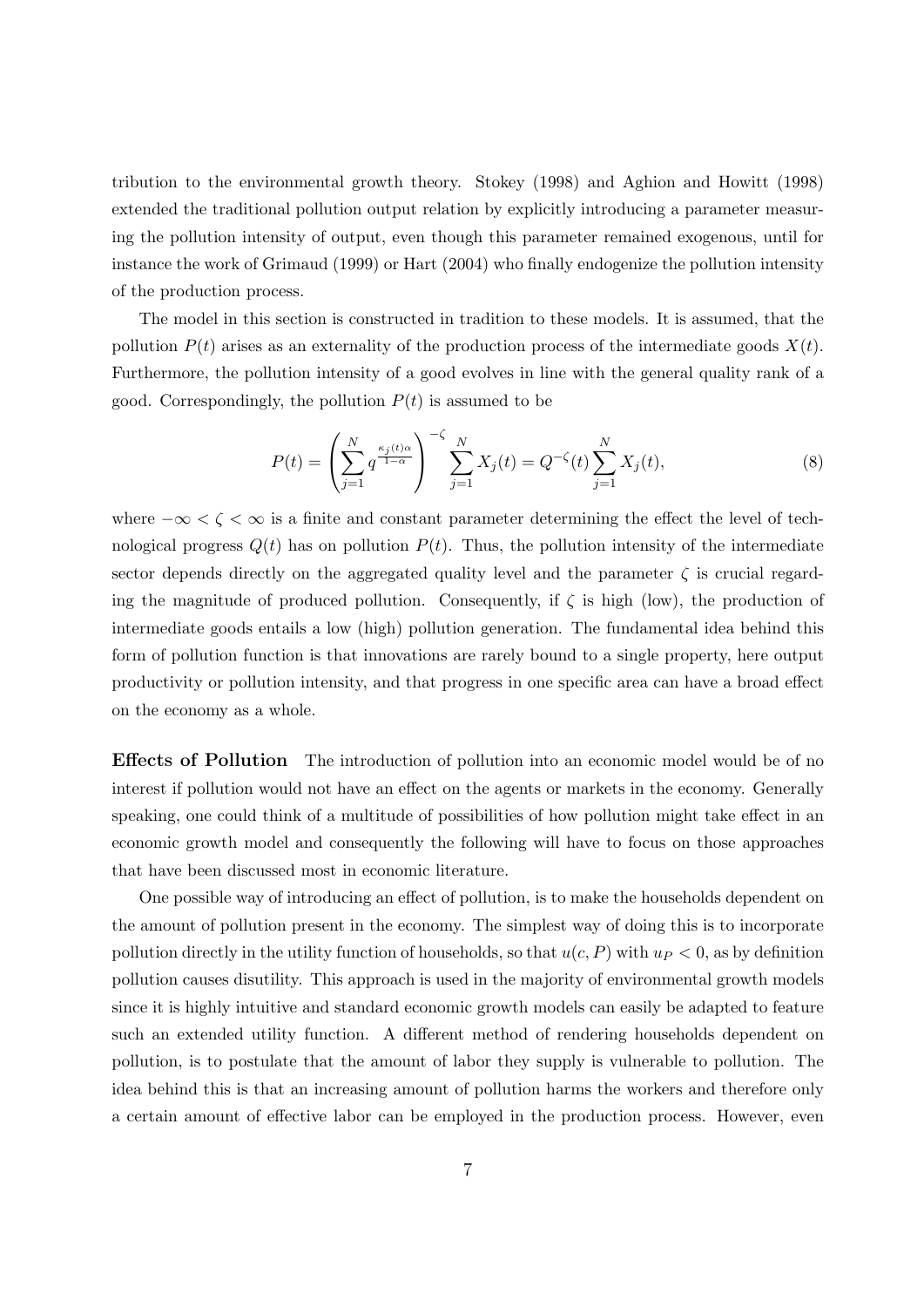tribution to the environmental growth theory. Stokey (1998) and Aghion and Howitt (1998) extended the traditional pollution output relation by explicitly introducing a parameter measuring the pollution intensity of output, even though this parameter remained exogenous, until for instance the work of Grimaud (1999) or Hart (2004) who finally endogenize the pollution intensity of the production process.

The model in this section is constructed in tradition to these models. It is assumed, that the pollution  $P(t)$  arises as an externality of the production process of the intermediate goods  $X(t)$ . Furthermore, the pollution intensity of a good evolves in line with the general quality rank of a good. Correspondingly, the pollution  $P(t)$  is assumed to be

$$
P(t) = \left(\sum_{j=1}^{N} q^{\frac{\kappa_j(t)\alpha}{1-\alpha}}\right)^{-\zeta} \sum_{j=1}^{N} X_j(t) = Q^{-\zeta}(t) \sum_{j=1}^{N} X_j(t),\tag{8}
$$

where  $-\infty < \zeta < \infty$  is a finite and constant parameter determining the effect the level of technological progress  $Q(t)$  has on pollution  $P(t)$ . Thus, the pollution intensity of the intermediate sector depends directly on the aggregated quality level and the parameter  $\zeta$  is crucial regarding the magnitude of produced pollution. Consequently, if  $\zeta$  is high (low), the production of intermediate goods entails a low (high) pollution generation. The fundamental idea behind this form of pollution function is that innovations are rarely bound to a single property, here output productivity or pollution intensity, and that progress in one specific area can have a broad effect on the economy as a whole.

Effects of Pollution The introduction of pollution into an economic model would be of no interest if pollution would not have an effect on the agents or markets in the economy. Generally speaking, one could think of a multitude of possibilities of how pollution might take effect in an economic growth model and consequently the following will have to focus on those approaches that have been discussed most in economic literature.

One possible way of introducing an effect of pollution, is to make the households dependent on the amount of pollution present in the economy. The simplest way of doing this is to incorporate pollution directly in the utility function of households, so that  $u(c, P)$  with  $u_P < 0$ , as by definition pollution causes disutility. This approach is used in the majority of environmental growth models since it is highly intuitive and standard economic growth models can easily be adapted to feature such an extended utility function. A different method of rendering households dependent on pollution, is to postulate that the amount of labor they supply is vulnerable to pollution. The idea behind this is that an increasing amount of pollution harms the workers and therefore only a certain amount of effective labor can be employed in the production process. However, even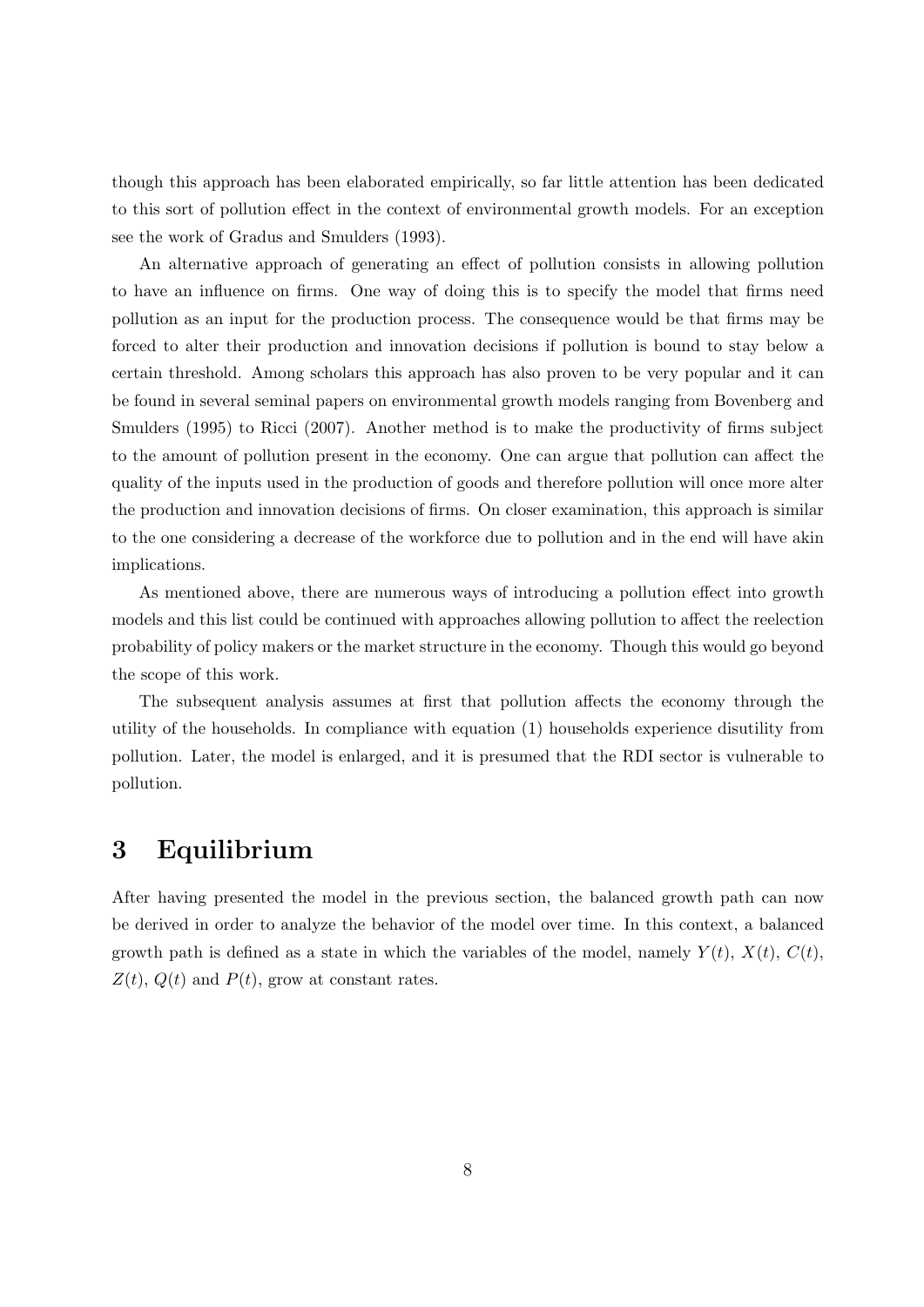though this approach has been elaborated empirically, so far little attention has been dedicated to this sort of pollution effect in the context of environmental growth models. For an exception see the work of Gradus and Smulders (1993).

An alternative approach of generating an effect of pollution consists in allowing pollution to have an influence on firms. One way of doing this is to specify the model that firms need pollution as an input for the production process. The consequence would be that firms may be forced to alter their production and innovation decisions if pollution is bound to stay below a certain threshold. Among scholars this approach has also proven to be very popular and it can be found in several seminal papers on environmental growth models ranging from Bovenberg and Smulders (1995) to Ricci (2007). Another method is to make the productivity of firms subject to the amount of pollution present in the economy. One can argue that pollution can affect the quality of the inputs used in the production of goods and therefore pollution will once more alter the production and innovation decisions of firms. On closer examination, this approach is similar to the one considering a decrease of the workforce due to pollution and in the end will have akin implications.

As mentioned above, there are numerous ways of introducing a pollution effect into growth models and this list could be continued with approaches allowing pollution to affect the reelection probability of policy makers or the market structure in the economy. Though this would go beyond the scope of this work.

The subsequent analysis assumes at first that pollution affects the economy through the utility of the households. In compliance with equation (1) households experience disutility from pollution. Later, the model is enlarged, and it is presumed that the RDI sector is vulnerable to pollution.

# 3 Equilibrium

After having presented the model in the previous section, the balanced growth path can now be derived in order to analyze the behavior of the model over time. In this context, a balanced growth path is defined as a state in which the variables of the model, namely  $Y(t)$ ,  $X(t)$ ,  $C(t)$ ,  $Z(t)$ ,  $Q(t)$  and  $P(t)$ , grow at constant rates.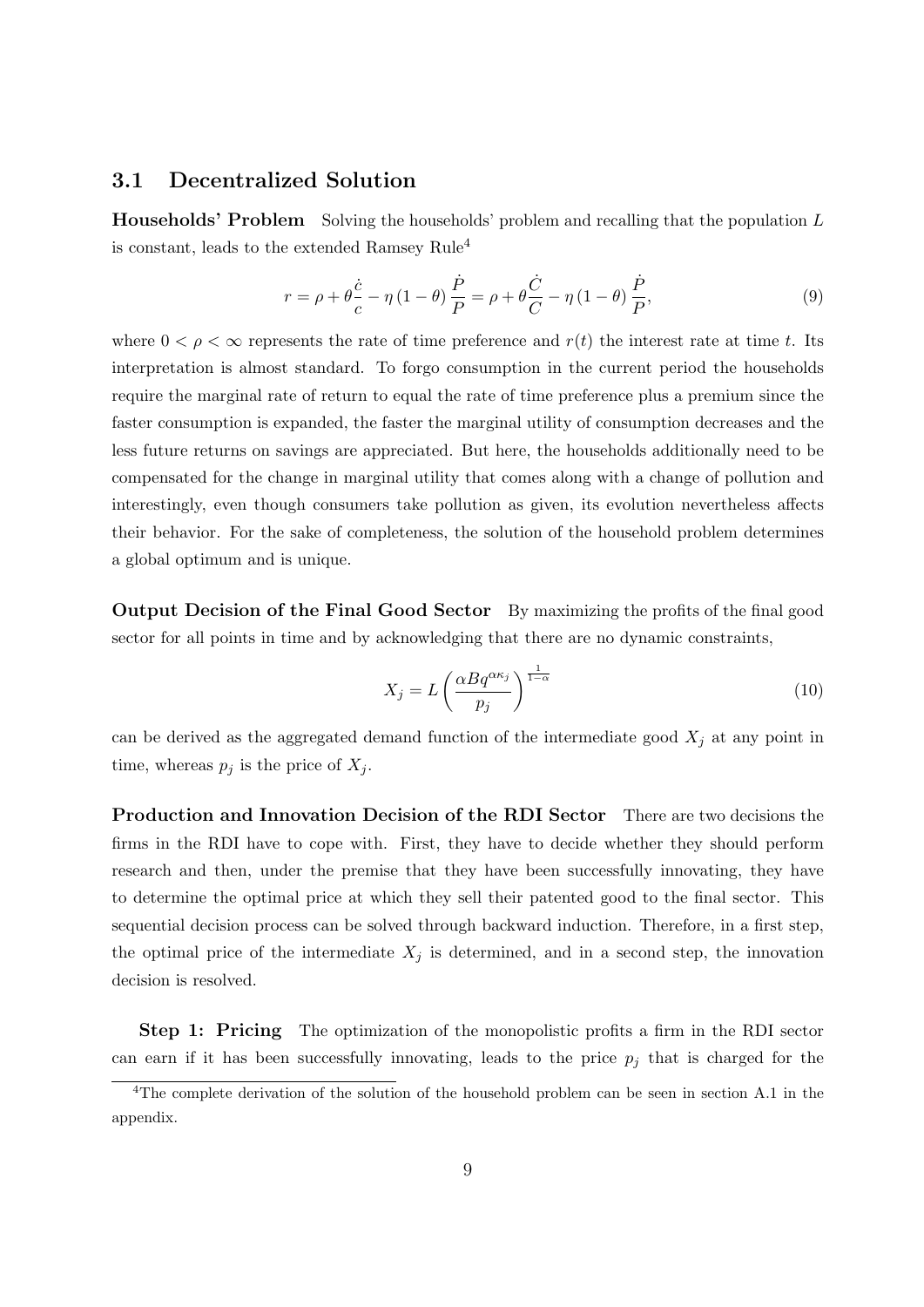#### 3.1 Decentralized Solution

Households' Problem Solving the households' problem and recalling that the population L is constant, leads to the extended Ramsey Rule<sup>4</sup>

$$
r = \rho + \theta \frac{\dot{c}}{c} - \eta \left( 1 - \theta \right) \frac{\dot{P}}{P} = \rho + \theta \frac{\dot{C}}{C} - \eta \left( 1 - \theta \right) \frac{\dot{P}}{P},\tag{9}
$$

where  $0 < \rho < \infty$  represents the rate of time preference and  $r(t)$  the interest rate at time t. Its interpretation is almost standard. To forgo consumption in the current period the households require the marginal rate of return to equal the rate of time preference plus a premium since the faster consumption is expanded, the faster the marginal utility of consumption decreases and the less future returns on savings are appreciated. But here, the households additionally need to be compensated for the change in marginal utility that comes along with a change of pollution and interestingly, even though consumers take pollution as given, its evolution nevertheless affects their behavior. For the sake of completeness, the solution of the household problem determines a global optimum and is unique.

Output Decision of the Final Good Sector By maximizing the profits of the final good sector for all points in time and by acknowledging that there are no dynamic constraints,

$$
X_j = L\left(\frac{\alpha B q^{\alpha \kappa_j}}{p_j}\right)^{\frac{1}{1-\alpha}}
$$
\n(10)

can be derived as the aggregated demand function of the intermediate good  $X_j$  at any point in time, whereas  $p_j$  is the price of  $X_j$ .

Production and Innovation Decision of the RDI Sector There are two decisions the firms in the RDI have to cope with. First, they have to decide whether they should perform research and then, under the premise that they have been successfully innovating, they have to determine the optimal price at which they sell their patented good to the final sector. This sequential decision process can be solved through backward induction. Therefore, in a first step, the optimal price of the intermediate  $X_j$  is determined, and in a second step, the innovation decision is resolved.

Step 1: Pricing The optimization of the monopolistic profits a firm in the RDI sector can earn if it has been successfully innovating, leads to the price  $p_i$  that is charged for the

<sup>&</sup>lt;sup>4</sup>The complete derivation of the solution of the household problem can be seen in section A.1 in the appendix.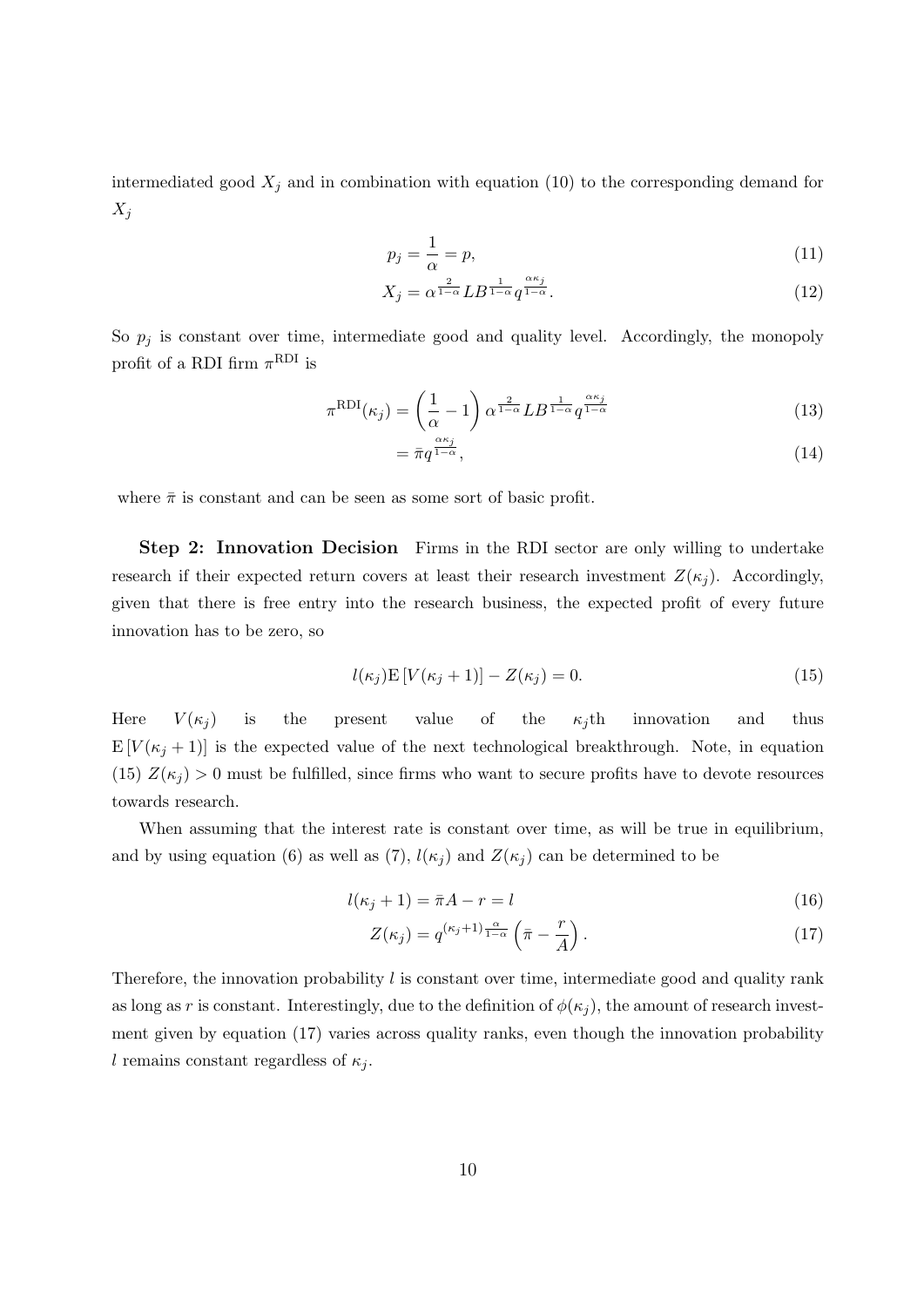intermediated good  $X_j$  and in combination with equation (10) to the corresponding demand for  $X_j$ 

$$
p_j = \frac{1}{\alpha} = p,\tag{11}
$$

$$
X_j = \alpha^{\frac{2}{1-\alpha}} L B^{\frac{1}{1-\alpha}} q^{\frac{\alpha \kappa_j}{1-\alpha}}.
$$
\n
$$
(12)
$$

So  $p_j$  is constant over time, intermediate good and quality level. Accordingly, the monopoly profit of a RDI firm  $\pi^{\rm RDI}$  is

$$
\pi^{\text{RDI}}(\kappa_j) = \left(\frac{1}{\alpha} - 1\right) \alpha^{\frac{2}{1-\alpha}} L B^{\frac{1}{1-\alpha}} q^{\frac{\alpha \kappa_j}{1-\alpha}}
$$
(13)

$$
=\bar{\pi}q^{\frac{\alpha\kappa_j}{1-\alpha}},\tag{14}
$$

where  $\bar{\pi}$  is constant and can be seen as some sort of basic profit.

Step 2: Innovation Decision Firms in the RDI sector are only willing to undertake research if their expected return covers at least their research investment  $Z(\kappa_i)$ . Accordingly, given that there is free entry into the research business, the expected profit of every future innovation has to be zero, so

$$
l(\kappa_j) \mathbf{E}\left[V(\kappa_j + 1)\right] - Z(\kappa_j) = 0. \tag{15}
$$

Here  $V(\kappa_j)$  is the present value of the  $\kappa_j$ th innovation and thus  $E[V(\kappa_j+1)]$  is the expected value of the next technological breakthrough. Note, in equation (15)  $Z(\kappa_i) > 0$  must be fulfilled, since firms who want to secure profits have to devote resources towards research.

When assuming that the interest rate is constant over time, as will be true in equilibrium, and by using equation (6) as well as (7),  $l(\kappa_i)$  and  $Z(\kappa_i)$  can be determined to be

$$
l(\kappa_j + 1) = \bar{\pi}A - r = l \tag{16}
$$

$$
Z(\kappa_j) = q^{(\kappa_j + 1)\frac{\alpha}{1-\alpha}} \left(\bar{\pi} - \frac{r}{A}\right). \tag{17}
$$

Therefore, the innovation probability  $l$  is constant over time, intermediate good and quality rank as long as r is constant. Interestingly, due to the definition of  $\phi(\kappa_i)$ , the amount of research investment given by equation (17) varies across quality ranks, even though the innovation probability l remains constant regardless of  $\kappa_i$ .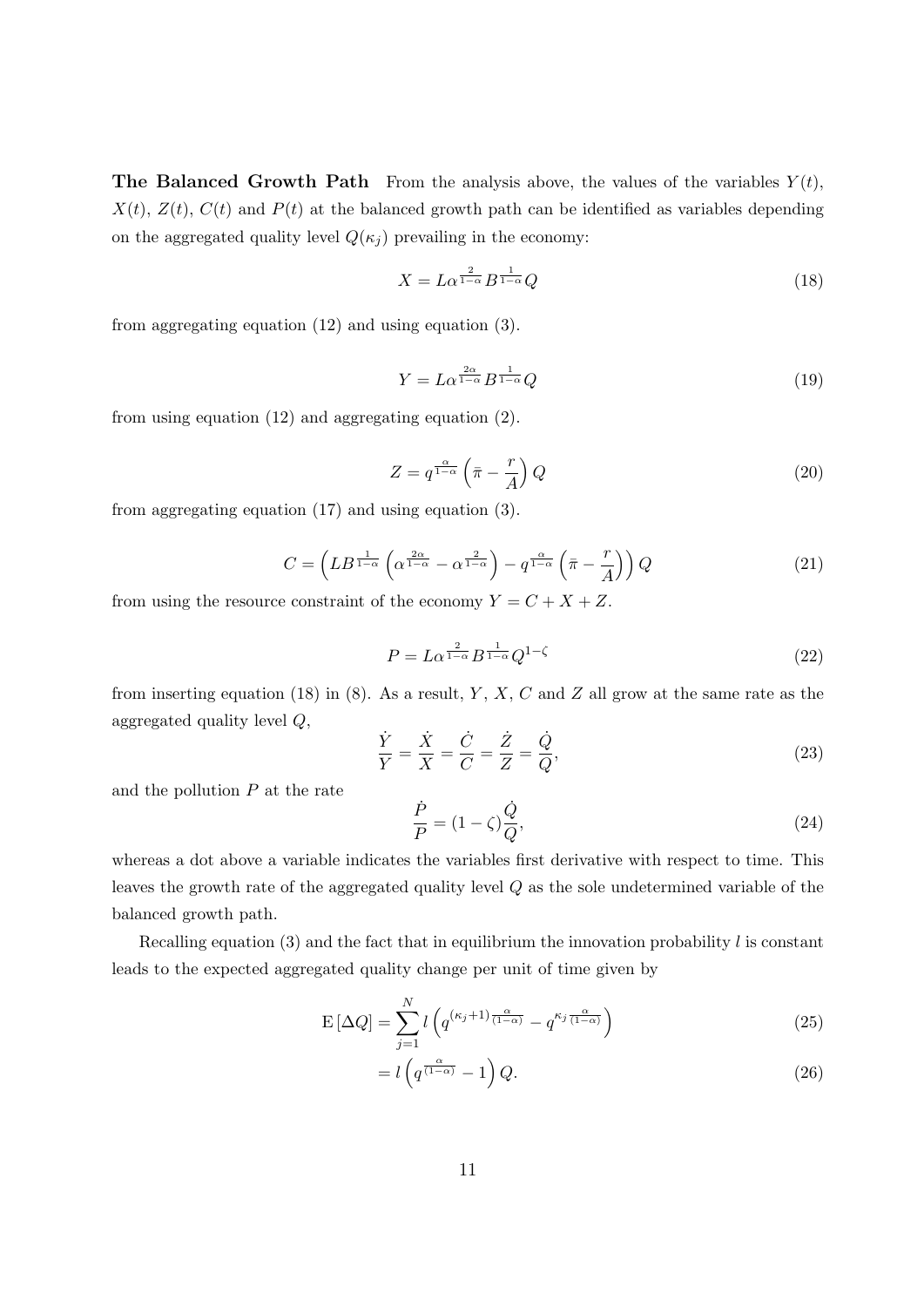**The Balanced Growth Path** From the analysis above, the values of the variables  $Y(t)$ ,  $X(t)$ ,  $Z(t)$ ,  $C(t)$  and  $P(t)$  at the balanced growth path can be identified as variables depending on the aggregated quality level  $Q(\kappa_i)$  prevailing in the economy:

$$
X = L\alpha^{\frac{2}{1-\alpha}} B^{\frac{1}{1-\alpha}} Q \tag{18}
$$

from aggregating equation (12) and using equation (3).

$$
Y = L\alpha^{\frac{2\alpha}{1-\alpha}} B^{\frac{1}{1-\alpha}} Q \tag{19}
$$

from using equation (12) and aggregating equation (2).

$$
Z = q^{\frac{\alpha}{1-\alpha}} \left(\bar{\pi} - \frac{r}{A}\right) Q \tag{20}
$$

from aggregating equation (17) and using equation (3).

$$
C = \left( LB^{\frac{1}{1-\alpha}} \left( \alpha^{\frac{2\alpha}{1-\alpha}} - \alpha^{\frac{2}{1-\alpha}} \right) - q^{\frac{\alpha}{1-\alpha}} \left( \bar{\pi} - \frac{r}{A} \right) \right) Q \tag{21}
$$

from using the resource constraint of the economy  $Y = C + X + Z$ .

$$
P = L\alpha^{\frac{2}{1-\alpha}}B^{\frac{1}{1-\alpha}}Q^{1-\zeta}
$$
\n(22)

from inserting equation (18) in (8). As a result,  $Y, X, C$  and  $Z$  all grow at the same rate as the aggregated quality level Q,

$$
\frac{\dot{Y}}{Y} = \frac{\dot{X}}{X} = \frac{\dot{C}}{C} = \frac{\dot{Z}}{Z} = \frac{\dot{Q}}{Q},\tag{23}
$$

and the pollution  $P$  at the rate

$$
\frac{\dot{P}}{P} = (1 - \zeta)\frac{\dot{Q}}{Q},\tag{24}
$$

whereas a dot above a variable indicates the variables first derivative with respect to time. This leaves the growth rate of the aggregated quality level Q as the sole undetermined variable of the balanced growth path.

Recalling equation  $(3)$  and the fact that in equilibrium the innovation probability l is constant leads to the expected aggregated quality change per unit of time given by

$$
E[\Delta Q] = \sum_{j=1}^{N} l\left(q^{(\kappa_j+1)\frac{\alpha}{(1-\alpha)}} - q^{\kappa_j \frac{\alpha}{(1-\alpha)}}\right)
$$
\n(25)

$$
= l\left(q^{\frac{\alpha}{(1-\alpha)}} - 1\right)Q.\tag{26}
$$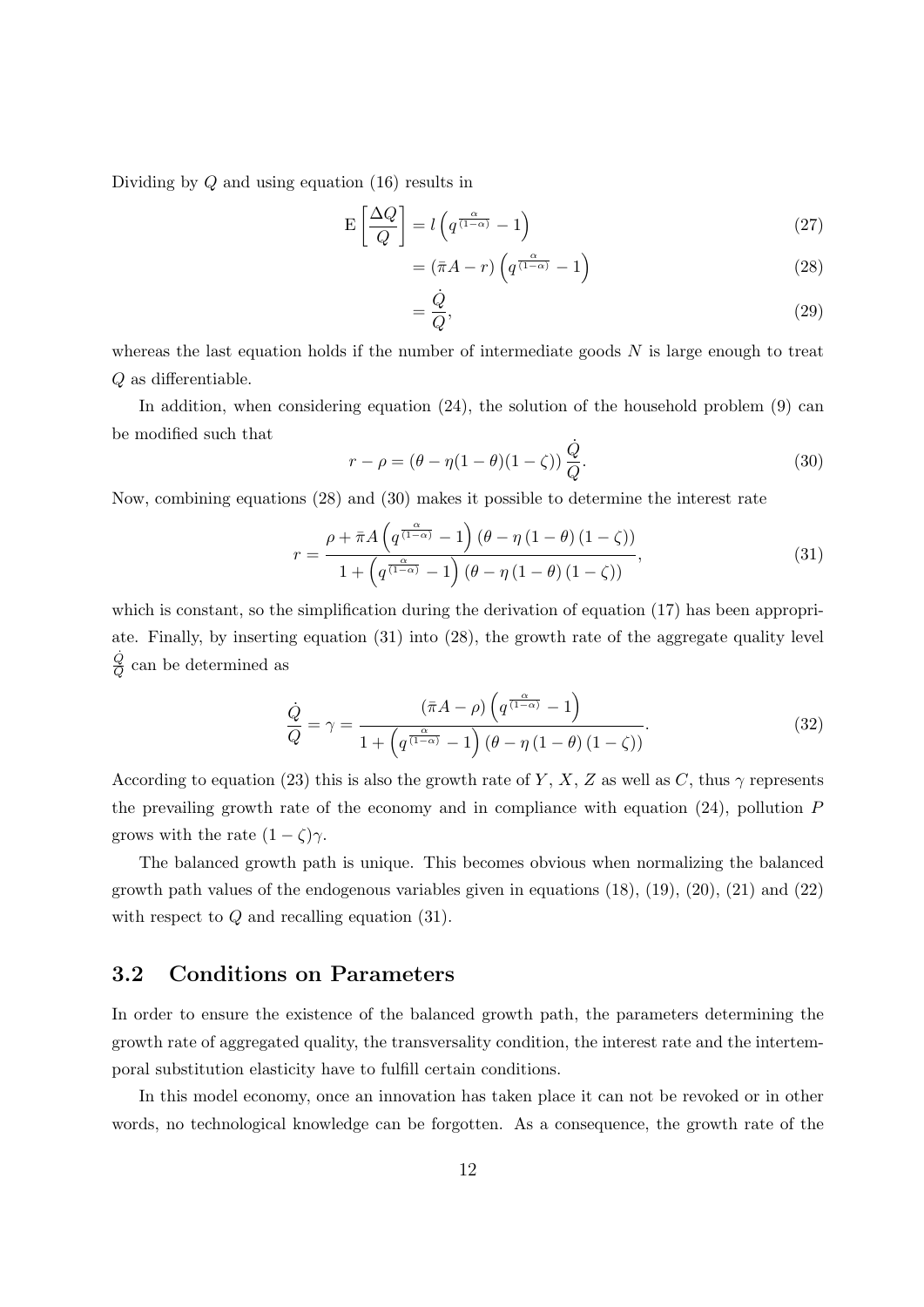Dividing by Q and using equation (16) results in

$$
E\left[\frac{\Delta Q}{Q}\right] = l\left(q^{\frac{\alpha}{(1-\alpha)}} - 1\right) \tag{27}
$$

$$
= (\bar{\pi}A - r)\left(q^{\frac{\alpha}{(1-\alpha)}} - 1\right)
$$
\n(28)

$$
=\frac{\dot{Q}}{Q},\tag{29}
$$

whereas the last equation holds if the number of intermediate goods  $N$  is large enough to treat Q as differentiable.

In addition, when considering equation (24), the solution of the household problem (9) can be modified such that

$$
r - \rho = (\theta - \eta(1 - \theta)(1 - \zeta))\frac{\dot{Q}}{Q}.
$$
\n(30)

Now, combining equations (28) and (30) makes it possible to determine the interest rate

$$
r = \frac{\rho + \bar{\pi}A\left(q^{\frac{\alpha}{(1-\alpha)}} - 1\right)(\theta - \eta(1-\theta)(1-\zeta))}{1 + \left(q^{\frac{\alpha}{(1-\alpha)}} - 1\right)(\theta - \eta(1-\theta)(1-\zeta))},\tag{31}
$$

which is constant, so the simplification during the derivation of equation (17) has been appropriate. Finally, by inserting equation (31) into (28), the growth rate of the aggregate quality level  $\dot{Q}$  $\frac{Q}{Q}$  can be determined as

$$
\frac{\dot{Q}}{Q} = \gamma = \frac{\left(\bar{\pi}A - \rho\right)\left(q^{\frac{\alpha}{\left(1-\alpha\right)}} - 1\right)}{1 + \left(q^{\frac{\alpha}{\left(1-\alpha\right)}} - 1\right)\left(\theta - \eta\left(1-\theta\right)\left(1-\zeta\right)\right)}.\tag{32}
$$

According to equation (23) this is also the growth rate of Y, X, Z as well as C, thus  $\gamma$  represents the prevailing growth rate of the economy and in compliance with equation  $(24)$ , pollution P grows with the rate  $(1 - \zeta)\gamma$ .

The balanced growth path is unique. This becomes obvious when normalizing the balanced growth path values of the endogenous variables given in equations (18), (19), (20), (21) and (22) with respect to  $Q$  and recalling equation (31).

#### 3.2 Conditions on Parameters

In order to ensure the existence of the balanced growth path, the parameters determining the growth rate of aggregated quality, the transversality condition, the interest rate and the intertemporal substitution elasticity have to fulfill certain conditions.

In this model economy, once an innovation has taken place it can not be revoked or in other words, no technological knowledge can be forgotten. As a consequence, the growth rate of the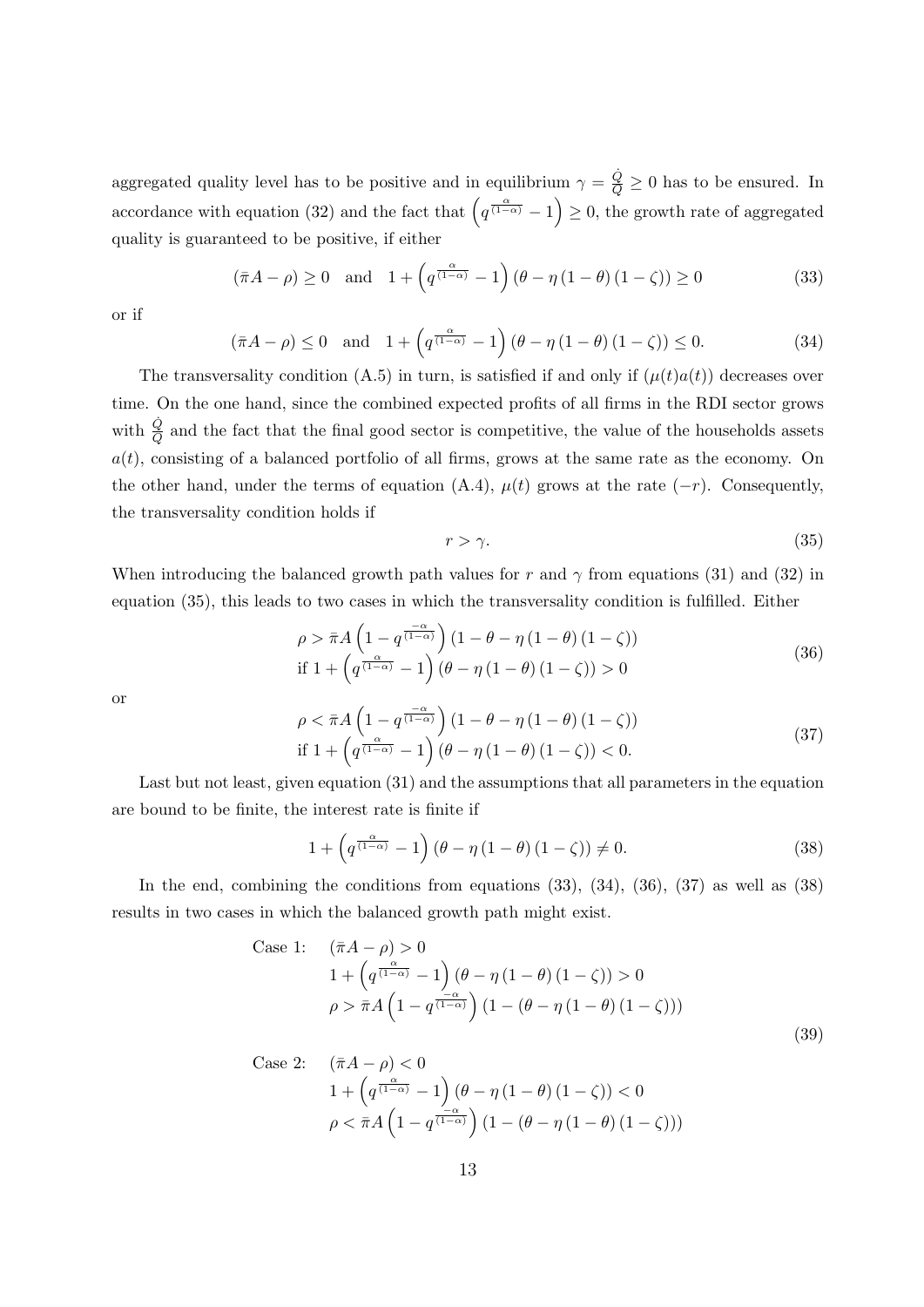aggregated quality level has to be positive and in equilibrium  $\gamma = \frac{\dot{Q}}{Q} \ge 0$  has to be ensured. In accordance with equation (32) and the fact that  $(q^{\frac{\alpha}{(1-\alpha)}}-1) \geq 0$ , the growth rate of aggregated quality is guaranteed to be positive, if either

$$
(\bar{\pi}A - \rho) \ge 0 \quad \text{and} \quad 1 + \left(q^{\frac{\alpha}{(1-\alpha)}} - 1\right)(\theta - \eta(1-\theta)(1-\zeta)) \ge 0 \tag{33}
$$

or if

$$
(\bar{\pi}A - \rho) \le 0 \quad \text{and} \quad 1 + \left(q^{\frac{\alpha}{(1-\alpha)}} - 1\right)(\theta - \eta(1-\theta)(1-\zeta)) \le 0. \tag{34}
$$

The transversality condition (A.5) in turn, is satisfied if and only if  $(\mu(t)a(t))$  decreases over time. On the one hand, since the combined expected profits of all firms in the RDI sector grows with  $\frac{\dot{Q}}{Q}$  and the fact that the final good sector is competitive, the value of the households assets  $a(t)$ , consisting of a balanced portfolio of all firms, grows at the same rate as the economy. On the other hand, under the terms of equation (A.4),  $\mu(t)$  grows at the rate (−r). Consequently, the transversality condition holds if

$$
r > \gamma. \tag{35}
$$

When introducing the balanced growth path values for r and  $\gamma$  from equations (31) and (32) in equation (35), this leads to two cases in which the transversality condition is fulfilled. Either

$$
\rho > \bar{\pi}A\left(1 - q^{\frac{-\alpha}{(1-\alpha)}}\right)\left(1 - \theta - \eta\left(1 - \theta\right)\left(1 - \zeta\right)\right)
$$
  
if  $1 + \left(q^{\frac{\alpha}{(1-\alpha)}} - 1\right)\left(\theta - \eta\left(1 - \theta\right)\left(1 - \zeta\right)\right) > 0$  (36)

or

$$
\rho < \bar{\pi}A\left(1 - q^{\frac{-\alpha}{(1-\alpha)}}\right)\left(1 - \theta - \eta\left(1 - \theta\right)\left(1 - \zeta\right)\right) \text{ if } 1 + \left(q^{\frac{\alpha}{(1-\alpha)}} - 1\right)\left(\theta - \eta\left(1 - \theta\right)\left(1 - \zeta\right)\right) < 0. \tag{37}
$$

Last but not least, given equation (31) and the assumptions that all parameters in the equation are bound to be finite, the interest rate is finite if

$$
1 + \left(q^{\frac{\alpha}{(1-\alpha)}} - 1\right)\left(\theta - \eta\left(1-\theta\right)\left(1-\zeta\right)\right) \neq 0. \tag{38}
$$

In the end, combining the conditions from equations  $(33)$ ,  $(34)$ ,  $(36)$ ,  $(37)$  as well as  $(38)$ results in two cases in which the balanced growth path might exist.

Case 1: 
$$
(\bar{\pi}A - \rho) > 0
$$

$$
1 + \left(q^{\frac{\alpha}{(1-\alpha)}} - 1\right)(\theta - \eta(1-\theta)(1-\zeta)) > 0
$$

$$
\rho > \bar{\pi}A\left(1 - q^{\frac{-\alpha}{(1-\alpha)}}\right)(1 - (\theta - \eta(1-\theta)(1-\zeta)))
$$
(39)

Case 2: 
$$
(\bar{\pi}A - \rho) < 0
$$

$$
1 + \left(q^{\frac{\alpha}{(1-\alpha)}} - 1\right)(\theta - \eta(1-\theta)(1-\zeta)) < 0
$$

$$
\rho < \bar{\pi}A\left(1 - q^{\frac{-\alpha}{(1-\alpha)}}\right)(1 - (\theta - \eta(1-\theta)(1-\zeta)))
$$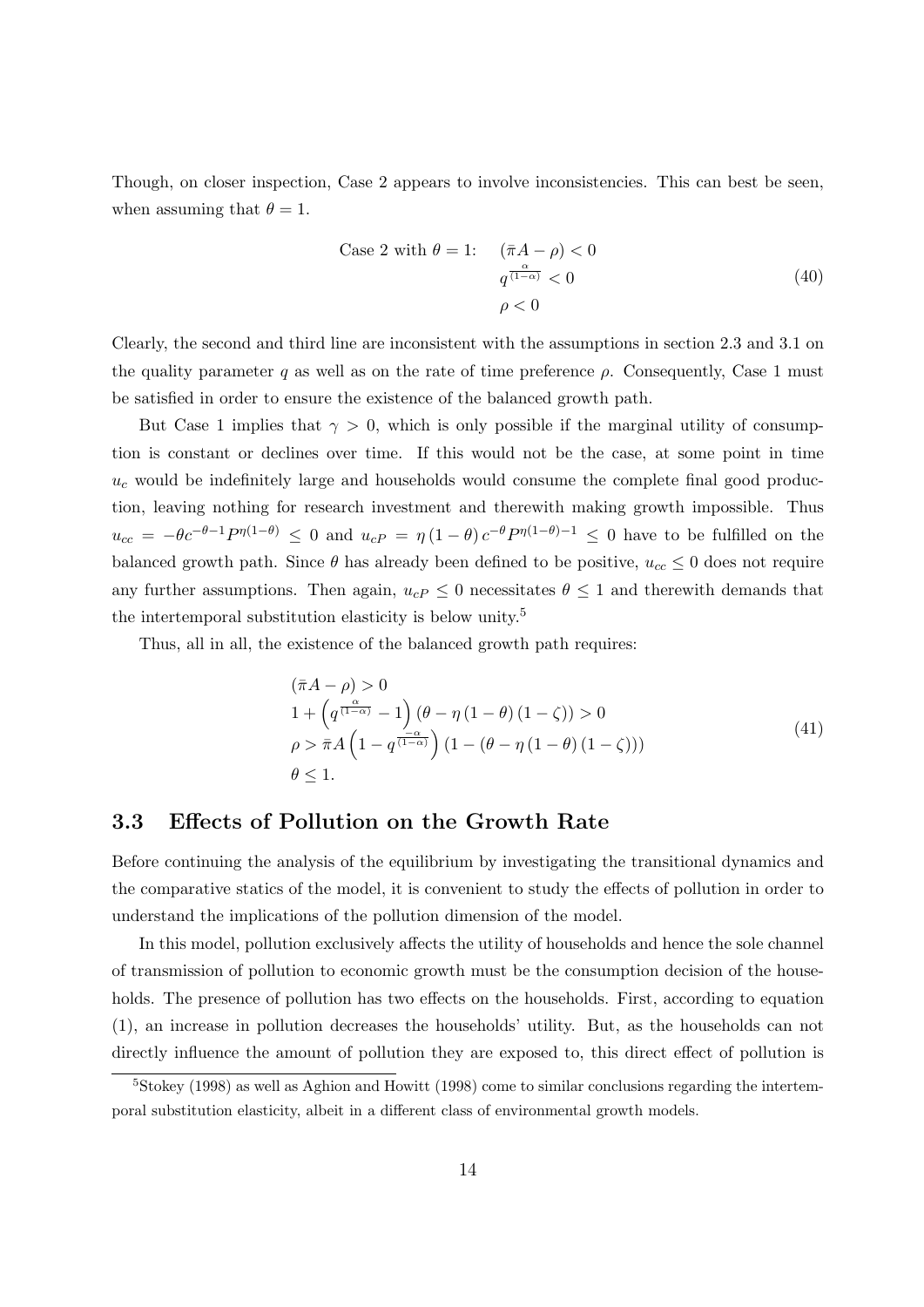Though, on closer inspection, Case 2 appears to involve inconsistencies. This can best be seen, when assuming that  $\theta = 1$ .

Case 2 with 
$$
\theta = 1
$$
:  $(\bar{\pi}A - \rho) < 0$   
\n $q^{\frac{\alpha}{(1-\alpha)}} < 0$   
\n $\rho < 0$  (40)

Clearly, the second and third line are inconsistent with the assumptions in section 2.3 and 3.1 on the quality parameter q as well as on the rate of time preference  $\rho$ . Consequently, Case 1 must be satisfied in order to ensure the existence of the balanced growth path.

But Case 1 implies that  $\gamma > 0$ , which is only possible if the marginal utility of consumption is constant or declines over time. If this would not be the case, at some point in time  $u_c$  would be indefinitely large and households would consume the complete final good production, leaving nothing for research investment and therewith making growth impossible. Thus  $u_{cc} = -\theta c^{-\theta-1} P^{\eta(1-\theta)} \leq 0$  and  $u_{cP} = \eta(1-\theta) c^{-\theta} P^{\eta(1-\theta)-1} \leq 0$  have to be fulfilled on the balanced growth path. Since  $\theta$  has already been defined to be positive,  $u_{cc} \leq 0$  does not require any further assumptions. Then again,  $u_{cP} \leq 0$  necessitates  $\theta \leq 1$  and therewith demands that the intertemporal substitution elasticity is below unity.<sup>5</sup>

Thus, all in all, the existence of the balanced growth path requires:

$$
(\bar{\pi}A - \rho) > 0
$$
  
\n
$$
1 + \left(q^{\frac{\alpha}{(1-\alpha)}} - 1\right)(\theta - \eta(1-\theta)(1-\zeta)) > 0
$$
  
\n
$$
\rho > \bar{\pi}A\left(1 - q^{\frac{-\alpha}{(1-\alpha)}}\right)(1 - (\theta - \eta(1-\theta)(1-\zeta)))
$$
  
\n
$$
\theta \le 1.
$$
\n(41)

#### 3.3 Effects of Pollution on the Growth Rate

Before continuing the analysis of the equilibrium by investigating the transitional dynamics and the comparative statics of the model, it is convenient to study the effects of pollution in order to understand the implications of the pollution dimension of the model.

In this model, pollution exclusively affects the utility of households and hence the sole channel of transmission of pollution to economic growth must be the consumption decision of the households. The presence of pollution has two effects on the households. First, according to equation (1), an increase in pollution decreases the households' utility. But, as the households can not directly influence the amount of pollution they are exposed to, this direct effect of pollution is

<sup>5</sup>Stokey (1998) as well as Aghion and Howitt (1998) come to similar conclusions regarding the intertemporal substitution elasticity, albeit in a different class of environmental growth models.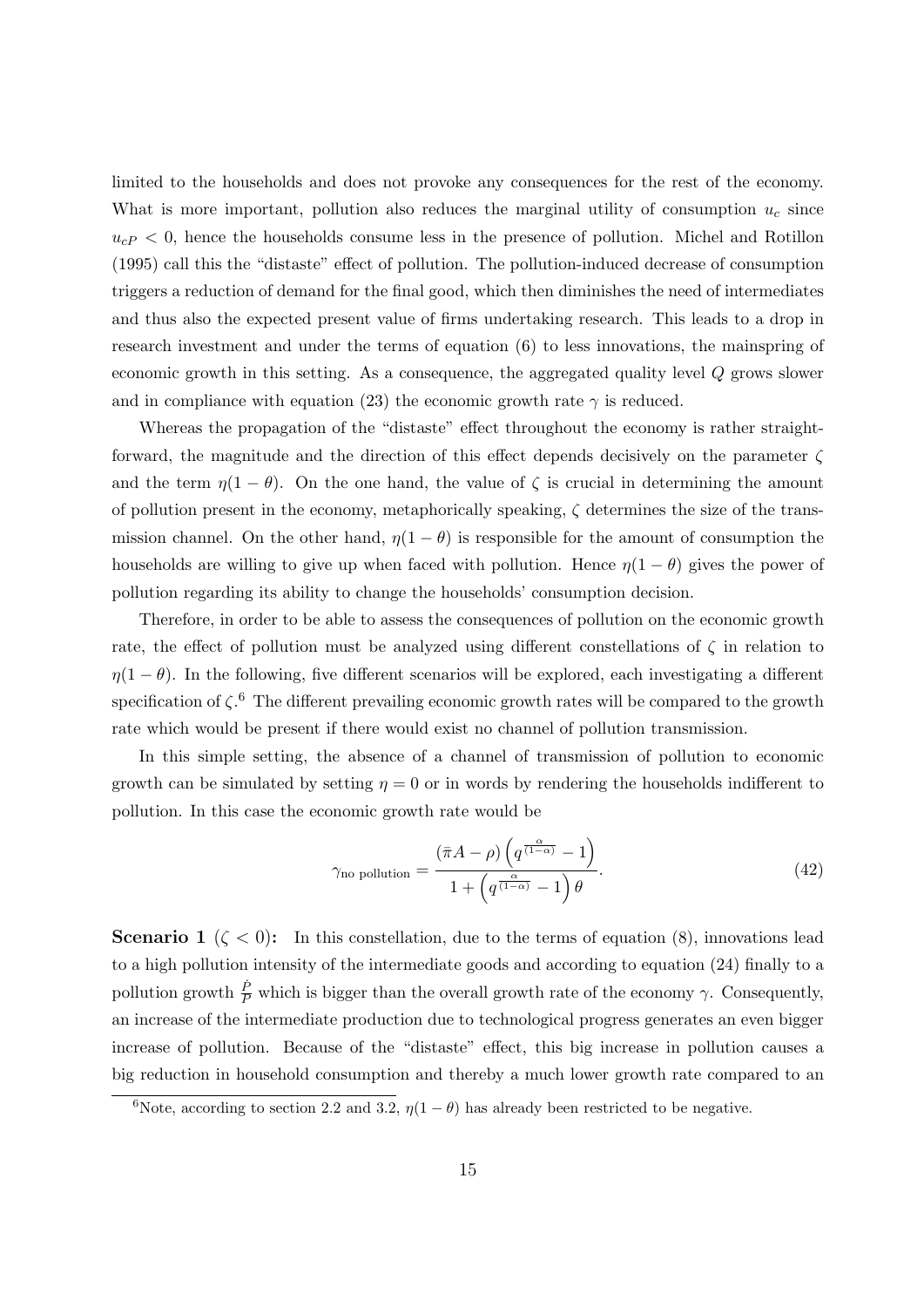limited to the households and does not provoke any consequences for the rest of the economy. What is more important, pollution also reduces the marginal utility of consumption  $u_c$  since  $u_{cP}$  < 0, hence the households consume less in the presence of pollution. Michel and Rotillon (1995) call this the "distaste" effect of pollution. The pollution-induced decrease of consumption triggers a reduction of demand for the final good, which then diminishes the need of intermediates and thus also the expected present value of firms undertaking research. This leads to a drop in research investment and under the terms of equation (6) to less innovations, the mainspring of economic growth in this setting. As a consequence, the aggregated quality level Q grows slower and in compliance with equation (23) the economic growth rate  $\gamma$  is reduced.

Whereas the propagation of the "distaste" effect throughout the economy is rather straightforward, the magnitude and the direction of this effect depends decisively on the parameter  $\zeta$ and the term  $\eta(1-\theta)$ . On the one hand, the value of  $\zeta$  is crucial in determining the amount of pollution present in the economy, metaphorically speaking,  $\zeta$  determines the size of the transmission channel. On the other hand,  $\eta(1-\theta)$  is responsible for the amount of consumption the households are willing to give up when faced with pollution. Hence  $\eta(1-\theta)$  gives the power of pollution regarding its ability to change the households' consumption decision.

Therefore, in order to be able to assess the consequences of pollution on the economic growth rate, the effect of pollution must be analyzed using different constellations of  $\zeta$  in relation to  $\eta(1-\theta)$ . In the following, five different scenarios will be explored, each investigating a different specification of  $\zeta$ <sup>6</sup>. The different prevailing economic growth rates will be compared to the growth rate which would be present if there would exist no channel of pollution transmission.

In this simple setting, the absence of a channel of transmission of pollution to economic growth can be simulated by setting  $\eta = 0$  or in words by rendering the households indifferent to pollution. In this case the economic growth rate would be

$$
\gamma_{\text{no pollution}} = \frac{(\bar{\pi}A - \rho) \left( q^{\frac{\alpha}{(1-\alpha)}} - 1 \right)}{1 + \left( q^{\frac{\alpha}{(1-\alpha)}} - 1 \right) \theta}.
$$
\n(42)

**Scenario 1** ( $\zeta$  < 0): In this constellation, due to the terms of equation (8), innovations lead to a high pollution intensity of the intermediate goods and according to equation (24) finally to a pollution growth  $\frac{\dot{P}}{P}$  which is bigger than the overall growth rate of the economy  $\gamma$ . Consequently, an increase of the intermediate production due to technological progress generates an even bigger increase of pollution. Because of the "distaste" effect, this big increase in pollution causes a big reduction in household consumption and thereby a much lower growth rate compared to an

<sup>&</sup>lt;sup>6</sup>Note, according to section 2.2 and 3.2,  $\eta(1-\theta)$  has already been restricted to be negative.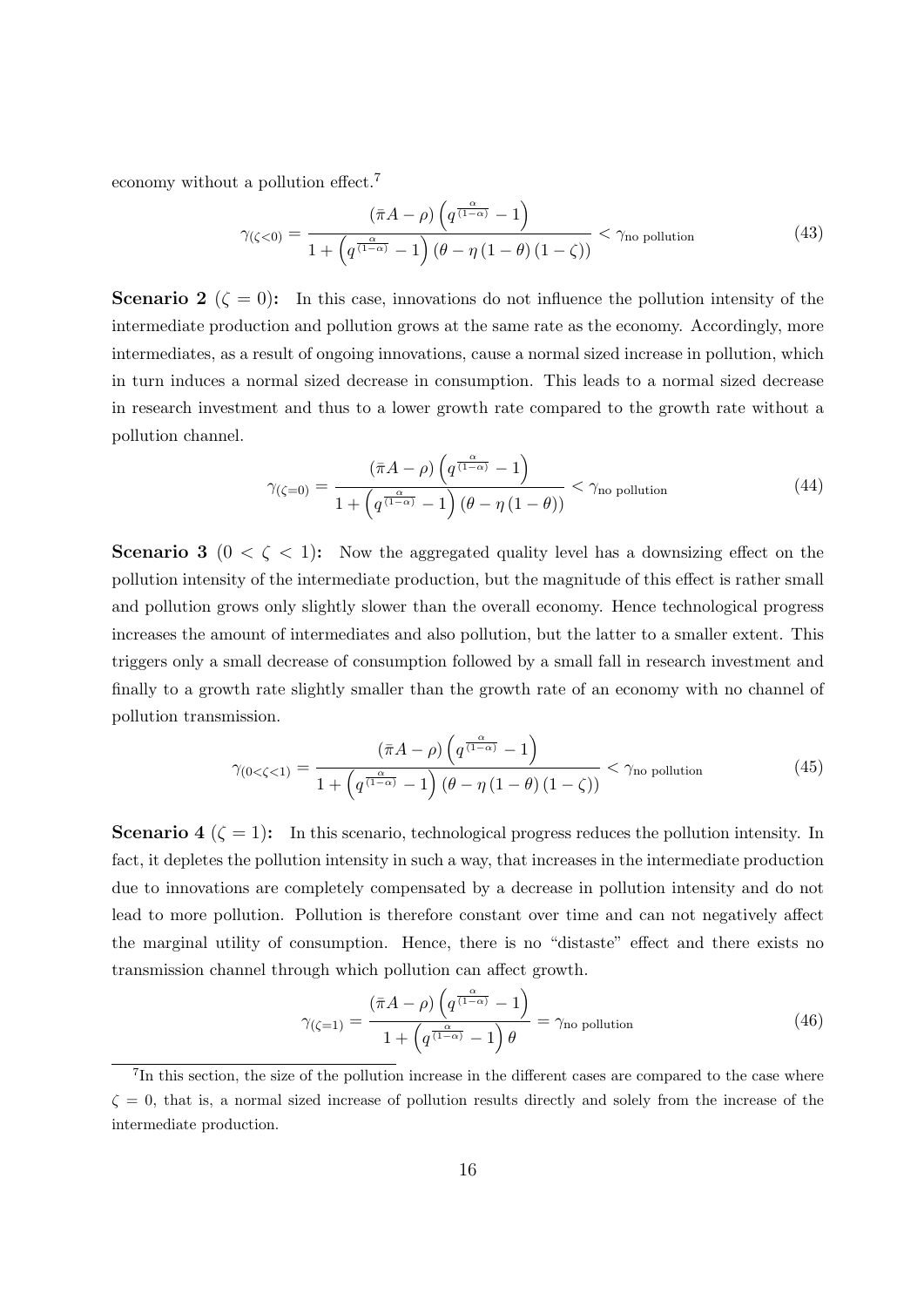economy without a pollution effect.<sup>7</sup>

$$
\gamma_{(\zeta<0)} = \frac{(\bar{\pi}A - \rho) \left( q^{\frac{\alpha}{(1-\alpha)}} - 1 \right)}{1 + \left( q^{\frac{\alpha}{(1-\alpha)}} - 1 \right) (\theta - \eta (1-\theta) (1-\zeta))} < \gamma_{\text{no pollution}} \tag{43}
$$

**Scenario 2** ( $\zeta = 0$ ): In this case, innovations do not influence the pollution intensity of the intermediate production and pollution grows at the same rate as the economy. Accordingly, more intermediates, as a result of ongoing innovations, cause a normal sized increase in pollution, which in turn induces a normal sized decrease in consumption. This leads to a normal sized decrease in research investment and thus to a lower growth rate compared to the growth rate without a pollution channel.

$$
\gamma_{(\zeta=0)} = \frac{(\bar{\pi}A - \rho) \left( q^{\frac{\alpha}{(1-\alpha)}} - 1 \right)}{1 + \left( q^{\frac{\alpha}{(1-\alpha)}} - 1 \right) (\theta - \eta (1-\theta))} < \gamma_{\text{no pollution}} \tag{44}
$$

**Scenario 3**  $(0 < \zeta < 1)$ : Now the aggregated quality level has a downsizing effect on the pollution intensity of the intermediate production, but the magnitude of this effect is rather small and pollution grows only slightly slower than the overall economy. Hence technological progress increases the amount of intermediates and also pollution, but the latter to a smaller extent. This triggers only a small decrease of consumption followed by a small fall in research investment and finally to a growth rate slightly smaller than the growth rate of an economy with no channel of pollution transmission.

$$
\gamma_{(0<\zeta<1)} = \frac{(\bar{\pi}A - \rho) \left( q^{\frac{\alpha}{(1-\alpha)}} - 1 \right)}{1 + \left( q^{\frac{\alpha}{(1-\alpha)}} - 1 \right) (\theta - \eta (1-\theta) (1-\zeta))} < \gamma_{\text{no pollution}} \tag{45}
$$

**Scenario 4** ( $\zeta = 1$ ): In this scenario, technological progress reduces the pollution intensity. In fact, it depletes the pollution intensity in such a way, that increases in the intermediate production due to innovations are completely compensated by a decrease in pollution intensity and do not lead to more pollution. Pollution is therefore constant over time and can not negatively affect the marginal utility of consumption. Hence, there is no "distaste" effect and there exists no transmission channel through which pollution can affect growth.

$$
\gamma_{\left(\zeta=1\right)} = \frac{\left(\bar{\pi}A - \rho\right)\left(q^{\frac{\alpha}{\left(1-\alpha\right)}} - 1\right)}{1 + \left(q^{\frac{\alpha}{\left(1-\alpha\right)}} - 1\right)\theta} = \gamma_{\text{no pollution}} \tag{46}
$$

<sup>&</sup>lt;sup>7</sup>In this section, the size of the pollution increase in the different cases are compared to the case where  $\zeta = 0$ , that is, a normal sized increase of pollution results directly and solely from the increase of the intermediate production.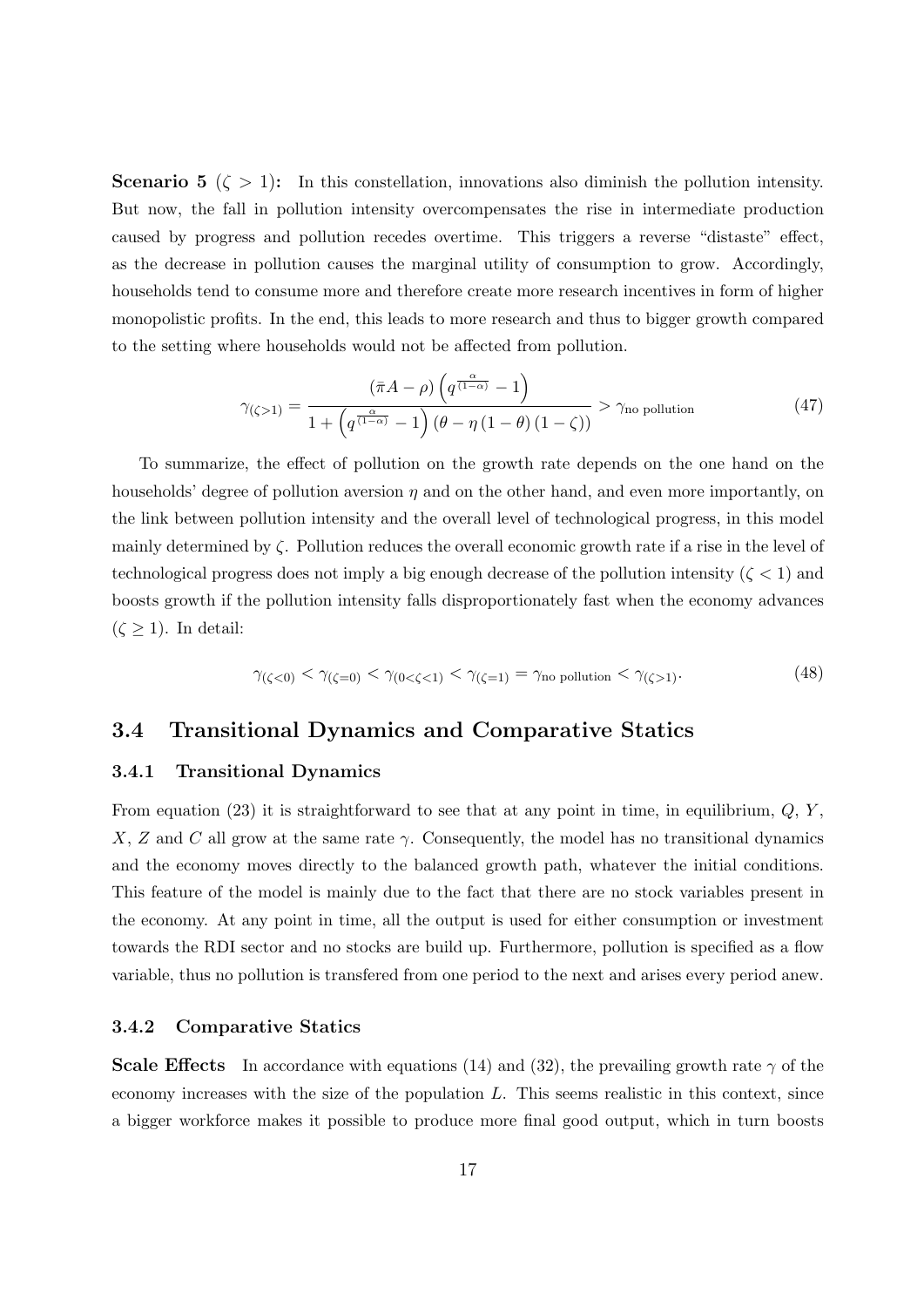**Scenario 5** ( $\zeta > 1$ ): In this constellation, innovations also diminish the pollution intensity. But now, the fall in pollution intensity overcompensates the rise in intermediate production caused by progress and pollution recedes overtime. This triggers a reverse "distaste" effect, as the decrease in pollution causes the marginal utility of consumption to grow. Accordingly, households tend to consume more and therefore create more research incentives in form of higher monopolistic profits. In the end, this leads to more research and thus to bigger growth compared to the setting where households would not be affected from pollution.

$$
\gamma_{(\zeta>1)} = \frac{(\bar{\pi}A - \rho) \left( q^{\frac{\alpha}{(1-\alpha)}} - 1 \right)}{1 + \left( q^{\frac{\alpha}{(1-\alpha)}} - 1 \right) (\theta - \eta (1-\theta) (1-\zeta))} > \gamma_{\text{no pollution}} \tag{47}
$$

To summarize, the effect of pollution on the growth rate depends on the one hand on the households' degree of pollution aversion  $\eta$  and on the other hand, and even more importantly, on the link between pollution intensity and the overall level of technological progress, in this model mainly determined by  $\zeta$ . Pollution reduces the overall economic growth rate if a rise in the level of technological progress does not imply a big enough decrease of the pollution intensity  $(\zeta \leq 1)$  and boosts growth if the pollution intensity falls disproportionately fast when the economy advances  $(\zeta \geq 1)$ . In detail:

$$
\gamma_{(\zeta<0)} < \gamma_{(\zeta=0)} < \gamma_{(0<\zeta<1)} < \gamma_{(\zeta=1)} = \gamma_{\text{no pollution}} < \gamma_{(\zeta>1)}.
$$
\n(48)

#### 3.4 Transitional Dynamics and Comparative Statics

#### 3.4.1 Transitional Dynamics

From equation (23) it is straightforward to see that at any point in time, in equilibrium,  $Q, Y$ , X, Z and C all grow at the same rate  $\gamma$ . Consequently, the model has no transitional dynamics and the economy moves directly to the balanced growth path, whatever the initial conditions. This feature of the model is mainly due to the fact that there are no stock variables present in the economy. At any point in time, all the output is used for either consumption or investment towards the RDI sector and no stocks are build up. Furthermore, pollution is specified as a flow variable, thus no pollution is transfered from one period to the next and arises every period anew.

#### 3.4.2 Comparative Statics

**Scale Effects** In accordance with equations (14) and (32), the prevailing growth rate  $\gamma$  of the economy increases with the size of the population  $L$ . This seems realistic in this context, since a bigger workforce makes it possible to produce more final good output, which in turn boosts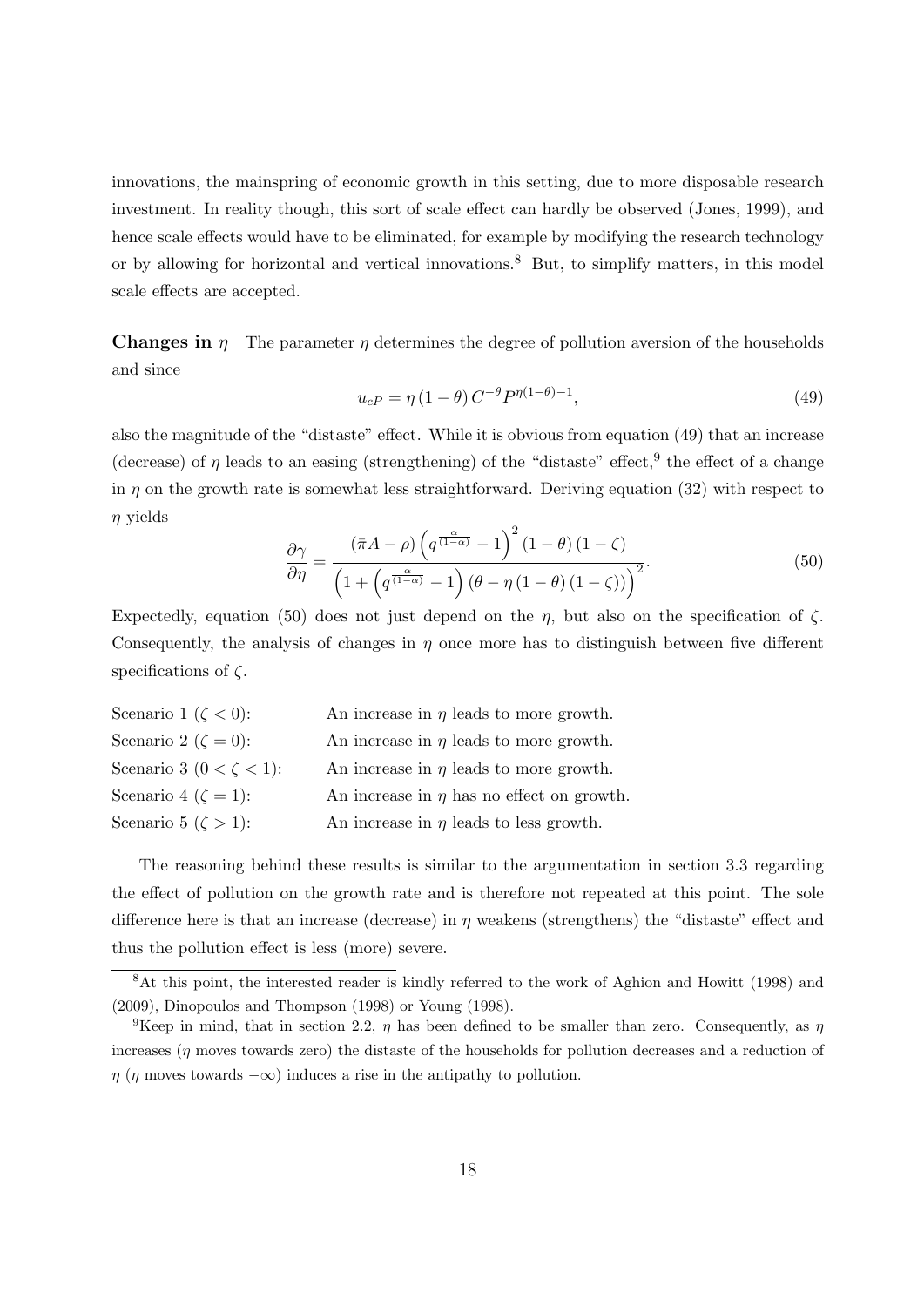innovations, the mainspring of economic growth in this setting, due to more disposable research investment. In reality though, this sort of scale effect can hardly be observed (Jones, 1999), and hence scale effects would have to be eliminated, for example by modifying the research technology or by allowing for horizontal and vertical innovations.<sup>8</sup> But, to simplify matters, in this model scale effects are accepted.

**Changes in**  $\eta$  The parameter  $\eta$  determines the degree of pollution aversion of the households and since

$$
u_{cP} = \eta (1 - \theta) C^{-\theta} P^{\eta (1 - \theta) - 1},
$$
\n(49)

also the magnitude of the "distaste" effect. While it is obvious from equation (49) that an increase (decrease) of  $\eta$  leads to an easing (strengthening) of the "distaste" effect,<sup>9</sup> the effect of a change in  $\eta$  on the growth rate is somewhat less straightforward. Deriving equation (32) with respect to  $\eta$  yields

$$
\frac{\partial \gamma}{\partial \eta} = \frac{(\bar{\pi}A - \rho) \left( q^{\frac{\alpha}{(1-\alpha)}} - 1 \right)^2 (1-\theta) (1-\zeta)}{\left( 1 + \left( q^{\frac{\alpha}{(1-\alpha)}} - 1 \right) (\theta - \eta (1-\theta) (1-\zeta)) \right)^2}.
$$
\n(50)

Expectedly, equation (50) does not just depend on the  $\eta$ , but also on the specification of  $\zeta$ . Consequently, the analysis of changes in  $\eta$  once more has to distinguish between five different specifications of  $\zeta$ .

Scenario 1 ( $\zeta$  < 0): An increase in  $\eta$  leads to more growth. Scenario 2 ( $\zeta = 0$ ): An increase in *n* leads to more growth. Scenario 3 ( $0 < \zeta < 1$ ): An increase in  $\eta$  leads to more growth. Scenario 4 ( $\zeta = 1$ ): An increase in  $\eta$  has no effect on growth. Scenario 5 ( $\zeta > 1$ ): An increase in  $\eta$  leads to less growth.

The reasoning behind these results is similar to the argumentation in section 3.3 regarding the effect of pollution on the growth rate and is therefore not repeated at this point. The sole difference here is that an increase (decrease) in  $\eta$  weakens (strengthens) the "distaste" effect and thus the pollution effect is less (more) severe.

<sup>&</sup>lt;sup>8</sup>At this point, the interested reader is kindly referred to the work of Aghion and Howitt (1998) and (2009), Dinopoulos and Thompson (1998) or Young (1998).

<sup>&</sup>lt;sup>9</sup>Keep in mind, that in section 2.2,  $\eta$  has been defined to be smaller than zero. Consequently, as  $\eta$ increases  $(\eta$  moves towards zero) the distaste of the households for pollution decreases and a reduction of  $\eta$  ( $\eta$  moves towards  $-\infty$ ) induces a rise in the antipathy to pollution.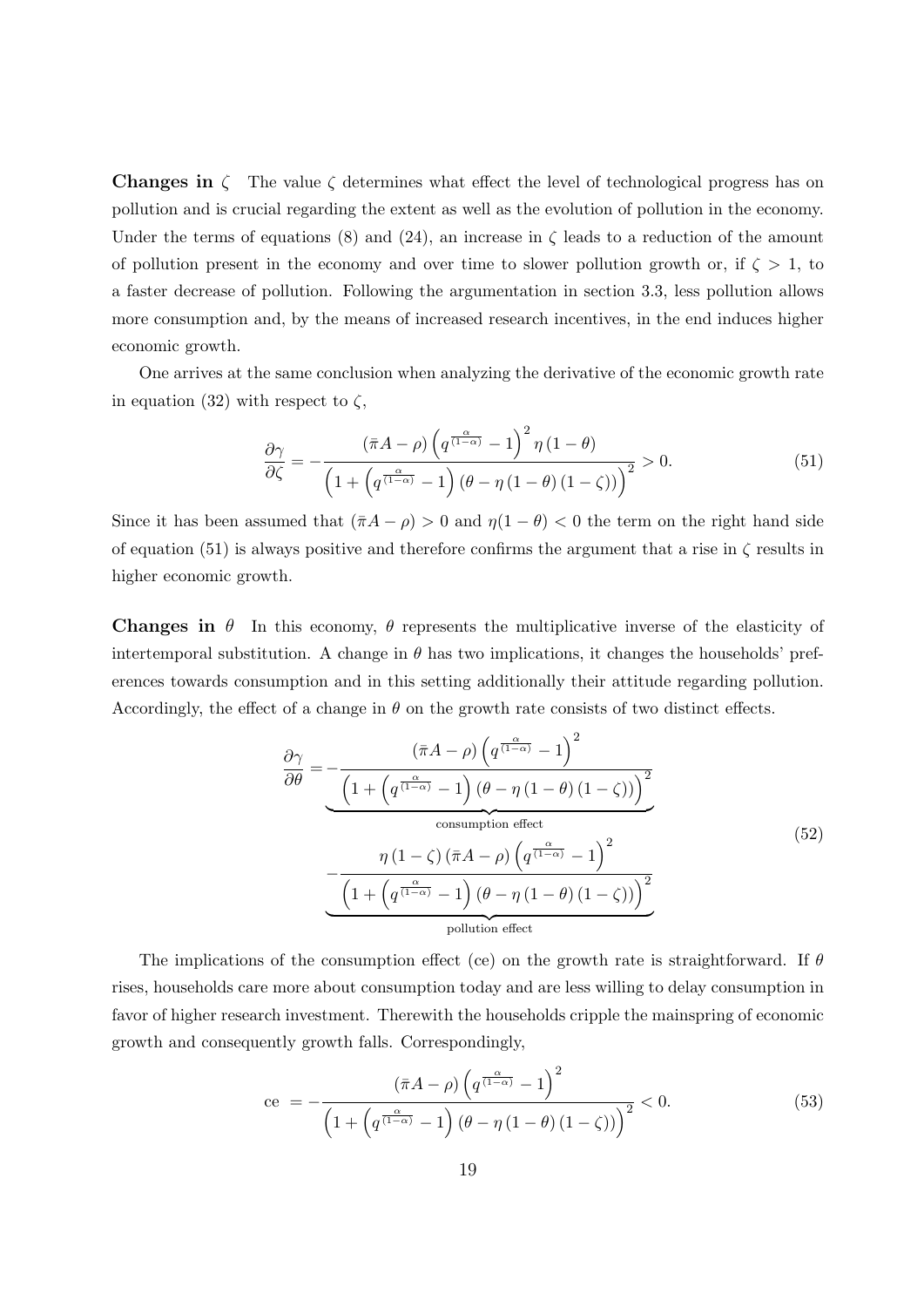**Changes in**  $\zeta$  The value  $\zeta$  determines what effect the level of technological progress has on pollution and is crucial regarding the extent as well as the evolution of pollution in the economy. Under the terms of equations (8) and (24), an increase in  $\zeta$  leads to a reduction of the amount of pollution present in the economy and over time to slower pollution growth or, if  $\zeta > 1$ , to a faster decrease of pollution. Following the argumentation in section 3.3, less pollution allows more consumption and, by the means of increased research incentives, in the end induces higher economic growth.

One arrives at the same conclusion when analyzing the derivative of the economic growth rate in equation (32) with respect to  $\zeta$ ,

$$
\frac{\partial \gamma}{\partial \zeta} = -\frac{\left(\bar{\pi}A - \rho\right)\left(q^{\frac{\alpha}{\left(1-\alpha\right)}} - 1\right)^2 \eta \left(1-\theta\right)}{\left(1 + \left(q^{\frac{\alpha}{\left(1-\alpha\right)}} - 1\right)\left(\theta - \eta\left(1-\theta\right)\left(1-\zeta\right)\right)\right)^2} > 0. \tag{51}
$$

Since it has been assumed that  $(\bar{\pi}A - \rho) > 0$  and  $\eta(1 - \theta) < 0$  the term on the right hand side of equation (51) is always positive and therefore confirms the argument that a rise in  $\zeta$  results in higher economic growth.

Changes in  $\theta$  In this economy,  $\theta$  represents the multiplicative inverse of the elasticity of intertemporal substitution. A change in  $\theta$  has two implications, it changes the households' preferences towards consumption and in this setting additionally their attitude regarding pollution. Accordingly, the effect of a change in  $\theta$  on the growth rate consists of two distinct effects.

$$
\frac{\partial \gamma}{\partial \theta} = -\frac{(\bar{\pi}A - \rho) \left(q^{\frac{\alpha}{(1-\alpha)}} - 1\right)^2}{\left(1 + \left(q^{\frac{\alpha}{(1-\alpha)}} - 1\right) \left(\theta - \eta \left(1 - \theta\right) \left(1 - \zeta\right)\right)\right)^2}
$$
  
\n
$$
\frac{\eta \left(1 - \zeta\right) (\bar{\pi}A - \rho) \left(q^{\frac{\alpha}{(1-\alpha)}} - 1\right)^2}{\left(1 + \left(q^{\frac{\alpha}{(1-\alpha)}} - 1\right) \left(\theta - \eta \left(1 - \theta\right) \left(1 - \zeta\right)\right)\right)^2}
$$
  
\n
$$
\frac{\left(1 + \left(q^{\frac{\alpha}{(1-\alpha)}} - 1\right) \left(\theta - \eta \left(1 - \theta\right) \left(1 - \zeta\right)\right)\right)^2}{\text{polution effect}}
$$
\n(52)

The implications of the consumption effect (ce) on the growth rate is straightforward. If  $\theta$ rises, households care more about consumption today and are less willing to delay consumption in favor of higher research investment. Therewith the households cripple the mainspring of economic growth and consequently growth falls. Correspondingly,

$$
\text{ce } = -\frac{\left(\bar{\pi}A - \rho\right)\left(q^{\frac{\alpha}{\left(1-\alpha\right)}} - 1\right)^2}{\left(1 + \left(q^{\frac{\alpha}{\left(1-\alpha\right)}} - 1\right)\left(\theta - \eta\left(1-\theta\right)\left(1-\zeta\right)\right)\right)^2} < 0. \tag{53}
$$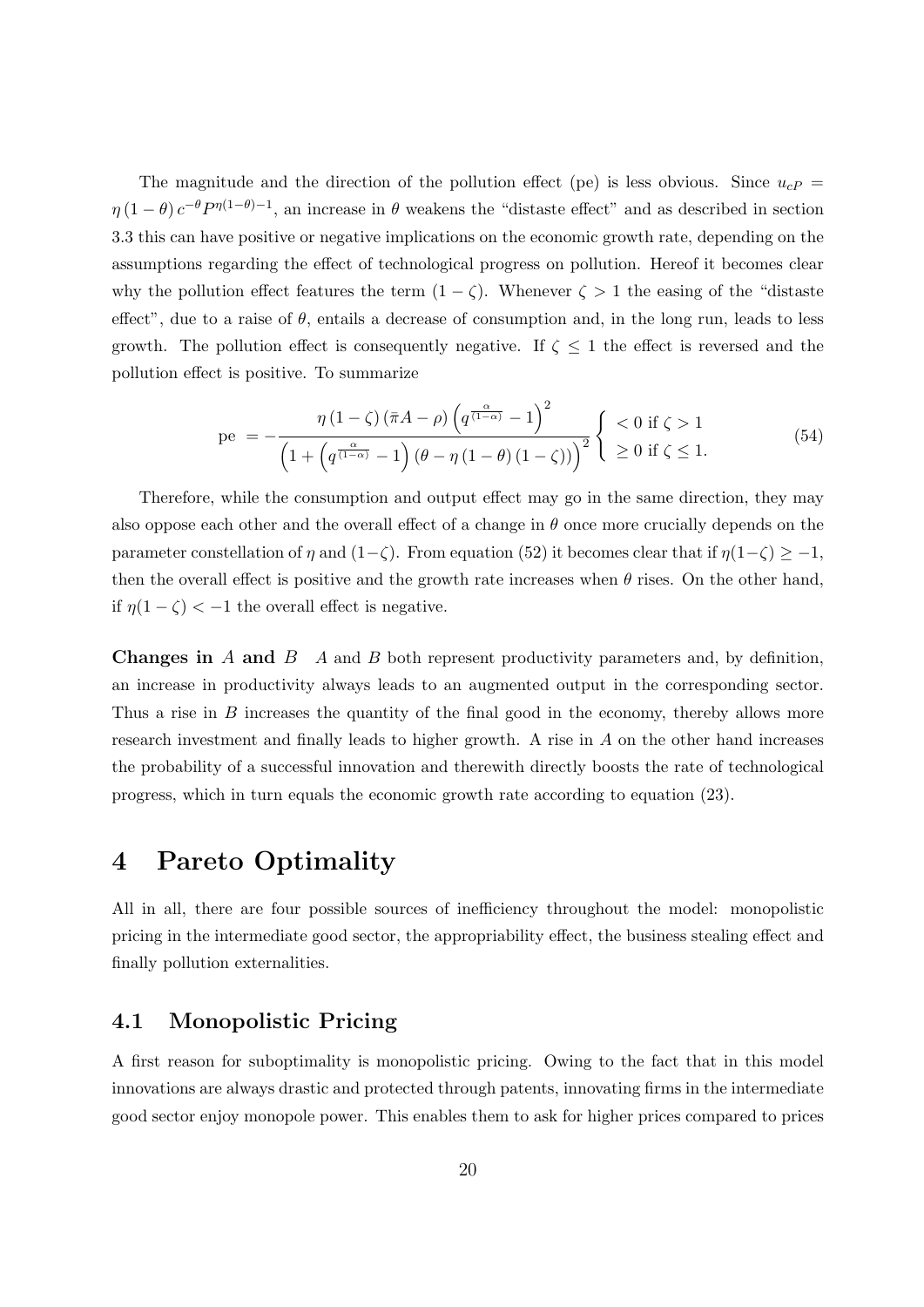The magnitude and the direction of the pollution effect (pe) is less obvious. Since  $u_{\alpha}P =$  $\eta(1-\theta) e^{-\theta} P^{\eta(1-\theta)-1}$ , an increase in  $\theta$  weakens the "distaste effect" and as described in section 3.3 this can have positive or negative implications on the economic growth rate, depending on the assumptions regarding the effect of technological progress on pollution. Hereof it becomes clear why the pollution effect features the term  $(1 - \zeta)$ . Whenever  $\zeta > 1$  the easing of the "distaste" effect", due to a raise of  $\theta$ , entails a decrease of consumption and, in the long run, leads to less growth. The pollution effect is consequently negative. If  $\zeta \leq 1$  the effect is reversed and the pollution effect is positive. To summarize

$$
pe = -\frac{\eta(1-\zeta)\left(\bar{\pi}A-\rho\right)\left(q^{\frac{\alpha}{(1-\alpha)}}-1\right)^2}{\left(1+\left(q^{\frac{\alpha}{(1-\alpha)}}-1\right)\left(\theta-\eta\left(1-\theta\right)\left(1-\zeta\right)\right)\right)^2} \begin{cases} < 0 \text{ if } \zeta > 1\\ > 0 \text{ if } \zeta \le 1. \end{cases} \tag{54}
$$

Therefore, while the consumption and output effect may go in the same direction, they may also oppose each other and the overall effect of a change in  $\theta$  once more crucially depends on the parameter constellation of  $\eta$  and  $(1-\zeta)$ . From equation (52) it becomes clear that if  $\eta(1-\zeta) \geq -1$ , then the overall effect is positive and the growth rate increases when  $\theta$  rises. On the other hand, if  $\eta(1-\zeta) < -1$  the overall effect is negative.

**Changes in** A and B  $\rightarrow$  A and B both represent productivity parameters and, by definition, an increase in productivity always leads to an augmented output in the corresponding sector. Thus a rise in  $B$  increases the quantity of the final good in the economy, thereby allows more research investment and finally leads to higher growth. A rise in A on the other hand increases the probability of a successful innovation and therewith directly boosts the rate of technological progress, which in turn equals the economic growth rate according to equation (23).

# 4 Pareto Optimality

All in all, there are four possible sources of inefficiency throughout the model: monopolistic pricing in the intermediate good sector, the appropriability effect, the business stealing effect and finally pollution externalities.

#### 4.1 Monopolistic Pricing

A first reason for suboptimality is monopolistic pricing. Owing to the fact that in this model innovations are always drastic and protected through patents, innovating firms in the intermediate good sector enjoy monopole power. This enables them to ask for higher prices compared to prices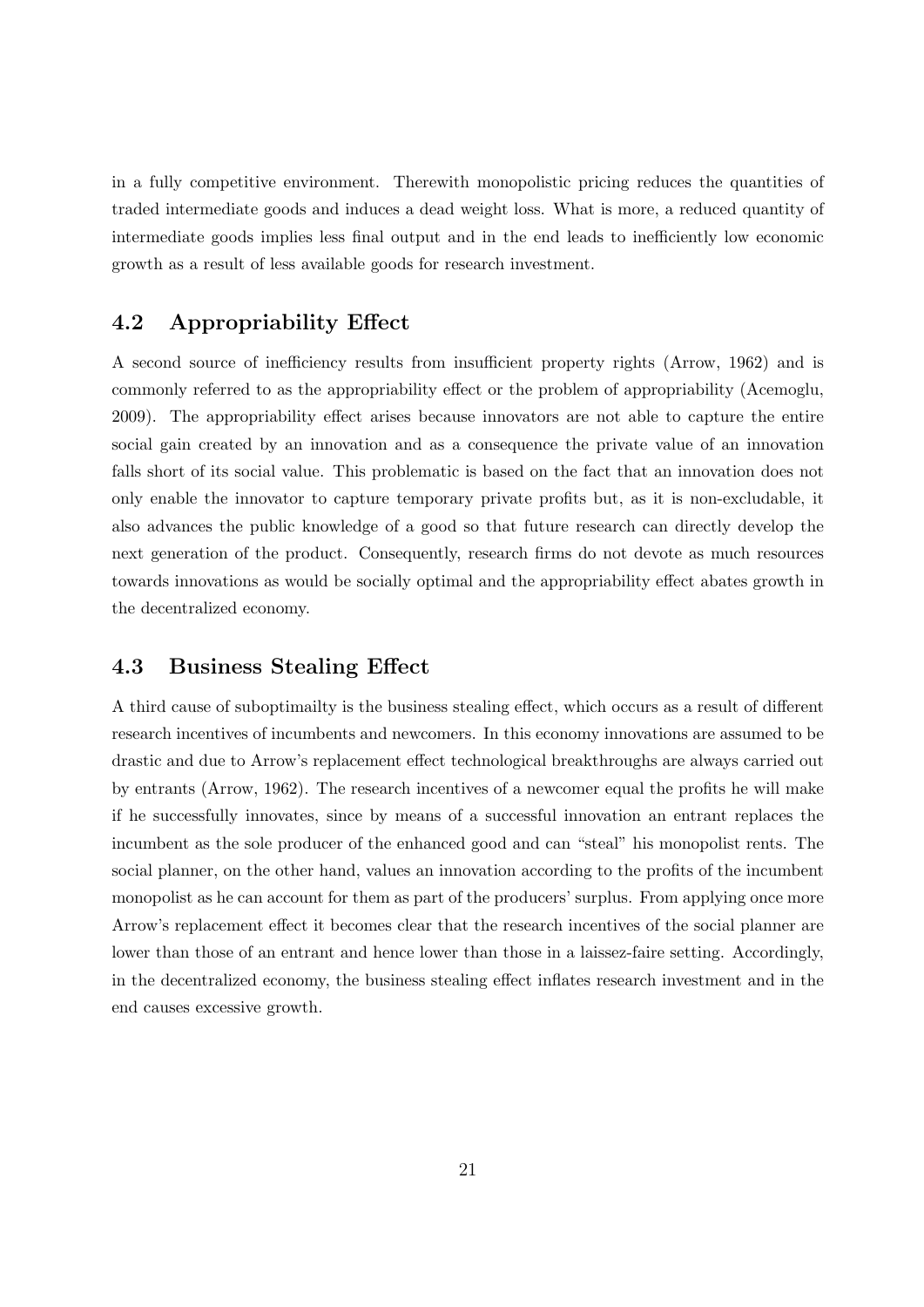in a fully competitive environment. Therewith monopolistic pricing reduces the quantities of traded intermediate goods and induces a dead weight loss. What is more, a reduced quantity of intermediate goods implies less final output and in the end leads to inefficiently low economic growth as a result of less available goods for research investment.

#### 4.2 Appropriability Effect

A second source of inefficiency results from insufficient property rights (Arrow, 1962) and is commonly referred to as the appropriability effect or the problem of appropriability (Acemoglu, 2009). The appropriability effect arises because innovators are not able to capture the entire social gain created by an innovation and as a consequence the private value of an innovation falls short of its social value. This problematic is based on the fact that an innovation does not only enable the innovator to capture temporary private profits but, as it is non-excludable, it also advances the public knowledge of a good so that future research can directly develop the next generation of the product. Consequently, research firms do not devote as much resources towards innovations as would be socially optimal and the appropriability effect abates growth in the decentralized economy.

#### 4.3 Business Stealing Effect

A third cause of suboptimailty is the business stealing effect, which occurs as a result of different research incentives of incumbents and newcomers. In this economy innovations are assumed to be drastic and due to Arrow's replacement effect technological breakthroughs are always carried out by entrants (Arrow, 1962). The research incentives of a newcomer equal the profits he will make if he successfully innovates, since by means of a successful innovation an entrant replaces the incumbent as the sole producer of the enhanced good and can "steal" his monopolist rents. The social planner, on the other hand, values an innovation according to the profits of the incumbent monopolist as he can account for them as part of the producers' surplus. From applying once more Arrow's replacement effect it becomes clear that the research incentives of the social planner are lower than those of an entrant and hence lower than those in a laissez-faire setting. Accordingly, in the decentralized economy, the business stealing effect inflates research investment and in the end causes excessive growth.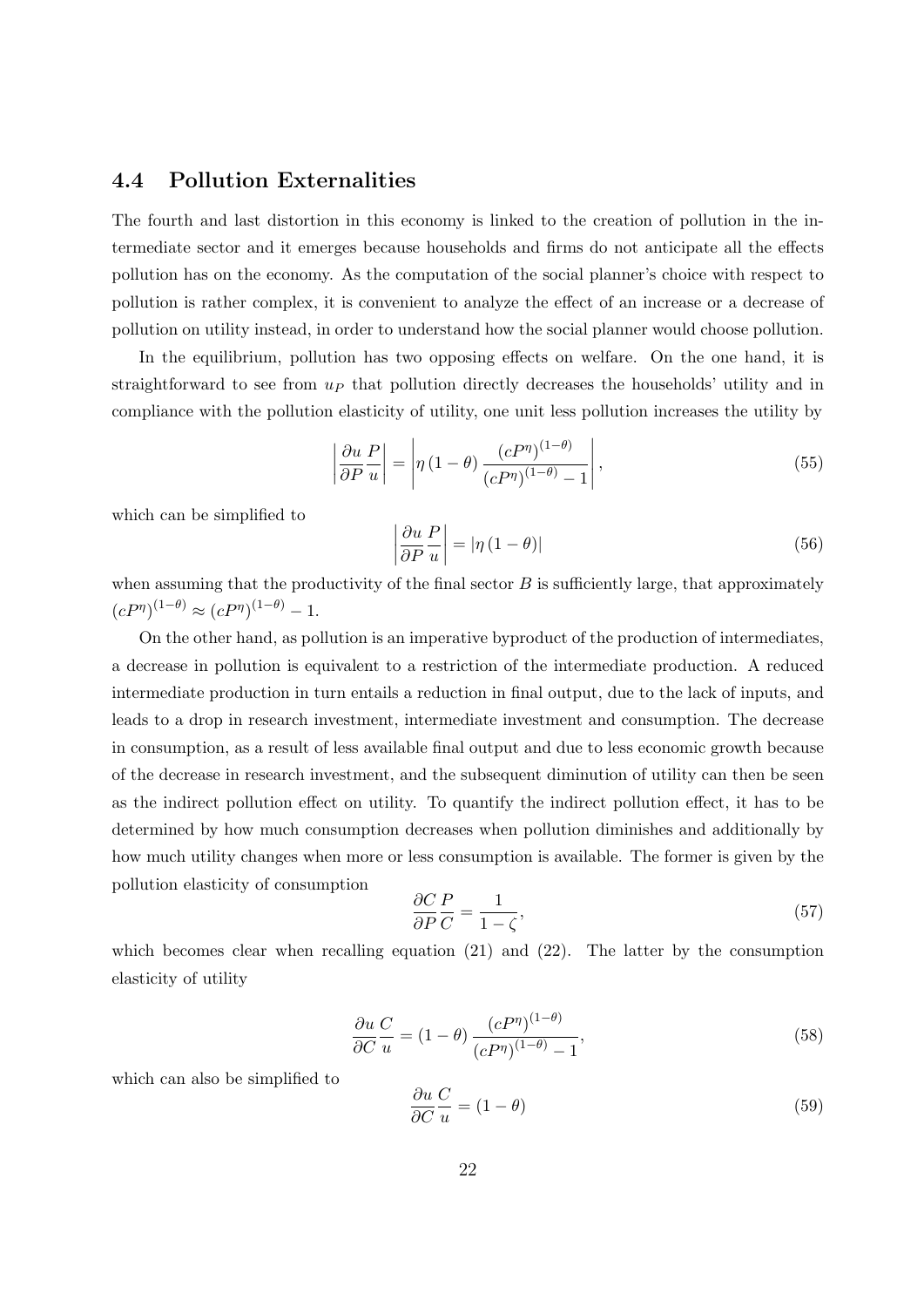#### 4.4 Pollution Externalities

The fourth and last distortion in this economy is linked to the creation of pollution in the intermediate sector and it emerges because households and firms do not anticipate all the effects pollution has on the economy. As the computation of the social planner's choice with respect to pollution is rather complex, it is convenient to analyze the effect of an increase or a decrease of pollution on utility instead, in order to understand how the social planner would choose pollution.

In the equilibrium, pollution has two opposing effects on welfare. On the one hand, it is straightforward to see from  $u<sub>P</sub>$  that pollution directly decreases the households' utility and in compliance with the pollution elasticity of utility, one unit less pollution increases the utility by

$$
\left| \frac{\partial u}{\partial P} \frac{P}{u} \right| = \left| \eta \left( 1 - \theta \right) \frac{\left( c P^{\eta} \right)^{(1-\theta)}}{\left( c P^{\eta} \right)^{(1-\theta)} - 1} \right|,\tag{55}
$$

which can be simplified to

$$
\left| \frac{\partial u}{\partial P} \frac{P}{u} \right| = |\eta (1 - \theta)| \tag{56}
$$

when assuming that the productivity of the final sector  $B$  is sufficiently large, that approximately  $(cP^{\eta})^{(1-\theta)} \approx (cP^{\eta})^{(1-\theta)} - 1.$ 

On the other hand, as pollution is an imperative byproduct of the production of intermediates, a decrease in pollution is equivalent to a restriction of the intermediate production. A reduced intermediate production in turn entails a reduction in final output, due to the lack of inputs, and leads to a drop in research investment, intermediate investment and consumption. The decrease in consumption, as a result of less available final output and due to less economic growth because of the decrease in research investment, and the subsequent diminution of utility can then be seen as the indirect pollution effect on utility. To quantify the indirect pollution effect, it has to be determined by how much consumption decreases when pollution diminishes and additionally by how much utility changes when more or less consumption is available. The former is given by the pollution elasticity of consumption

$$
\frac{\partial C}{\partial P} \frac{P}{C} = \frac{1}{1 - \zeta},\tag{57}
$$

which becomes clear when recalling equation (21) and (22). The latter by the consumption elasticity of utility

$$
\frac{\partial u}{\partial C} \frac{C}{u} = (1 - \theta) \frac{(cP^{\eta})^{(1 - \theta)}}{(cP^{\eta})^{(1 - \theta)} - 1},\tag{58}
$$

which can also be simplified to

$$
\frac{\partial u}{\partial C} \frac{C}{u} = (1 - \theta) \tag{59}
$$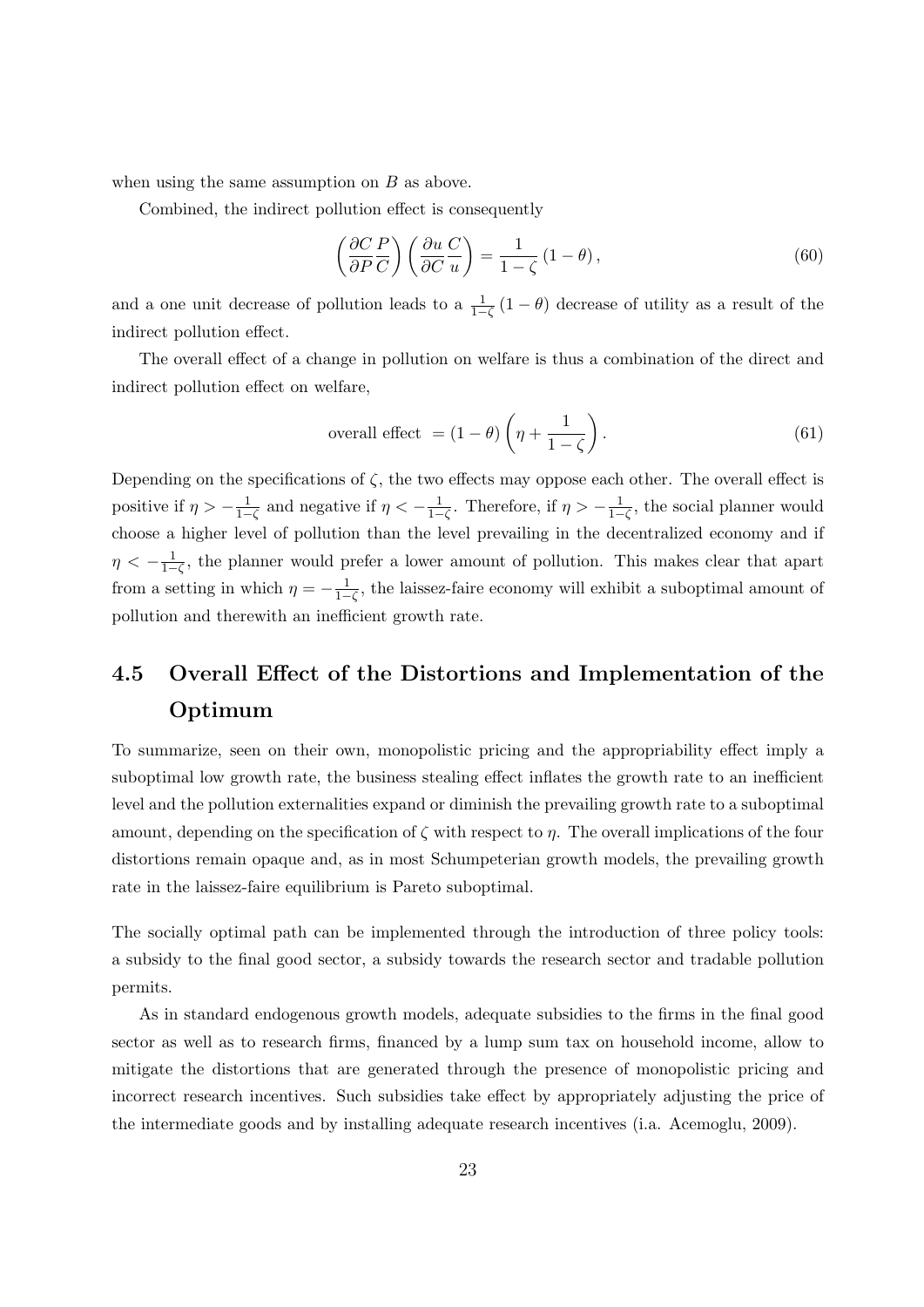when using the same assumption on B as above.

Combined, the indirect pollution effect is consequently

$$
\left(\frac{\partial C}{\partial P}\frac{P}{C}\right)\left(\frac{\partial u}{\partial C}\frac{C}{u}\right) = \frac{1}{1-\zeta}\left(1-\theta\right),\tag{60}
$$

and a one unit decrease of pollution leads to a  $\frac{1}{1-\zeta}(1-\theta)$  decrease of utility as a result of the indirect pollution effect.

The overall effect of a change in pollution on welfare is thus a combination of the direct and indirect pollution effect on welfare,

overall effect = 
$$
(1 - \theta) \left( \eta + \frac{1}{1 - \zeta} \right)
$$
. (61)

Depending on the specifications of  $\zeta$ , the two effects may oppose each other. The overall effect is positive if  $\eta > -\frac{1}{1-\zeta}$  and negative if  $\eta < -\frac{1}{1-\zeta}$ . Therefore, if  $\eta > -\frac{1}{1-\zeta}$ , the social planner would choose a higher level of pollution than the level prevailing in the decentralized economy and if  $\eta < -\frac{1}{1-\zeta}$ , the planner would prefer a lower amount of pollution. This makes clear that apart from a setting in which  $\eta = -\frac{1}{1-\zeta}$ , the laissez-faire economy will exhibit a suboptimal amount of pollution and therewith an inefficient growth rate.

# 4.5 Overall Effect of the Distortions and Implementation of the Optimum

To summarize, seen on their own, monopolistic pricing and the appropriability effect imply a suboptimal low growth rate, the business stealing effect inflates the growth rate to an inefficient level and the pollution externalities expand or diminish the prevailing growth rate to a suboptimal amount, depending on the specification of  $\zeta$  with respect to  $\eta$ . The overall implications of the four distortions remain opaque and, as in most Schumpeterian growth models, the prevailing growth rate in the laissez-faire equilibrium is Pareto suboptimal.

The socially optimal path can be implemented through the introduction of three policy tools: a subsidy to the final good sector, a subsidy towards the research sector and tradable pollution permits.

As in standard endogenous growth models, adequate subsidies to the firms in the final good sector as well as to research firms, financed by a lump sum tax on household income, allow to mitigate the distortions that are generated through the presence of monopolistic pricing and incorrect research incentives. Such subsidies take effect by appropriately adjusting the price of the intermediate goods and by installing adequate research incentives (i.a. Acemoglu, 2009).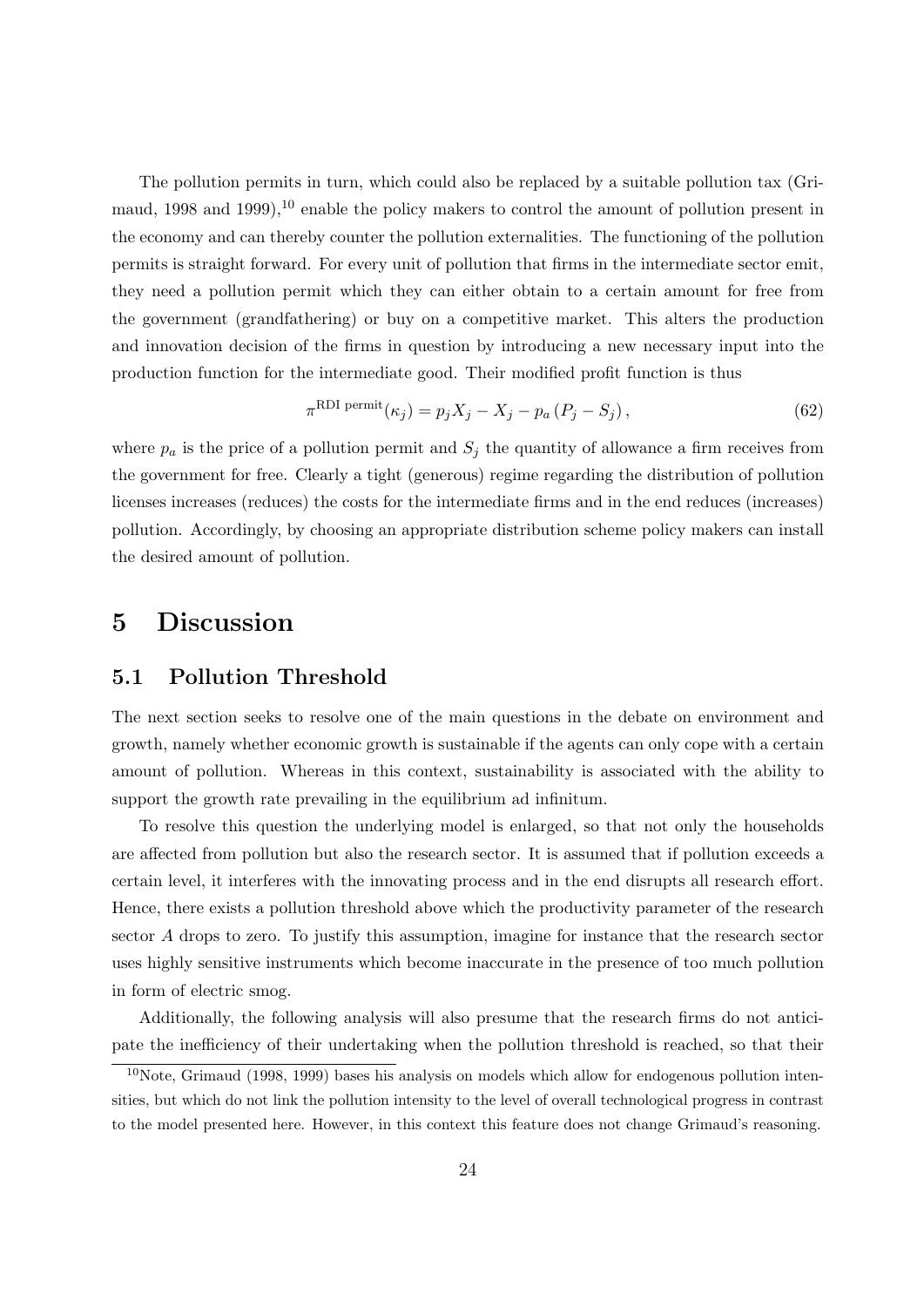The pollution permits in turn, which could also be replaced by a suitable pollution tax (Grimaud, 1998 and 1999),<sup>10</sup> enable the policy makers to control the amount of pollution present in the economy and can thereby counter the pollution externalities. The functioning of the pollution permits is straight forward. For every unit of pollution that firms in the intermediate sector emit, they need a pollution permit which they can either obtain to a certain amount for free from the government (grandfathering) or buy on a competitive market. This alters the production and innovation decision of the firms in question by introducing a new necessary input into the production function for the intermediate good. Their modified profit function is thus

$$
\pi^{\text{RDI permit}}(\kappa_j) = p_j X_j - X_j - p_a (P_j - S_j), \qquad (62)
$$

where  $p_a$  is the price of a pollution permit and  $S_j$  the quantity of allowance a firm receives from the government for free. Clearly a tight (generous) regime regarding the distribution of pollution licenses increases (reduces) the costs for the intermediate firms and in the end reduces (increases) pollution. Accordingly, by choosing an appropriate distribution scheme policy makers can install the desired amount of pollution.

# 5 Discussion

#### 5.1 Pollution Threshold

The next section seeks to resolve one of the main questions in the debate on environment and growth, namely whether economic growth is sustainable if the agents can only cope with a certain amount of pollution. Whereas in this context, sustainability is associated with the ability to support the growth rate prevailing in the equilibrium ad infinitum.

To resolve this question the underlying model is enlarged, so that not only the households are affected from pollution but also the research sector. It is assumed that if pollution exceeds a certain level, it interferes with the innovating process and in the end disrupts all research effort. Hence, there exists a pollution threshold above which the productivity parameter of the research sector A drops to zero. To justify this assumption, imagine for instance that the research sector uses highly sensitive instruments which become inaccurate in the presence of too much pollution in form of electric smog.

Additionally, the following analysis will also presume that the research firms do not anticipate the inefficiency of their undertaking when the pollution threshold is reached, so that their

 $10$ Note, Grimaud (1998, 1999) bases his analysis on models which allow for endogenous pollution intensities, but which do not link the pollution intensity to the level of overall technological progress in contrast to the model presented here. However, in this context this feature does not change Grimaud's reasoning.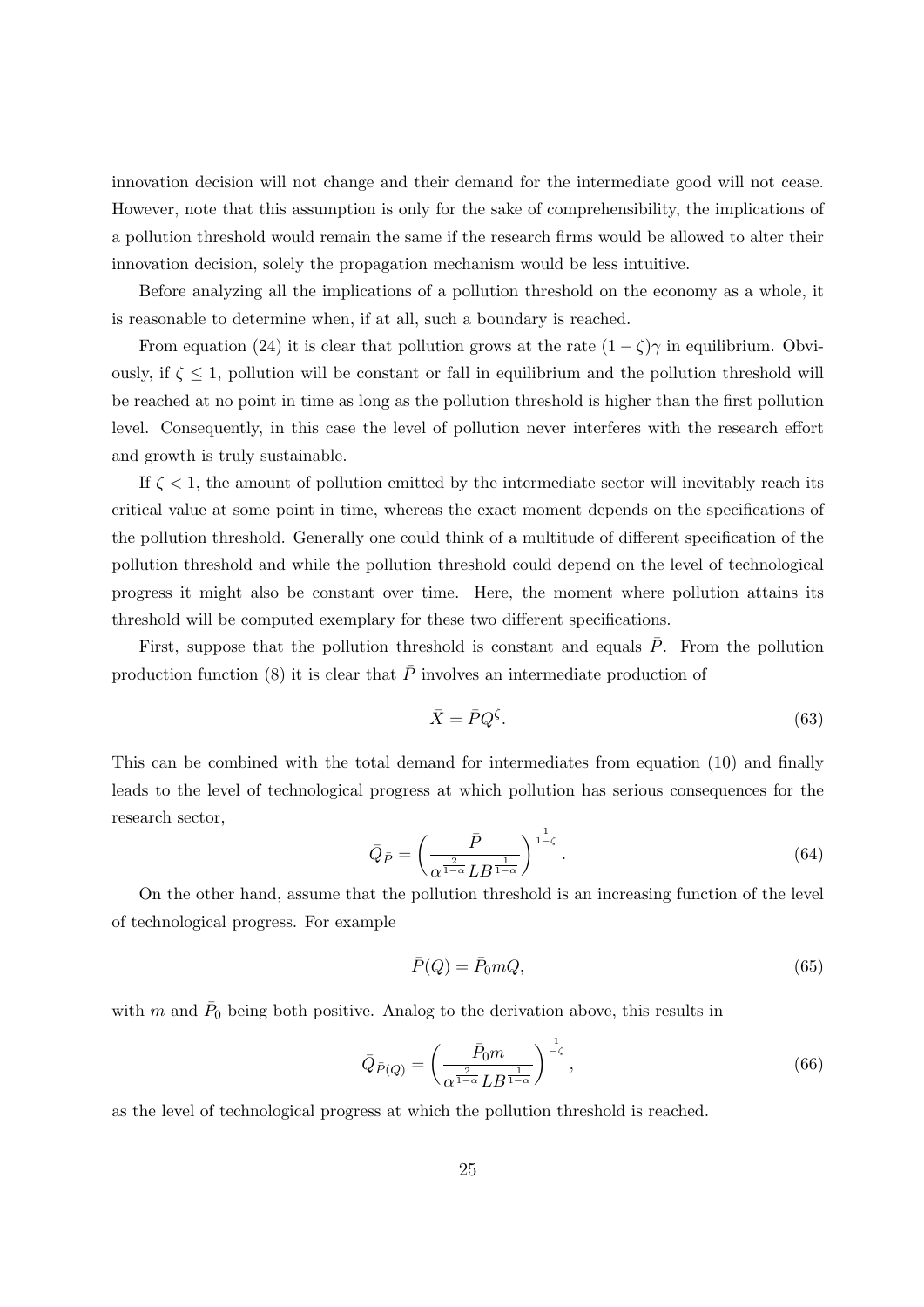innovation decision will not change and their demand for the intermediate good will not cease. However, note that this assumption is only for the sake of comprehensibility, the implications of a pollution threshold would remain the same if the research firms would be allowed to alter their innovation decision, solely the propagation mechanism would be less intuitive.

Before analyzing all the implications of a pollution threshold on the economy as a whole, it is reasonable to determine when, if at all, such a boundary is reached.

From equation (24) it is clear that pollution grows at the rate  $(1 - \zeta)\gamma$  in equilibrium. Obviously, if  $\zeta \leq 1$ , pollution will be constant or fall in equilibrium and the pollution threshold will be reached at no point in time as long as the pollution threshold is higher than the first pollution level. Consequently, in this case the level of pollution never interferes with the research effort and growth is truly sustainable.

If  $\zeta$  < 1, the amount of pollution emitted by the intermediate sector will inevitably reach its critical value at some point in time, whereas the exact moment depends on the specifications of the pollution threshold. Generally one could think of a multitude of different specification of the pollution threshold and while the pollution threshold could depend on the level of technological progress it might also be constant over time. Here, the moment where pollution attains its threshold will be computed exemplary for these two different specifications.

First, suppose that the pollution threshold is constant and equals  $\overline{P}$ . From the pollution production function (8) it is clear that  $\overline{P}$  involves an intermediate production of

$$
\bar{X} = \bar{P}Q^{\zeta}.\tag{63}
$$

This can be combined with the total demand for intermediates from equation (10) and finally leads to the level of technological progress at which pollution has serious consequences for the research sector,

$$
\bar{Q}_{\bar{P}} = \left(\frac{\bar{P}}{\alpha^{\frac{2}{1-\alpha}}LB^{\frac{1}{1-\alpha}}}\right)^{\frac{1}{1-\zeta}}.\tag{64}
$$

On the other hand, assume that the pollution threshold is an increasing function of the level of technological progress. For example

$$
\bar{P}(Q) = \bar{P}_0 m Q,\tag{65}
$$

with m and  $\bar{P}_0$  being both positive. Analog to the derivation above, this results in

$$
\bar{Q}_{\bar{P}(Q)} = \left(\frac{\bar{P}_0 m}{\alpha^{\frac{2}{1-\alpha}} L B^{\frac{1}{1-\alpha}}}\right)^{\frac{1}{-\zeta}},\tag{66}
$$

as the level of technological progress at which the pollution threshold is reached.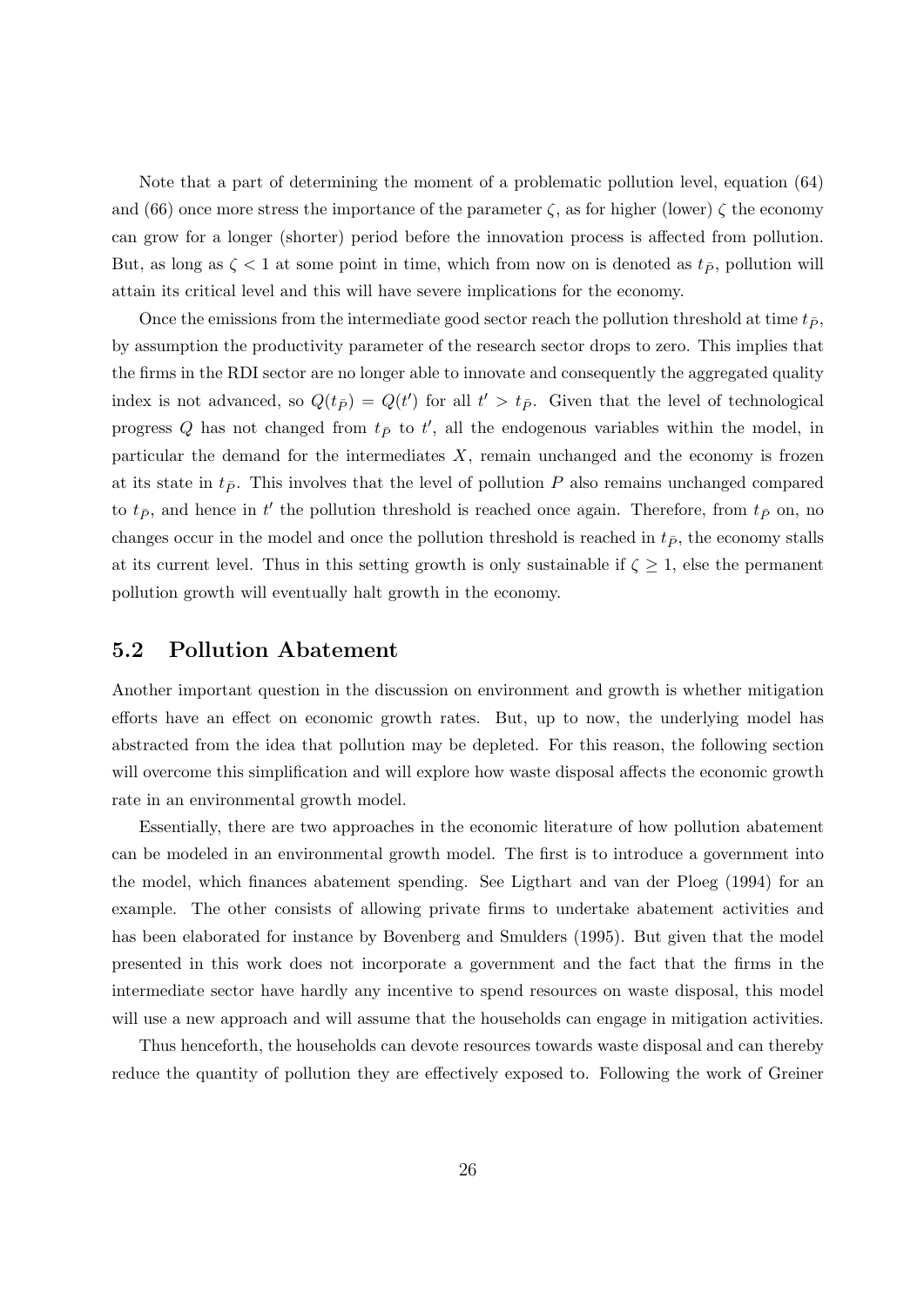Note that a part of determining the moment of a problematic pollution level, equation (64) and (66) once more stress the importance of the parameter  $\zeta$ , as for higher (lower)  $\zeta$  the economy can grow for a longer (shorter) period before the innovation process is affected from pollution. But, as long as  $\zeta$  < 1 at some point in time, which from now on is denoted as  $t_{\bar{P}}$ , pollution will attain its critical level and this will have severe implications for the economy.

Once the emissions from the intermediate good sector reach the pollution threshold at time  $t_{\bar{P}}$ , by assumption the productivity parameter of the research sector drops to zero. This implies that the firms in the RDI sector are no longer able to innovate and consequently the aggregated quality index is not advanced, so  $Q(t_{\bar{P}}) = Q(t')$  for all  $t' > t_{\bar{P}}$ . Given that the level of technological progress Q has not changed from  $t_{\bar{P}}$  to  $t'$ , all the endogenous variables within the model, in particular the demand for the intermediates  $X$ , remain unchanged and the economy is frozen at its state in  $t_{\bar{P}}$ . This involves that the level of pollution P also remains unchanged compared to  $t_{\bar{P}}$ , and hence in t' the pollution threshold is reached once again. Therefore, from  $t_{\bar{P}}$  on, no changes occur in the model and once the pollution threshold is reached in  $t_{\bar{P}}$ , the economy stalls at its current level. Thus in this setting growth is only sustainable if  $\zeta \geq 1$ , else the permanent pollution growth will eventually halt growth in the economy.

#### 5.2 Pollution Abatement

Another important question in the discussion on environment and growth is whether mitigation efforts have an effect on economic growth rates. But, up to now, the underlying model has abstracted from the idea that pollution may be depleted. For this reason, the following section will overcome this simplification and will explore how waste disposal affects the economic growth rate in an environmental growth model.

Essentially, there are two approaches in the economic literature of how pollution abatement can be modeled in an environmental growth model. The first is to introduce a government into the model, which finances abatement spending. See Ligthart and van der Ploeg (1994) for an example. The other consists of allowing private firms to undertake abatement activities and has been elaborated for instance by Bovenberg and Smulders (1995). But given that the model presented in this work does not incorporate a government and the fact that the firms in the intermediate sector have hardly any incentive to spend resources on waste disposal, this model will use a new approach and will assume that the households can engage in mitigation activities.

Thus henceforth, the households can devote resources towards waste disposal and can thereby reduce the quantity of pollution they are effectively exposed to. Following the work of Greiner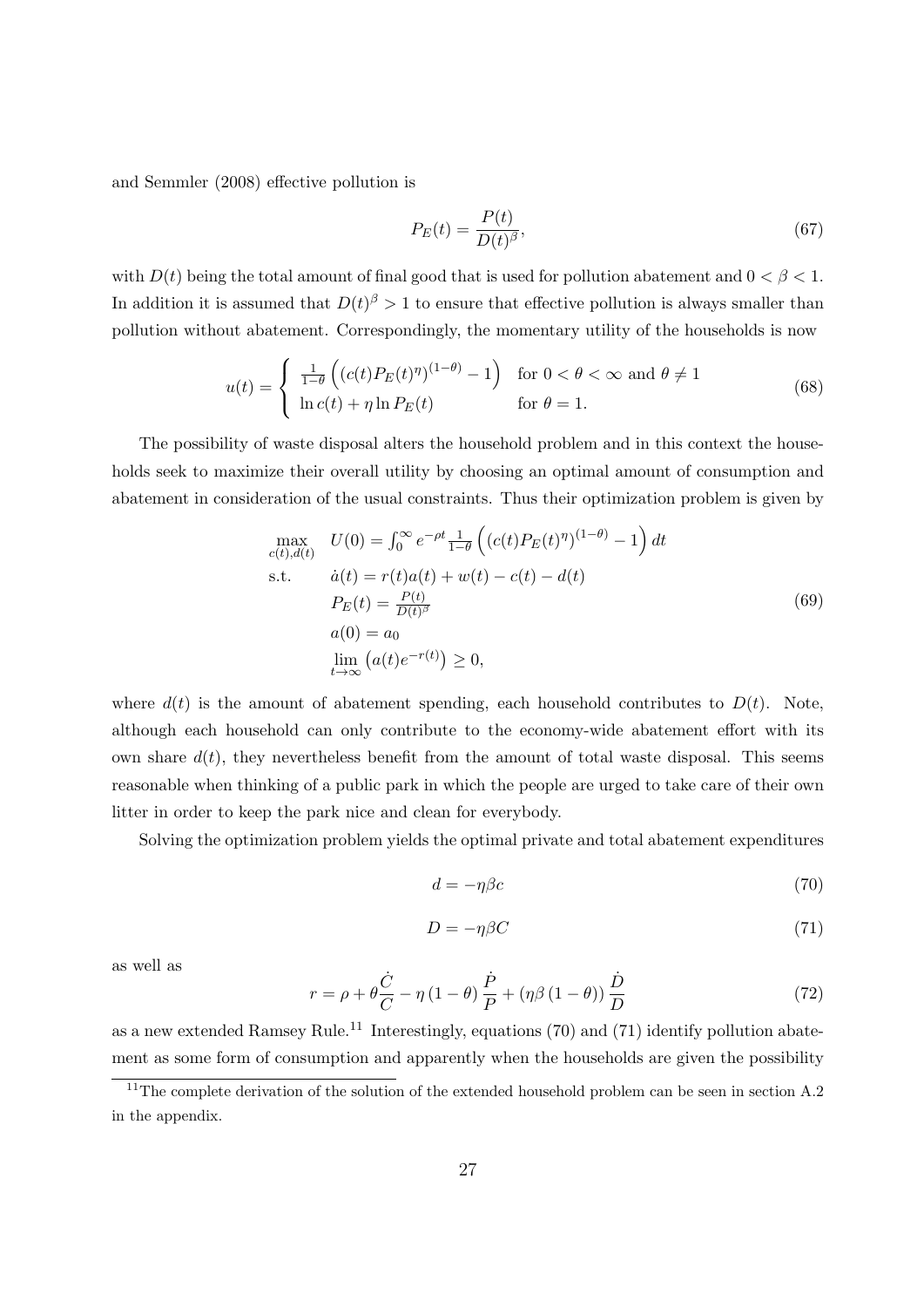and Semmler (2008) effective pollution is

$$
P_E(t) = \frac{P(t)}{D(t)^{\beta}},\tag{67}
$$

with  $D(t)$  being the total amount of final good that is used for pollution abatement and  $0 < \beta < 1$ . In addition it is assumed that  $D(t)^\beta > 1$  to ensure that effective pollution is always smaller than pollution without abatement. Correspondingly, the momentary utility of the households is now

$$
u(t) = \begin{cases} \frac{1}{1-\theta} \left( (c(t)P_E(t)^{\eta})^{(1-\theta)} - 1 \right) & \text{for } 0 < \theta < \infty \text{ and } \theta \neq 1\\ \ln c(t) + \eta \ln P_E(t) & \text{for } \theta = 1. \end{cases}
$$
(68)

The possibility of waste disposal alters the household problem and in this context the households seek to maximize their overall utility by choosing an optimal amount of consumption and abatement in consideration of the usual constraints. Thus their optimization problem is given by

$$
\max_{c(t),d(t)} U(0) = \int_0^\infty e^{-\rho t} \frac{1}{1-\theta} \left( (c(t)P_E(t)^\eta)^{(1-\theta)} - 1 \right) dt
$$
\n
$$
\text{s.t.} \quad \dot{a}(t) = r(t)a(t) + w(t) - c(t) - d(t)
$$
\n
$$
P_E(t) = \frac{P(t)}{D(t)^\beta}
$$
\n
$$
a(0) = a_0
$$
\n
$$
\lim_{t \to \infty} (a(t)e^{-r(t)}) \ge 0,
$$
\n(69)

where  $d(t)$  is the amount of abatement spending, each household contributes to  $D(t)$ . Note, although each household can only contribute to the economy-wide abatement effort with its own share  $d(t)$ , they nevertheless benefit from the amount of total waste disposal. This seems reasonable when thinking of a public park in which the people are urged to take care of their own litter in order to keep the park nice and clean for everybody.

Solving the optimization problem yields the optimal private and total abatement expenditures

$$
d = -\eta \beta c \tag{70}
$$

$$
D = -\eta \beta C \tag{71}
$$

as well as

$$
r = \rho + \theta \frac{\dot{C}}{C} - \eta (1 - \theta) \frac{\dot{P}}{P} + (\eta \beta (1 - \theta)) \frac{\dot{D}}{D}
$$
\n
$$
\tag{72}
$$

as a new extended Ramsey Rule.<sup>11</sup> Interestingly, equations (70) and (71) identify pollution abatement as some form of consumption and apparently when the households are given the possibility

<sup>&</sup>lt;sup>11</sup>The complete derivation of the solution of the extended household problem can be seen in section A.2 in the appendix.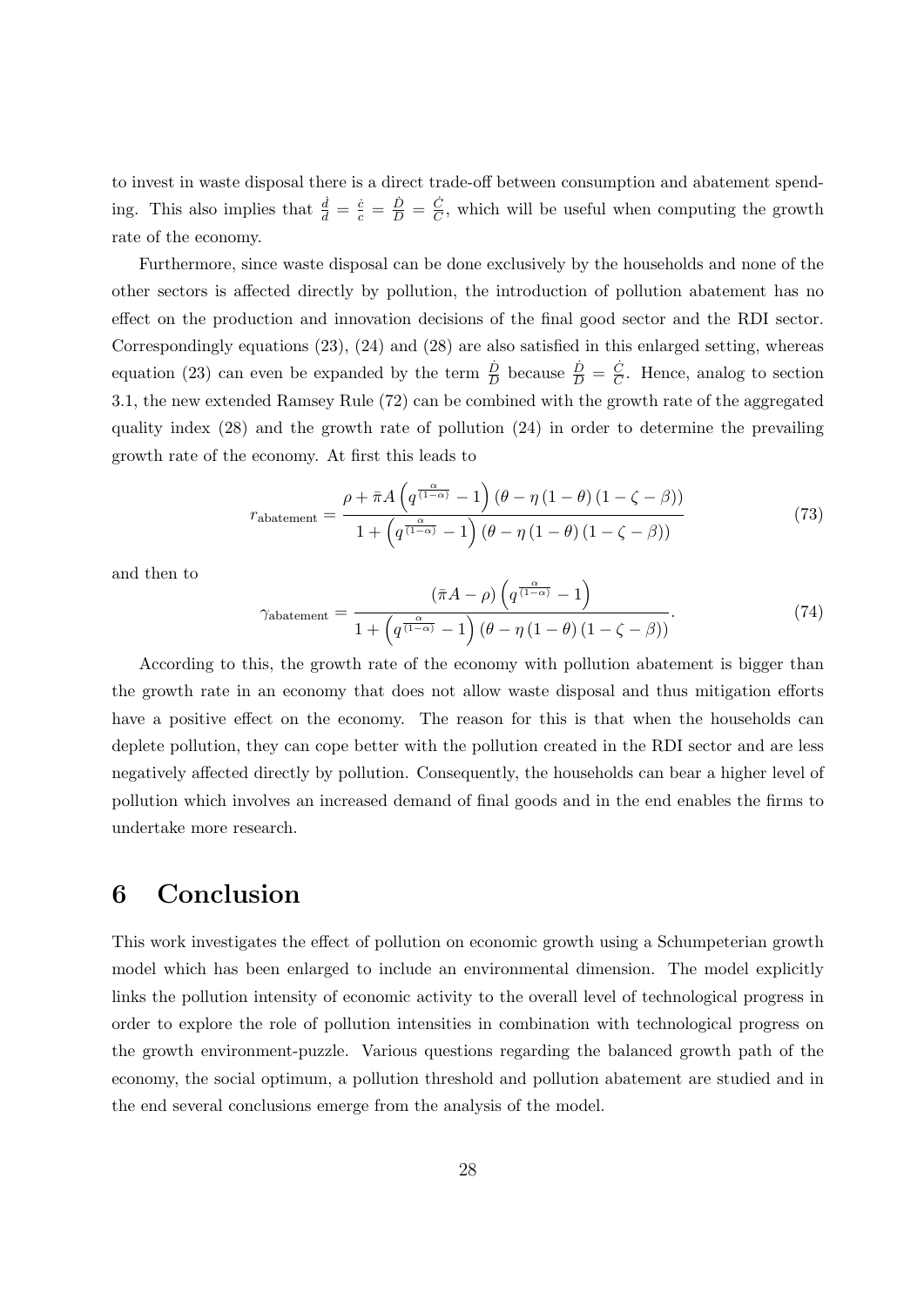to invest in waste disposal there is a direct trade-off between consumption and abatement spending. This also implies that  $\frac{\dot{d}}{d} = \frac{\dot{c}}{c} = \frac{\dot{D}}{D} = \frac{\dot{C}}{C}$  $\frac{C}{C}$ , which will be useful when computing the growth rate of the economy.

Furthermore, since waste disposal can be done exclusively by the households and none of the other sectors is affected directly by pollution, the introduction of pollution abatement has no effect on the production and innovation decisions of the final good sector and the RDI sector. Correspondingly equations (23), (24) and (28) are also satisfied in this enlarged setting, whereas equation (23) can even be expanded by the term  $\frac{\dot{D}}{D}$  because  $\frac{\dot{D}}{D} = \frac{\dot{C}}{C}$  $\frac{C}{C}$ . Hence, analog to section 3.1, the new extended Ramsey Rule (72) can be combined with the growth rate of the aggregated quality index (28) and the growth rate of pollution (24) in order to determine the prevailing growth rate of the economy. At first this leads to

$$
r_{\text{abatement}} = \frac{\rho + \bar{\pi}A\left(q^{\frac{\alpha}{(1-\alpha)}} - 1\right)(\theta - \eta(1-\theta)(1-\zeta-\beta))}{1 + \left(q^{\frac{\alpha}{(1-\alpha)}} - 1\right)(\theta - \eta(1-\theta)(1-\zeta-\beta))}
$$
(73)

and then to

$$
\gamma_{\text{abatement}} = \frac{(\bar{\pi}A - \rho) \left( q^{\frac{\alpha}{(1-\alpha)}} - 1 \right)}{1 + \left( q^{\frac{\alpha}{(1-\alpha)}} - 1 \right) (\theta - \eta (1-\theta) (1-\zeta - \beta))}.
$$
(74)

According to this, the growth rate of the economy with pollution abatement is bigger than the growth rate in an economy that does not allow waste disposal and thus mitigation efforts have a positive effect on the economy. The reason for this is that when the households can deplete pollution, they can cope better with the pollution created in the RDI sector and are less negatively affected directly by pollution. Consequently, the households can bear a higher level of pollution which involves an increased demand of final goods and in the end enables the firms to undertake more research.

### 6 Conclusion

This work investigates the effect of pollution on economic growth using a Schumpeterian growth model which has been enlarged to include an environmental dimension. The model explicitly links the pollution intensity of economic activity to the overall level of technological progress in order to explore the role of pollution intensities in combination with technological progress on the growth environment-puzzle. Various questions regarding the balanced growth path of the economy, the social optimum, a pollution threshold and pollution abatement are studied and in the end several conclusions emerge from the analysis of the model.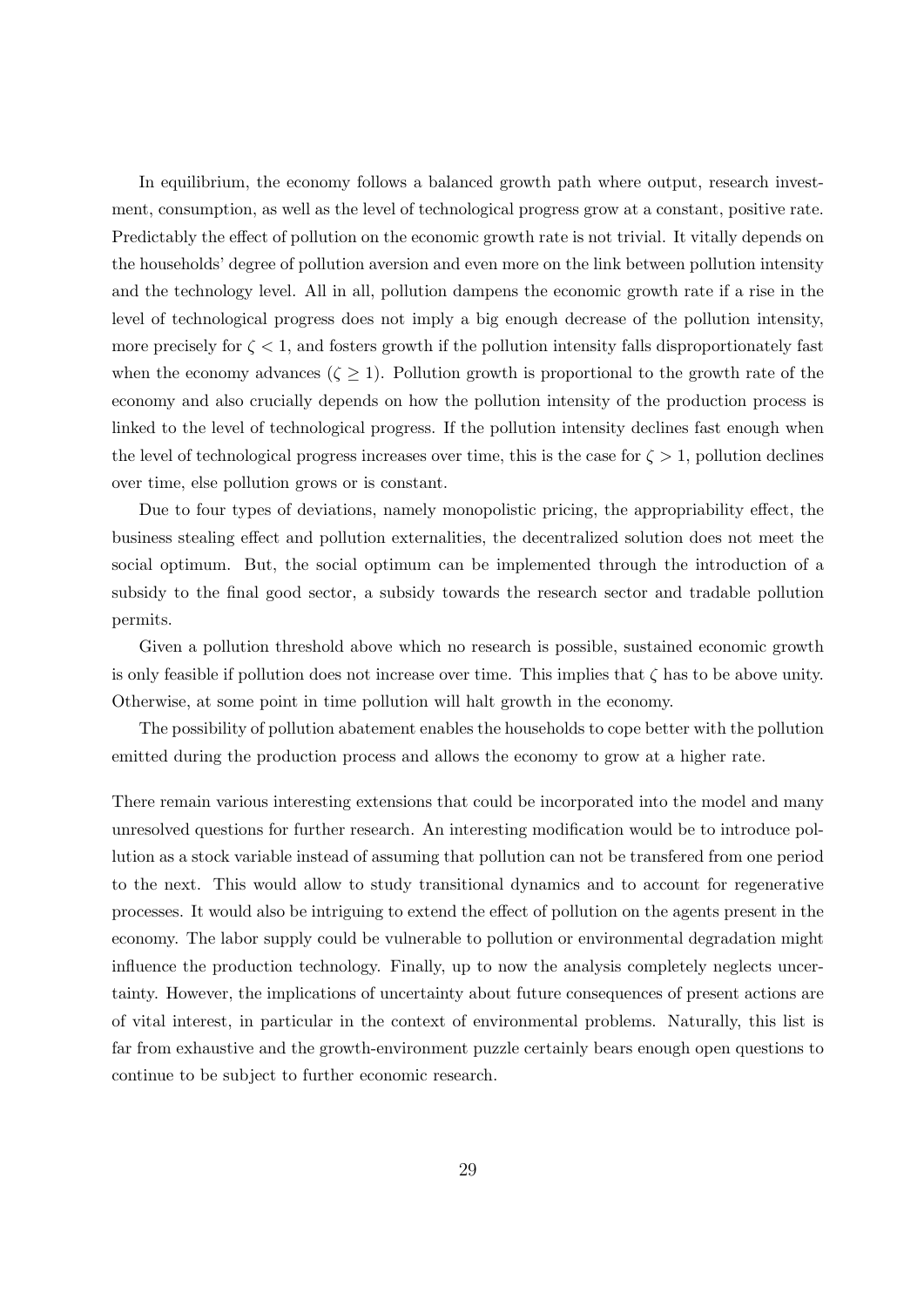In equilibrium, the economy follows a balanced growth path where output, research investment, consumption, as well as the level of technological progress grow at a constant, positive rate. Predictably the effect of pollution on the economic growth rate is not trivial. It vitally depends on the households' degree of pollution aversion and even more on the link between pollution intensity and the technology level. All in all, pollution dampens the economic growth rate if a rise in the level of technological progress does not imply a big enough decrease of the pollution intensity, more precisely for  $\zeta$  < 1, and fosters growth if the pollution intensity falls disproportionately fast when the economy advances  $(\zeta \geq 1)$ . Pollution growth is proportional to the growth rate of the economy and also crucially depends on how the pollution intensity of the production process is linked to the level of technological progress. If the pollution intensity declines fast enough when the level of technological progress increases over time, this is the case for  $\zeta > 1$ , pollution declines over time, else pollution grows or is constant.

Due to four types of deviations, namely monopolistic pricing, the appropriability effect, the business stealing effect and pollution externalities, the decentralized solution does not meet the social optimum. But, the social optimum can be implemented through the introduction of a subsidy to the final good sector, a subsidy towards the research sector and tradable pollution permits.

Given a pollution threshold above which no research is possible, sustained economic growth is only feasible if pollution does not increase over time. This implies that  $\zeta$  has to be above unity. Otherwise, at some point in time pollution will halt growth in the economy.

The possibility of pollution abatement enables the households to cope better with the pollution emitted during the production process and allows the economy to grow at a higher rate.

There remain various interesting extensions that could be incorporated into the model and many unresolved questions for further research. An interesting modification would be to introduce pollution as a stock variable instead of assuming that pollution can not be transfered from one period to the next. This would allow to study transitional dynamics and to account for regenerative processes. It would also be intriguing to extend the effect of pollution on the agents present in the economy. The labor supply could be vulnerable to pollution or environmental degradation might influence the production technology. Finally, up to now the analysis completely neglects uncertainty. However, the implications of uncertainty about future consequences of present actions are of vital interest, in particular in the context of environmental problems. Naturally, this list is far from exhaustive and the growth-environment puzzle certainly bears enough open questions to continue to be subject to further economic research.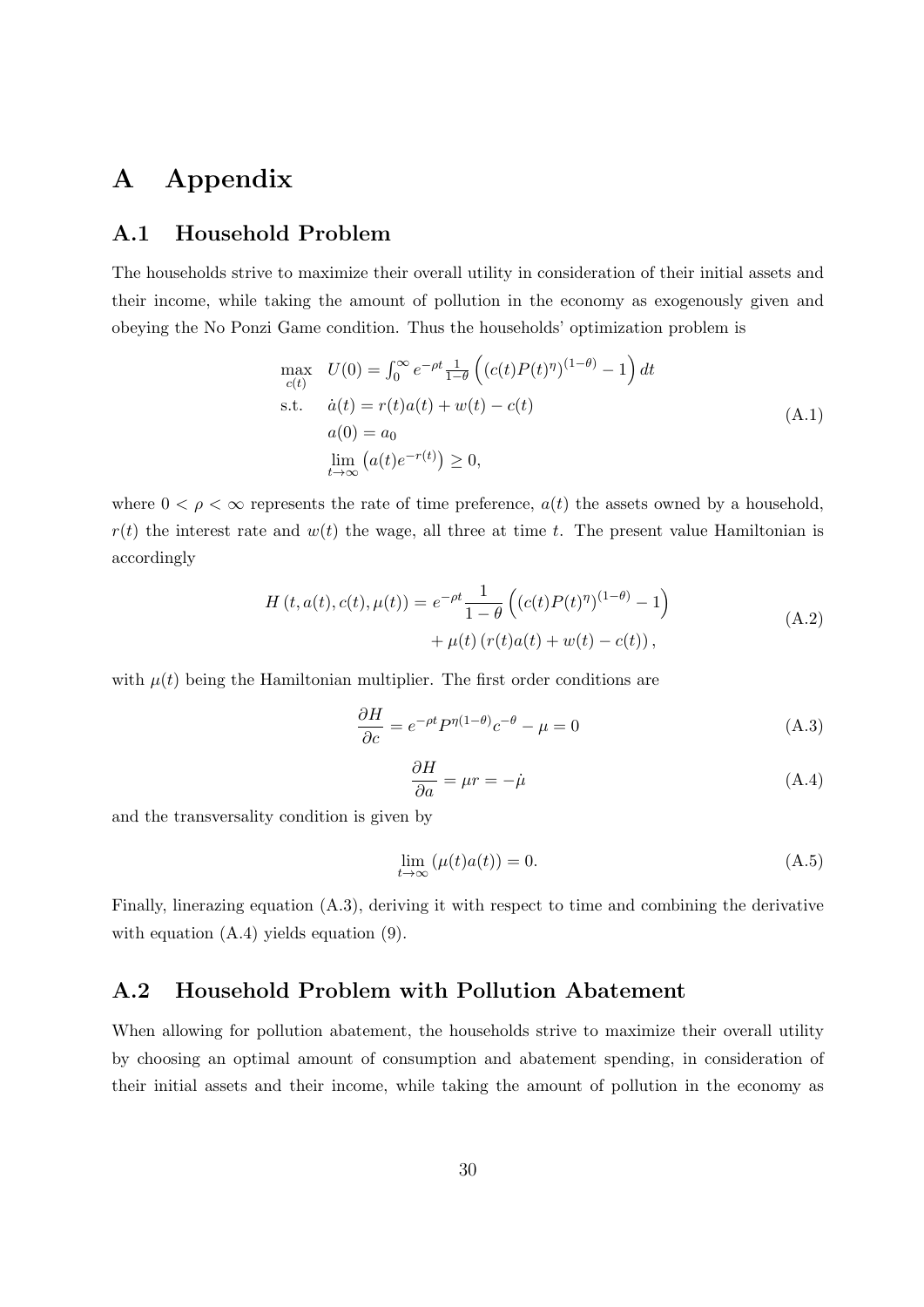## A Appendix

#### A.1 Household Problem

The households strive to maximize their overall utility in consideration of their initial assets and their income, while taking the amount of pollution in the economy as exogenously given and obeying the No Ponzi Game condition. Thus the households' optimization problem is

$$
\max_{c(t)} \quad U(0) = \int_0^\infty e^{-\rho t} \frac{1}{1-\theta} \left( (c(t)P(t)^{\eta})^{(1-\theta)} - 1 \right) dt
$$
\n
$$
\text{s.t.} \quad \dot{a}(t) = r(t)a(t) + w(t) - c(t)
$$
\n
$$
a(0) = a_0
$$
\n
$$
\lim_{t \to \infty} (a(t)e^{-r(t)}) \ge 0,
$$
\n
$$
(A.1)
$$

where  $0 < \rho < \infty$  represents the rate of time preference,  $a(t)$  the assets owned by a household,  $r(t)$  the interest rate and  $w(t)$  the wage, all three at time t. The present value Hamiltonian is accordingly

$$
H(t, a(t), c(t), \mu(t)) = e^{-\rho t} \frac{1}{1 - \theta} \left( (c(t)P(t)^{\eta})^{(1 - \theta)} - 1 \right) + \mu(t) \left( r(t)a(t) + w(t) - c(t) \right),
$$
(A.2)

with  $\mu(t)$  being the Hamiltonian multiplier. The first order conditions are

$$
\frac{\partial H}{\partial c} = e^{-\rho t} P^{\eta(1-\theta)} c^{-\theta} - \mu = 0 \tag{A.3}
$$

$$
\frac{\partial H}{\partial a} = \mu r = -\dot{\mu} \tag{A.4}
$$

and the transversality condition is given by

$$
\lim_{t \to \infty} (\mu(t)a(t)) = 0. \tag{A.5}
$$

Finally, linerazing equation (A.3), deriving it with respect to time and combining the derivative with equation (A.4) yields equation (9).

#### A.2 Household Problem with Pollution Abatement

When allowing for pollution abatement, the households strive to maximize their overall utility by choosing an optimal amount of consumption and abatement spending, in consideration of their initial assets and their income, while taking the amount of pollution in the economy as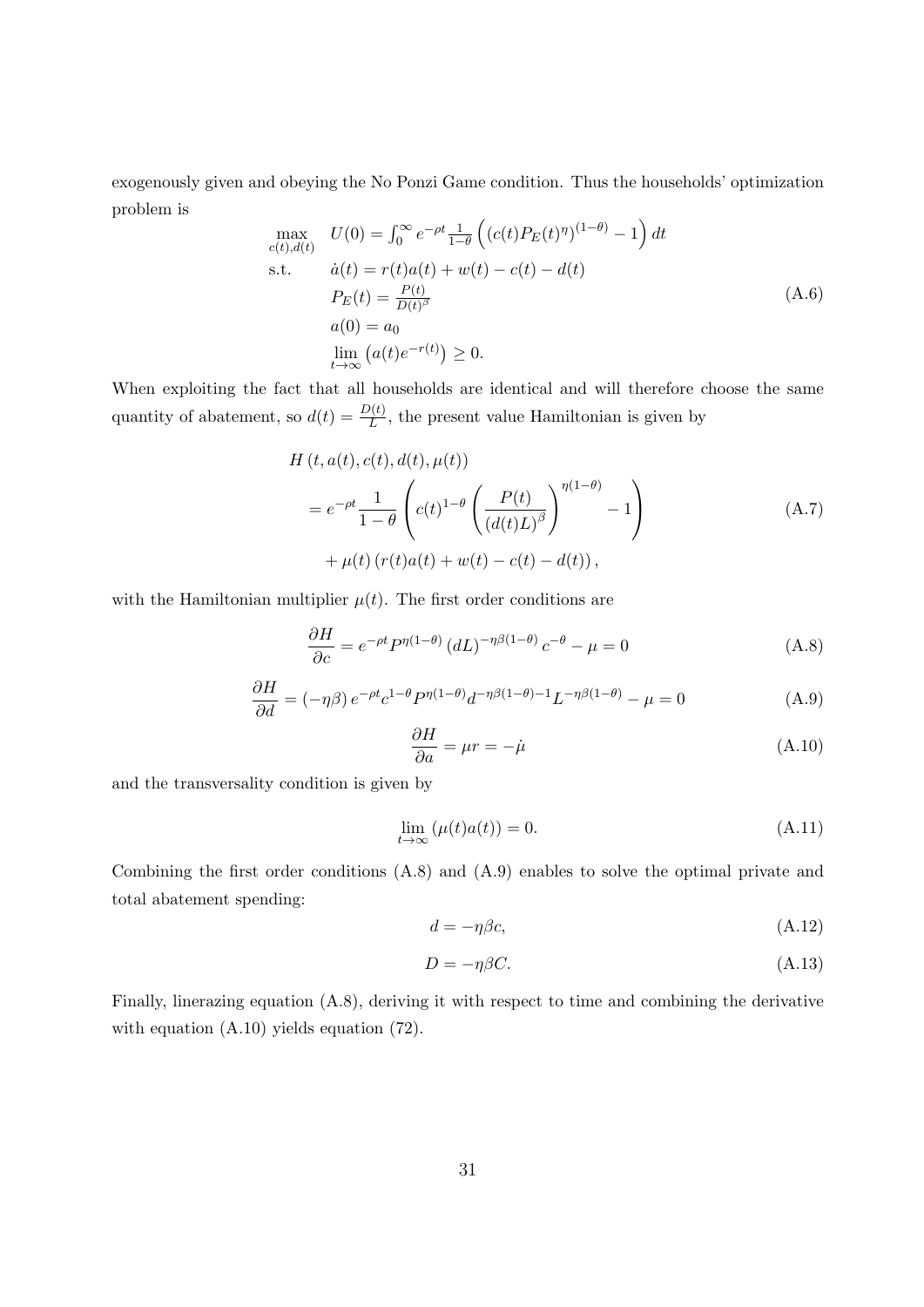exogenously given and obeying the No Ponzi Game condition. Thus the households' optimization problem is

$$
\max_{c(t),d(t)} U(0) = \int_0^\infty e^{-\rho t} \frac{1}{1-\theta} \left( (c(t)P_E(t)^{\eta})^{(1-\theta)} - 1 \right) dt
$$
  
s.t. 
$$
\dot{a}(t) = r(t)a(t) + w(t) - c(t) - d(t)
$$

$$
P_E(t) = \frac{P(t)}{D(t)^{\beta}}
$$

$$
a(0) = a_0
$$

$$
\lim_{t \to \infty} (a(t)e^{-r(t)}) \ge 0.
$$
(A.6)

When exploiting the fact that all households are identical and will therefore choose the same quantity of abatement, so  $d(t) = \frac{D(t)}{L}$ , the present value Hamiltonian is given by

$$
H(t, a(t), c(t), d(t), \mu(t))
$$
  
=  $e^{-\rho t} \frac{1}{1-\theta} \left( c(t)^{1-\theta} \left( \frac{P(t)}{(d(t)L)^{\beta}} \right)^{\eta(1-\theta)} - 1 \right)$   
+  $\mu(t) \left( r(t)a(t) + w(t) - c(t) - d(t) \right),$  (A.7)

with the Hamiltonian multiplier  $\mu(t)$ . The first order conditions are

$$
\frac{\partial H}{\partial c} = e^{-\rho t} P^{\eta(1-\theta)} (dL)^{-\eta\beta(1-\theta)} c^{-\theta} - \mu = 0
$$
\n(A.8)

$$
\frac{\partial H}{\partial d} = (-\eta \beta) e^{-\rho t} c^{1-\theta} P^{\eta(1-\theta)} d^{-\eta \beta(1-\theta)-1} L^{-\eta \beta(1-\theta)} - \mu = 0 \tag{A.9}
$$

$$
\frac{\partial H}{\partial a} = \mu r = -\dot{\mu} \tag{A.10}
$$

and the transversality condition is given by

$$
\lim_{t \to \infty} (\mu(t)a(t)) = 0. \tag{A.11}
$$

Combining the first order conditions (A.8) and (A.9) enables to solve the optimal private and total abatement spending:

$$
d = -\eta \beta c,\tag{A.12}
$$

$$
D = -\eta \beta C. \tag{A.13}
$$

Finally, linerazing equation (A.8), deriving it with respect to time and combining the derivative with equation (A.10) yields equation (72).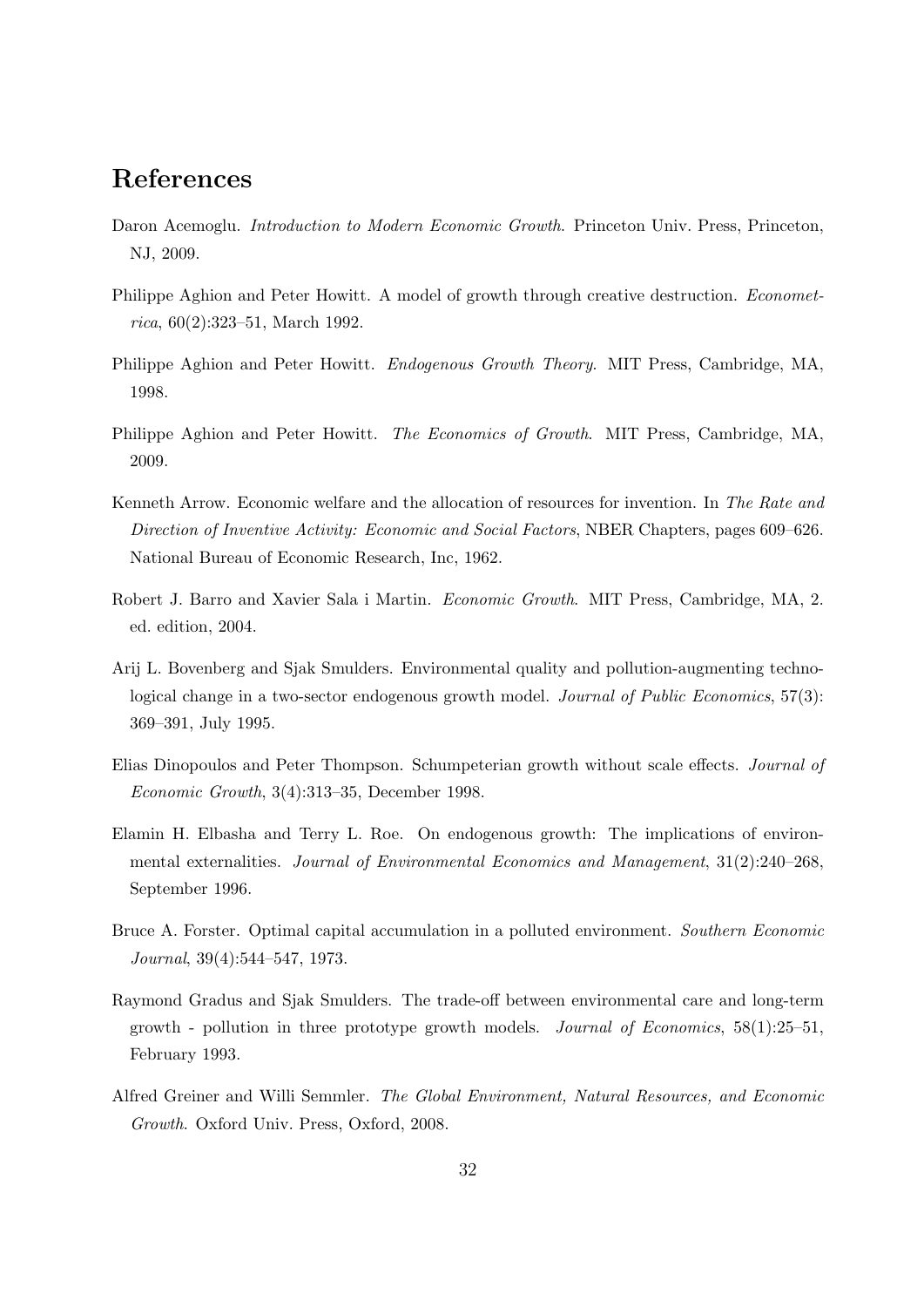# References

- Daron Acemoglu. *Introduction to Modern Economic Growth*. Princeton Univ. Press, Princeton, NJ, 2009.
- Philippe Aghion and Peter Howitt. A model of growth through creative destruction. Econometrica, 60(2):323–51, March 1992.
- Philippe Aghion and Peter Howitt. Endogenous Growth Theory. MIT Press, Cambridge, MA, 1998.
- Philippe Aghion and Peter Howitt. The Economics of Growth. MIT Press, Cambridge, MA, 2009.
- Kenneth Arrow. Economic welfare and the allocation of resources for invention. In The Rate and Direction of Inventive Activity: Economic and Social Factors, NBER Chapters, pages 609–626. National Bureau of Economic Research, Inc, 1962.
- Robert J. Barro and Xavier Sala i Martin. Economic Growth. MIT Press, Cambridge, MA, 2. ed. edition, 2004.
- Arij L. Bovenberg and Sjak Smulders. Environmental quality and pollution-augmenting technological change in a two-sector endogenous growth model. Journal of Public Economics, 57(3): 369–391, July 1995.
- Elias Dinopoulos and Peter Thompson. Schumpeterian growth without scale effects. Journal of Economic Growth, 3(4):313–35, December 1998.
- Elamin H. Elbasha and Terry L. Roe. On endogenous growth: The implications of environmental externalities. Journal of Environmental Economics and Management, 31(2):240–268, September 1996.
- Bruce A. Forster. Optimal capital accumulation in a polluted environment. Southern Economic Journal, 39(4):544–547, 1973.
- Raymond Gradus and Sjak Smulders. The trade-off between environmental care and long-term growth - pollution in three prototype growth models. Journal of Economics,  $58(1):25-51$ , February 1993.
- Alfred Greiner and Willi Semmler. The Global Environment, Natural Resources, and Economic Growth. Oxford Univ. Press, Oxford, 2008.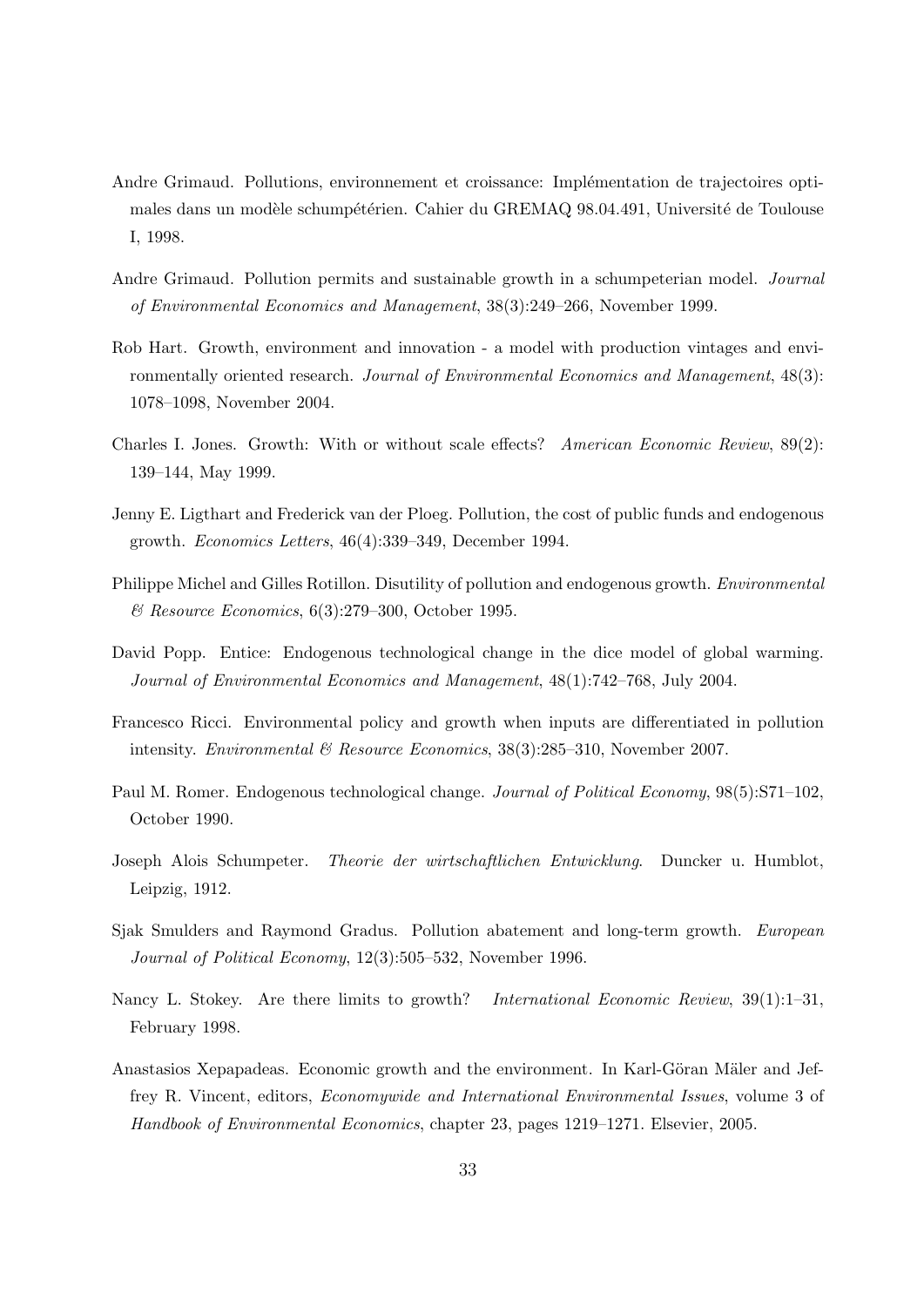- Andre Grimaud. Pollutions, environnement et croissance: Implémentation de trajectoires optimales dans un modèle schumpétérien. Cahier du GREMAQ 98.04.491, Université de Toulouse I, 1998.
- Andre Grimaud. Pollution permits and sustainable growth in a schumpeterian model. Journal of Environmental Economics and Management, 38(3):249–266, November 1999.
- Rob Hart. Growth, environment and innovation a model with production vintages and environmentally oriented research. Journal of Environmental Economics and Management, 48(3): 1078–1098, November 2004.
- Charles I. Jones. Growth: With or without scale effects? American Economic Review, 89(2): 139–144, May 1999.
- Jenny E. Ligthart and Frederick van der Ploeg. Pollution, the cost of public funds and endogenous growth. Economics Letters, 46(4):339–349, December 1994.
- Philippe Michel and Gilles Rotillon. Disutility of pollution and endogenous growth. Environmental & Resource Economics, 6(3):279–300, October 1995.
- David Popp. Entice: Endogenous technological change in the dice model of global warming. Journal of Environmental Economics and Management, 48(1):742–768, July 2004.
- Francesco Ricci. Environmental policy and growth when inputs are differentiated in pollution intensity. Environmental & Resource Economics,  $38(3):285-310$ , November 2007.
- Paul M. Romer. Endogenous technological change. Journal of Political Economy, 98(5): S71–102, October 1990.
- Joseph Alois Schumpeter. Theorie der wirtschaftlichen Entwicklung. Duncker u. Humblot, Leipzig, 1912.
- Sjak Smulders and Raymond Gradus. Pollution abatement and long-term growth. European Journal of Political Economy, 12(3):505–532, November 1996.
- Nancy L. Stokey. Are there limits to growth? *International Economic Review*, 39(1):1–31, February 1998.
- Anastasios Xepapadeas. Economic growth and the environment. In Karl-Göran Mäler and Jeffrey R. Vincent, editors, Economywide and International Environmental Issues, volume 3 of Handbook of Environmental Economics, chapter 23, pages 1219–1271. Elsevier, 2005.